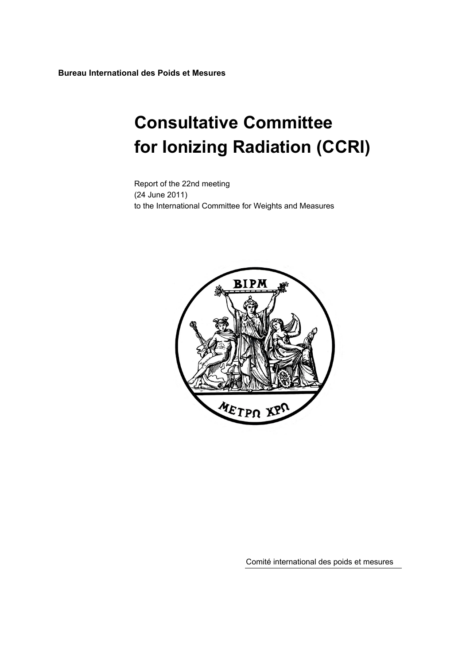**Bureau International des Poids et Mesures** 

# **Consultative Committee for Ionizing Radiation (CCRI)**

Report of the 22nd meeting (24 June 2011) to the International Committee for Weights and Measures



Comité international des poids et mesures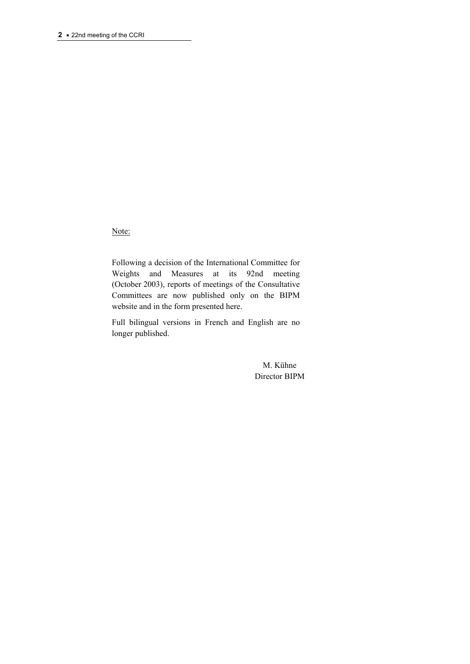Note:

Following a decision of the International Committee for Weights and Measures at its 92nd meeting (October 2003), reports of meetings of the Consultative Committees are now published only on the BIPM website and in the form presented here.

Full bilingual versions in French and English are no longer published.

> M. Kühne Director BIPM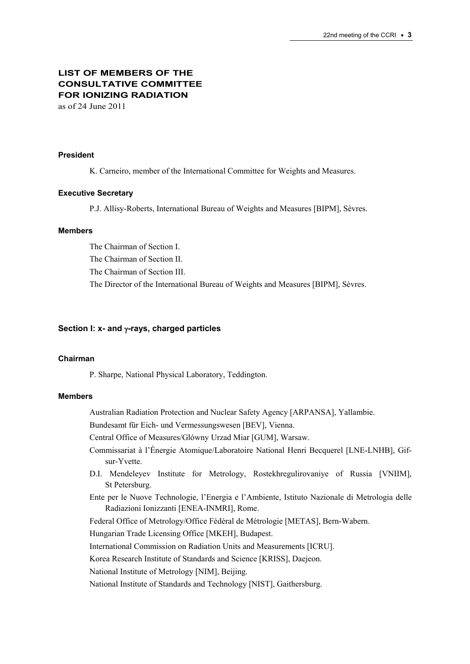# **LIST OF MEMBERS OF THE CONSULTATIVE COMMITTEE FOR IONIZING RADIATION**

as of 24 June 2011

## **President**

K. Carneiro, member of the International Committee for Weights and Measures.

## **Executive Secretary**

P.J. Allisy-Roberts, International Bureau of Weights and Measures [BIPM], Sèvres.

## **Members**

The Chairman of Section I. The Chairman of Section II. The Chairman of Section III. The Director of the International Bureau of Weights and Measures [BIPM], Sèvres.

## **Section I: x- and γ-rays, charged particles**

## **Chairman**

P. Sharpe, National Physical Laboratory, Teddington.

## **Members**

Australian Radiation Protection and Nuclear Safety Agency [ARPANSA], Yallambie.

Bundesamt für Eich- und Vermessungswesen [BEV], Vienna.

Central Office of Measures/Glówny Urzad Miar [GUM], Warsaw.

Commissariat à l'Énergie Atomique/Laboratoire National Henri Becquerel [LNE-LNHB], Gifsur-Yvette.

- D.I. Mendeleyev Institute for Metrology, Rostekhregulirovaniye of Russia [VNIIM], St Petersburg.
- Ente per le Nuove Technologie, l'Energia e l'Ambiente, Istituto Nazionale di Metrologia delle Radiazioni Ionizzanti [ENEA-INMRI], Rome.

Federal Office of Metrology/Office Fédéral de Métrologie [METAS], Bern-Wabern.

Hungarian Trade Licensing Office [MKEH], Budapest.

International Commission on Radiation Units and Measurements [ICRU].

Korea Research Institute of Standards and Science [KRISS], Daejeon.

National Institute of Metrology [NIM], Beijing.

National Institute of Standards and Technology [NIST], Gaithersburg.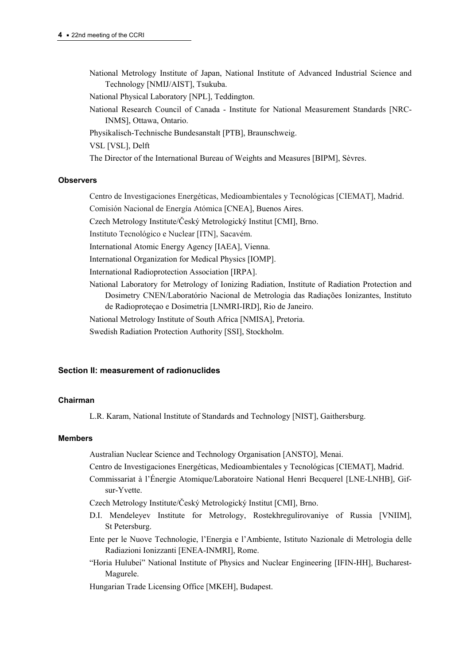- National Metrology Institute of Japan, National Institute of Advanced Industrial Science and Technology [NMIJ/AIST], Tsukuba.
- National Physical Laboratory [NPL], Teddington.
- National Research Council of Canada Institute for National Measurement Standards [NRC-INMS], Ottawa, Ontario.
- Physikalisch-Technische Bundesanstalt [PTB], Braunschweig.

VSL [VSL], Delft

The Director of the International Bureau of Weights and Measures [BIPM], Sèvres.

#### **Observers**

- Centro de Investigaciones Energéticas, Medioambientales y Tecnológicas [CIEMAT], Madrid.
- Comisión Nacional de Energía Atómica [CNEA], Buenos Aires.

Czech Metrology Institute/Český Metrologický Institut [CMI], Brno.

Instituto Tecnológico e Nuclear [[ITN](http://www.itn.pt/uk/uk_main.htm)], Sacavém.

- International Atomic Energy Agency [IAEA], Vienna.
- International Organization for Medical Physics [IOMP].

International Radioprotection Association [IRPA].

- National Laboratory for Metrology of Ionizing Radiation, Institute of Radiation Protection and Dosimetry CNEN/Laboratório Nacional de Metrologia das Radiações Ionizantes, Instituto de Radioproteçao e Dosimetria [LNMRI-IRD], Rio de Janeiro.
- National Metrology Institute of South Africa [NMISA], Pretoria.
- Swedish Radiation Protection Authority [SSI], Stockholm.

## **Section II: measurement of radionuclides**

#### **Chairman**

L.R. Karam, National Institute of Standards and Technology [NIST], Gaithersburg.

#### **Members**

Australian Nuclear Science and Technology Organisation [ANSTO], Menai.

- Centro de Investigaciones Energéticas, Medioambientales y Tecnológicas [CIEMAT], Madrid.
- Commissariat à l'Énergie Atomique/Laboratoire National Henri Becquerel [LNE-LNHB], Gifsur-Yvette.

Czech Metrology Institute/Český Metrologický Institut [CMI], Brno.

- D.I. Mendeleyev Institute for Metrology, Rostekhregulirovaniye of Russia [VNIIM], St Petersburg.
- Ente per le Nuove Technologie, l'Energia e l'Ambiente, Istituto Nazionale di Metrologia delle Radiazioni Ionizzanti [ENEA-INMRI], Rome.
- "Horia Hulubei" National Institute of Physics and Nuclear Engineering [IFIN-HH], Bucharest-Magurele.

Hungarian Trade Licensing Office [MKEH], Budapest.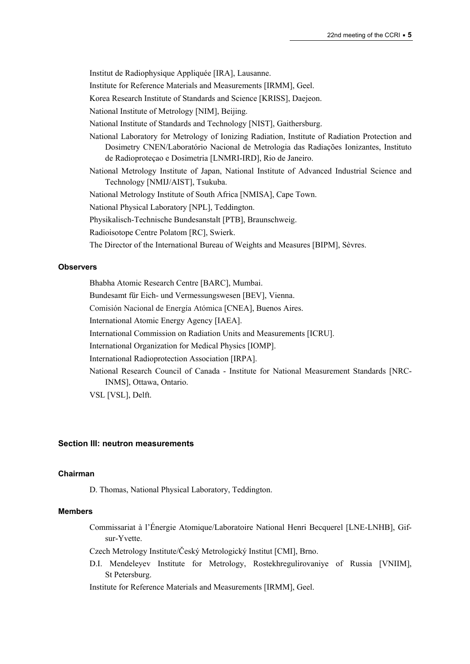Institut de Radiophysique Appliquée [IRA], Lausanne.

Institute for Reference Materials and Measurements [IRMM], Geel.

Korea Research Institute of Standards and Science [KRISS], Daejeon.

National Institute of Metrology [NIM], Beijing.

National Institute of Standards and Technology [NIST], Gaithersburg.

National Laboratory for Metrology of Ionizing Radiation, Institute of Radiation Protection and Dosimetry CNEN/Laboratório Nacional de Metrologia das Radiações Ionizantes, Instituto de Radioproteçao e Dosimetria [LNMRI-IRD], Rio de Janeiro.

National Metrology Institute of Japan, National Institute of Advanced Industrial Science and Technology [NMIJ/AIST], Tsukuba.

National Metrology Institute of South Africa [NMISA], Cape Town.

National Physical Laboratory [NPL], Teddington.

Physikalisch-Technische Bundesanstalt [PTB], Braunschweig.

Radioisotope Centre Polatom [RC], Swierk.

The Director of the International Bureau of Weights and Measures [BIPM], Sèvres.

#### **Observers**

Bhabha Atomic Research Centre [BARC], Mumbai. Bundesamt für Eich- und Vermessungswesen [BEV], Vienna. Comisión Nacional de Energía Atómica [CNEA], Buenos Aires. International Atomic Energy Agency [IAEA]. International Commission on Radiation Units and Measurements [ICRU]. International Organization for Medical Physics [IOMP]. International Radioprotection Association [IRPA]. National Research Council of Canada - Institute for National Measurement Standards [NRC-INMS], Ottawa, Ontario. VSL [VSL], Delft.

## **Section III: neutron measurements**

#### **Chairman**

D. Thomas, National Physical Laboratory, Teddington.

#### **Members**

Commissariat à l'Énergie Atomique/Laboratoire National Henri Becquerel [LNE-LNHB], Gifsur-Yvette.

Czech Metrology Institute/Český Metrologický Institut [CMI], Brno.

D.I. Mendeleyev Institute for Metrology, Rostekhregulirovaniye of Russia [VNIIM], St Petersburg.

Institute for Reference Materials and Measurements [IRMM], Geel.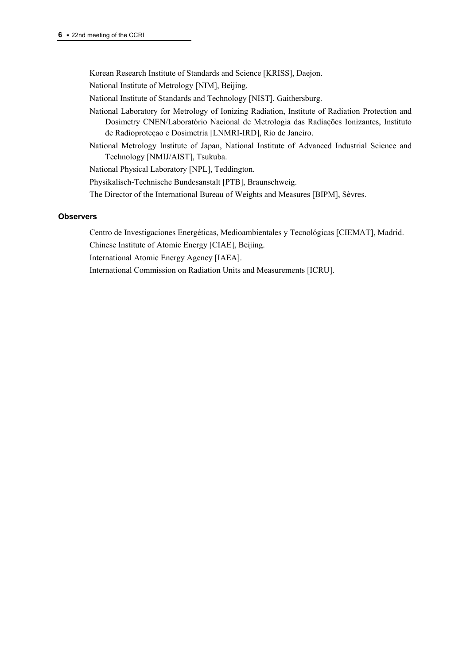Korean Research Institute of Standards and Science [KRISS], Daejon.

National Institute of Metrology [NIM], Beijing.

National Institute of Standards and Technology [NIST], Gaithersburg.

- National Laboratory for Metrology of Ionizing Radiation, Institute of Radiation Protection and Dosimetry CNEN/Laboratório Nacional de Metrologia das Radiações Ionizantes, Instituto de Radioproteçao e Dosimetria [LNMRI-IRD], Rio de Janeiro.
- National Metrology Institute of Japan, National Institute of Advanced Industrial Science and Technology [NMIJ/AIST], Tsukuba.

National Physical Laboratory [NPL], Teddington.

Physikalisch-Technische Bundesanstalt [PTB], Braunschweig.

The Director of the International Bureau of Weights and Measures [BIPM], Sèvres.

## **Observers**

Centro de Investigaciones Energéticas, Medioambientales y Tecnológicas [CIEMAT], Madrid.

Chinese Institute of Atomic Energy [CIAE], Beijing.

International Atomic Energy Agency [IAEA].

International Commission on Radiation Units and Measurements [ICRU].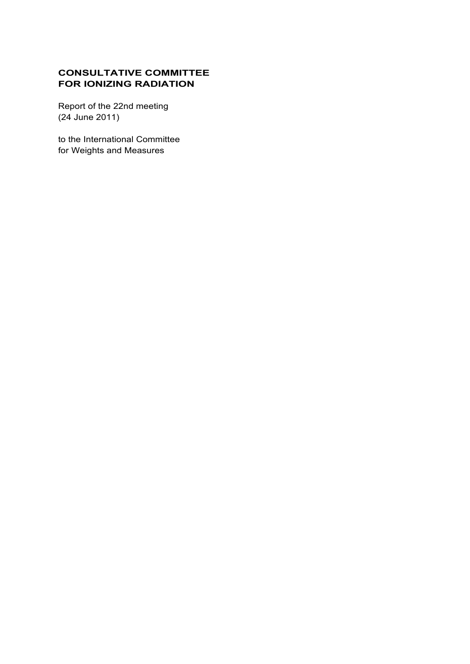# **CONSULTATIVE COMMITTEE FOR IONIZING RADIATION**

Report of the 22nd meeting (24 June 2011)

to the International Committee for Weights and Measures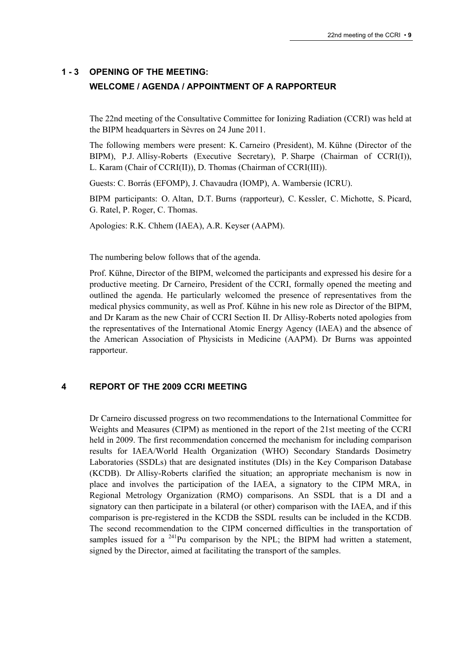# **1 - 3 OPENING OF THE MEETING: WELCOME / AGENDA / APPOINTMENT OF A RAPPORTEUR**

The 22nd meeting of the Consultative Committee for Ionizing Radiation (CCRI) was held at the BIPM headquarters in Sèvres on 24 June 2011.

The following members were present: K. Carneiro (President), M. Kühne (Director of the BIPM), P.J. Allisy-Roberts (Executive Secretary), P. Sharpe (Chairman of CCRI(I)), L. Karam (Chair of CCRI(II)), D. Thomas (Chairman of CCRI(III)).

Guests: C. Borrás (EFOMP), J. Chavaudra (IOMP), A. Wambersie (ICRU).

BIPM participants: O. Altan, D.T. Burns (rapporteur), C. Kessler, C. Michotte, S. Picard, G. Ratel, P. Roger, C. Thomas.

Apologies: R.K. Chhem (IAEA), A.R. Keyser (AAPM).

The numbering below follows that of the agenda.

Prof. Kühne, Director of the BIPM, welcomed the participants and expressed his desire for a productive meeting. Dr Carneiro, President of the CCRI, formally opened the meeting and outlined the agenda. He particularly welcomed the presence of representatives from the medical physics community, as well as Prof. Kühne in his new role as Director of the BIPM, and Dr Karam as the new Chair of CCRI Section II. Dr Allisy-Roberts noted apologies from the representatives of the International Atomic Energy Agency (IAEA) and the absence of the American Association of Physicists in Medicine (AAPM). Dr Burns was appointed rapporteur.

# **4 REPORT OF THE 2009 CCRI MEETING**

Dr Carneiro discussed progress on two recommendations to the International Committee for Weights and Measures (CIPM) as mentioned in the report of the 21st meeting of the CCRI held in 2009. The first recommendation concerned the mechanism for including comparison results for IAEA/World Health Organization (WHO) Secondary Standards Dosimetry Laboratories (SSDLs) that are designated institutes (DIs) in the Key Comparison Database (KCDB). Dr Allisy-Roberts clarified the situation; an appropriate mechanism is now in place and involves the participation of the IAEA, a signatory to the CIPM MRA, in Regional Metrology Organization (RMO) comparisons. An SSDL that is a DI and a signatory can then participate in a bilateral (or other) comparison with the IAEA, and if this comparison is pre-registered in the KCDB the SSDL results can be included in the KCDB. The second recommendation to the CIPM concerned difficulties in the transportation of samples issued for a  $^{241}$ Pu comparison by the NPL; the BIPM had written a statement, signed by the Director, aimed at facilitating the transport of the samples.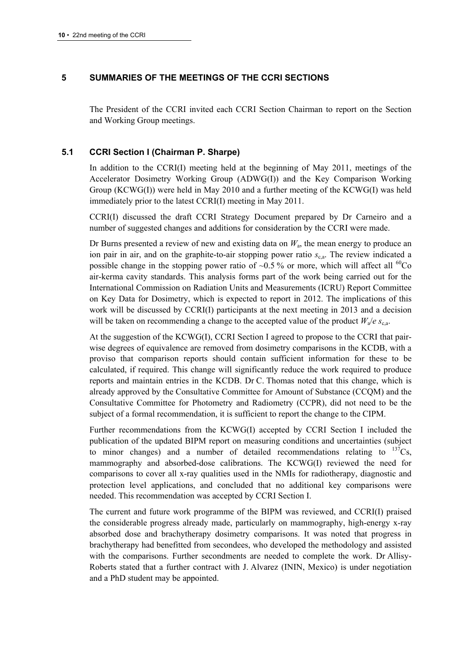# **5 SUMMARIES OF THE MEETINGS OF THE CCRI SECTIONS**

The President of the CCRI invited each CCRI Section Chairman to report on the Section and Working Group meetings.

# **5.1 CCRI Section I (Chairman P. Sharpe)**

In addition to the CCRI(I) meeting held at the beginning of May 2011, meetings of the Accelerator Dosimetry Working Group (ADWG(I)) and the Key Comparison Working Group (KCWG(I)) were held in May 2010 and a further meeting of the KCWG(I) was held immediately prior to the latest CCRI(I) meeting in May 2011.

CCRI(I) discussed the draft CCRI Strategy Document prepared by Dr Carneiro and a number of suggested changes and additions for consideration by the CCRI were made.

Dr Burns presented a review of new and existing data on *W*a, the mean energy to produce an ion pair in air, and on the graphite-to-air stopping power ratio  $s_{c,a}$ . The review indicated a possible change in the stopping power ratio of  $\sim 0.5\%$  or more, which will affect all <sup>60</sup>Co air-kerma cavity standards. This analysis forms part of the work being carried out for the International Commission on Radiation Units and Measurements (ICRU) Report Committee on Key Data for Dosimetry, which is expected to report in 2012. The implications of this work will be discussed by CCRI(I) participants at the next meeting in 2013 and a decision will be taken on recommending a change to the accepted value of the product  $W_a/e$   $s_{ca}$ .

At the suggestion of the KCWG(I), CCRI Section I agreed to propose to the CCRI that pairwise degrees of equivalence are removed from dosimetry comparisons in the KCDB, with a proviso that comparison reports should contain sufficient information for these to be calculated, if required. This change will significantly reduce the work required to produce reports and maintain entries in the KCDB. Dr C. Thomas noted that this change, which is already approved by the Consultative Committee for Amount of Substance (CCQM) and the Consultative Committee for Photometry and Radiometry (CCPR), did not need to be the subject of a formal recommendation, it is sufficient to report the change to the CIPM.

Further recommendations from the KCWG(I) accepted by CCRI Section I included the publication of the updated BIPM report on measuring conditions and uncertainties (subject to minor changes) and a number of detailed recommendations relating to  $^{137}Cs$ , mammography and absorbed-dose calibrations. The KCWG(I) reviewed the need for comparisons to cover all x-ray qualities used in the NMIs for radiotherapy, diagnostic and protection level applications, and concluded that no additional key comparisons were needed. This recommendation was accepted by CCRI Section I.

The current and future work programme of the BIPM was reviewed, and CCRI(I) praised the considerable progress already made, particularly on mammography, high-energy x-ray absorbed dose and brachytherapy dosimetry comparisons. It was noted that progress in brachytherapy had benefitted from secondees, who developed the methodology and assisted with the comparisons. Further secondments are needed to complete the work. Dr Allisy-Roberts stated that a further contract with J. Alvarez (ININ, Mexico) is under negotiation and a PhD student may be appointed.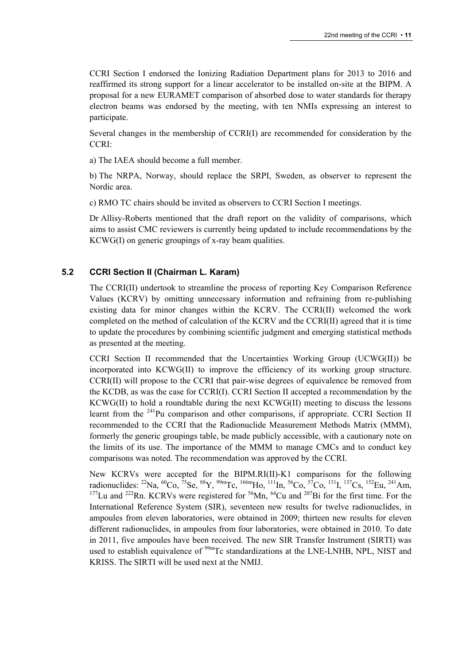CCRI Section I endorsed the Ionizing Radiation Department plans for 2013 to 2016 and reaffirmed its strong support for a linear accelerator to be installed on-site at the BIPM. A proposal for a new EURAMET comparison of absorbed dose to water standards for therapy electron beams was endorsed by the meeting, with ten NMIs expressing an interest to participate.

Several changes in the membership of CCRI(I) are recommended for consideration by the CCRI:

a) The IAEA should become a full member.

b) The NRPA, Norway, should replace the SRPI, Sweden, as observer to represent the Nordic area.

c) RMO TC chairs should be invited as observers to CCRI Section I meetings.

Dr Allisy-Roberts mentioned that the draft report on the validity of comparisons, which aims to assist CMC reviewers is currently being updated to include recommendations by the KCWG(I) on generic groupings of x-ray beam qualities.

# **5.2 CCRI Section II (Chairman L. Karam)**

The CCRI(II) undertook to streamline the process of reporting Key Comparison Reference Values (KCRV) by omitting unnecessary information and refraining from re-publishing existing data for minor changes within the KCRV. The CCRI(II) welcomed the work completed on the method of calculation of the KCRV and the CCRI(II) agreed that it is time to update the procedures by combining scientific judgment and emerging statistical methods as presented at the meeting.

CCRI Section II recommended that the Uncertainties Working Group (UCWG(II)) be incorporated into KCWG(II) to improve the efficiency of its working group structure. CCRI(II) will propose to the CCRI that pair-wise degrees of equivalence be removed from the KCDB, as was the case for CCRI(I). CCRI Section II accepted a recommendation by the KCWG(II) to hold a roundtable during the next KCWG(II) meeting to discuss the lessons learnt from the <sup>241</sup>Pu comparison and other comparisons, if appropriate. CCRI Section II recommended to the CCRI that the Radionuclide Measurement Methods Matrix (MMM), formerly the generic groupings table, be made publicly accessible, with a cautionary note on the limits of its use. The importance of the MMM to manage CMCs and to conduct key comparisons was noted. The recommendation was approved by the CCRI.

New KCRVs were accepted for the BIPM.RI(II)-K1 comparisons for the following radionuclides: <sup>22</sup>Na, <sup>60</sup>Co, <sup>75</sup>Se, <sup>88</sup>Y, <sup>99m</sup>Tc, <sup>166m</sup>Ho, <sup>111</sup>In, <sup>56</sup>Co, <sup>57</sup>Co, <sup>131</sup>I, <sup>137</sup>Cs, <sup>152</sup>Eu, <sup>241</sup>Am,  $177$ Lu and  $222$ Rn. KCRVs were registered for  $56$ Mn,  $64$ Cu and  $207$ Bi for the first time. For the International Reference System (SIR), seventeen new results for twelve radionuclides, in ampoules from eleven laboratories, were obtained in 2009; thirteen new results for eleven different radionuclides, in ampoules from four laboratories, were obtained in 2010. To date in 2011, five ampoules have been received. The new SIR Transfer Instrument (SIRTI) was used to establish equivalence of <sup>99m</sup>Tc standardizations at the LNE-LNHB, NPL, NIST and KRISS. The SIRTI will be used next at the NMIJ.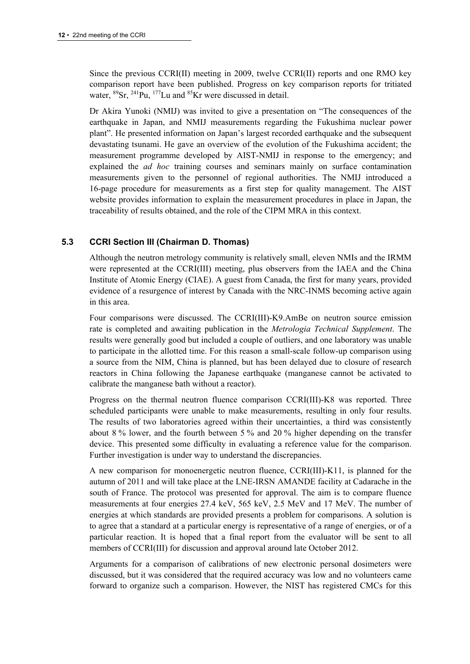Since the previous CCRI(II) meeting in 2009, twelve CCRI(II) reports and one RMO key comparison report have been published. Progress on key comparison reports for tritiated water,  ${}^{89}Sr$ ,  ${}^{241}Pu$ ,  ${}^{177}Lu$  and  ${}^{85}Kr$  were discussed in detail.

Dr Akira Yunoki (NMIJ) was invited to give a presentation on "The consequences of the earthquake in Japan, and NMIJ measurements regarding the Fukushima nuclear power plant". He presented information on Japan's largest recorded earthquake and the subsequent devastating tsunami. He gave an overview of the evolution of the Fukushima accident; the measurement programme developed by AIST-NMIJ in response to the emergency; and explained the *ad hoc* training courses and seminars mainly on surface contamination measurements given to the personnel of regional authorities. The NMIJ introduced a 16-page procedure for measurements as a first step for quality management. The AIST website provides information to explain the measurement procedures in place in Japan, the traceability of results obtained, and the role of the CIPM MRA in this context.

# **5.3 CCRI Section III (Chairman D. Thomas)**

Although the neutron metrology community is relatively small, eleven NMIs and the IRMM were represented at the CCRI(III) meeting, plus observers from the IAEA and the China Institute of Atomic Energy (CIAE). A guest from Canada, the first for many years, provided evidence of a resurgence of interest by Canada with the NRC-INMS becoming active again in this area.

Four comparisons were discussed. The CCRI(III)-K9.AmBe on neutron source emission rate is completed and awaiting publication in the *Metrologia Technical Supplement*. The results were generally good but included a couple of outliers, and one laboratory was unable to participate in the allotted time. For this reason a small-scale follow-up comparison using a source from the NIM, China is planned, but has been delayed due to closure of research reactors in China following the Japanese earthquake (manganese cannot be activated to calibrate the manganese bath without a reactor).

Progress on the thermal neutron fluence comparison CCRI(III)-K8 was reported. Three scheduled participants were unable to make measurements, resulting in only four results. The results of two laboratories agreed within their uncertainties, a third was consistently about 8 % lower, and the fourth between 5 % and 20 % higher depending on the transfer device. This presented some difficulty in evaluating a reference value for the comparison. Further investigation is under way to understand the discrepancies.

A new comparison for monoenergetic neutron fluence, CCRI(III)-K11, is planned for the autumn of 2011 and will take place at the LNE-IRSN AMANDE facility at Cadarache in the south of France. The protocol was presented for approval. The aim is to compare fluence measurements at four energies 27.4 keV, 565 keV, 2.5 MeV and 17 MeV. The number of energies at which standards are provided presents a problem for comparisons. A solution is to agree that a standard at a particular energy is representative of a range of energies, or of a particular reaction. It is hoped that a final report from the evaluator will be sent to all members of CCRI(III) for discussion and approval around late October 2012.

Arguments for a comparison of calibrations of new electronic personal dosimeters were discussed, but it was considered that the required accuracy was low and no volunteers came forward to organize such a comparison. However, the NIST has registered CMCs for this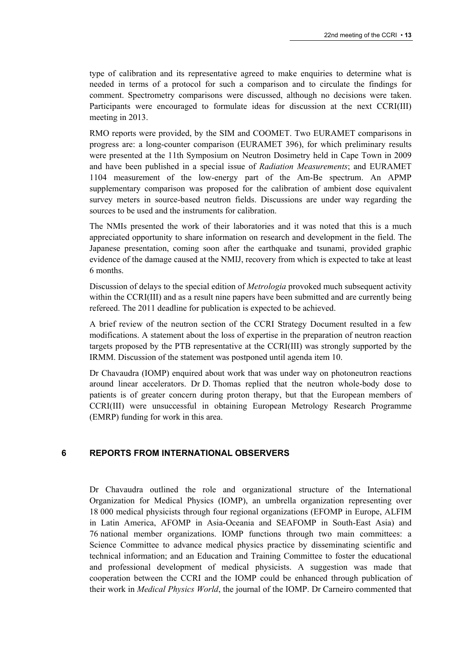type of calibration and its representative agreed to make enquiries to determine what is needed in terms of a protocol for such a comparison and to circulate the findings for comment. Spectrometry comparisons were discussed, although no decisions were taken. Participants were encouraged to formulate ideas for discussion at the next CCRI(III) meeting in 2013.

RMO reports were provided, by the SIM and COOMET. Two EURAMET comparisons in progress are: a long-counter comparison (EURAMET 396), for which preliminary results were presented at the 11th Symposium on Neutron Dosimetry held in Cape Town in 2009 and have been published in a special issue of *Radiation Measurements*; and EURAMET 1104 measurement of the low-energy part of the Am-Be spectrum. An APMP supplementary comparison was proposed for the calibration of ambient dose equivalent survey meters in source-based neutron fields. Discussions are under way regarding the sources to be used and the instruments for calibration.

The NMIs presented the work of their laboratories and it was noted that this is a much appreciated opportunity to share information on research and development in the field. The Japanese presentation, coming soon after the earthquake and tsunami, provided graphic evidence of the damage caused at the NMIJ, recovery from which is expected to take at least 6 months.

Discussion of delays to the special edition of *Metrologia* provoked much subsequent activity within the CCRI(III) and as a result nine papers have been submitted and are currently being refereed. The 2011 deadline for publication is expected to be achieved.

A brief review of the neutron section of the CCRI Strategy Document resulted in a few modifications. A statement about the loss of expertise in the preparation of neutron reaction targets proposed by the PTB representative at the CCRI(III) was strongly supported by the IRMM. Discussion of the statement was postponed until agenda item 10.

Dr Chavaudra (IOMP) enquired about work that was under way on photoneutron reactions around linear accelerators. Dr D. Thomas replied that the neutron whole-body dose to patients is of greater concern during proton therapy, but that the European members of CCRI(III) were unsuccessful in obtaining European Metrology Research Programme (EMRP) funding for work in this area.

# **6 REPORTS FROM INTERNATIONAL OBSERVERS**

Dr Chavaudra outlined the role and organizational structure of the International Organization for Medical Physics (IOMP), an umbrella organization representing over 18 000 medical physicists through four regional organizations (EFOMP in Europe, ALFIM in Latin America, AFOMP in Asia-Oceania and SEAFOMP in South-East Asia) and 76 national member organizations. IOMP functions through two main committees: a Science Committee to advance medical physics practice by disseminating scientific and technical information; and an Education and Training Committee to foster the educational and professional development of medical physicists. A suggestion was made that cooperation between the CCRI and the IOMP could be enhanced through publication of their work in *Medical Physics World*, the journal of the IOMP. Dr Carneiro commented that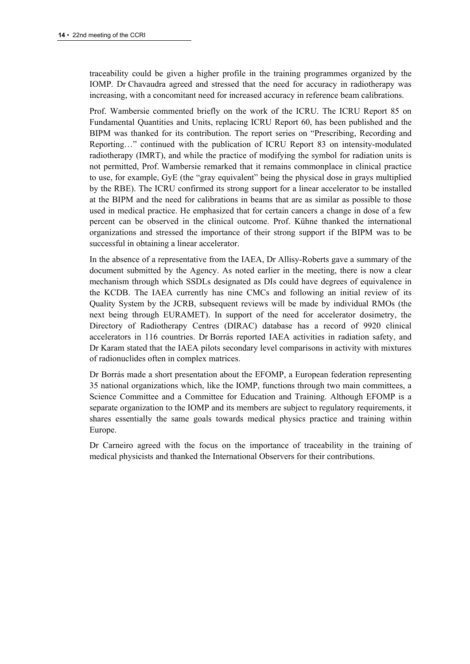traceability could be given a higher profile in the training programmes organized by the IOMP. Dr Chavaudra agreed and stressed that the need for accuracy in radiotherapy was increasing, with a concomitant need for increased accuracy in reference beam calibrations.

Prof. Wambersie commented briefly on the work of the ICRU. The ICRU Report 85 on Fundamental Quantities and Units, replacing ICRU Report 60, has been published and the BIPM was thanked for its contribution. The report series on "Prescribing, Recording and Reporting…" continued with the publication of ICRU Report 83 on intensity-modulated radiotherapy (IMRT), and while the practice of modifying the symbol for radiation units is not permitted, Prof. Wambersie remarked that it remains commonplace in clinical practice to use, for example, GyE (the "gray equivalent" being the physical dose in grays multiplied by the RBE). The ICRU confirmed its strong support for a linear accelerator to be installed at the BIPM and the need for calibrations in beams that are as similar as possible to those used in medical practice. He emphasized that for certain cancers a change in dose of a few percent can be observed in the clinical outcome. Prof. Kühne thanked the international organizations and stressed the importance of their strong support if the BIPM was to be successful in obtaining a linear accelerator.

In the absence of a representative from the IAEA, Dr Allisy-Roberts gave a summary of the document submitted by the Agency. As noted earlier in the meeting, there is now a clear mechanism through which SSDLs designated as DIs could have degrees of equivalence in the KCDB. The IAEA currently has nine CMCs and following an initial review of its Quality System by the JCRB, subsequent reviews will be made by individual RMOs (the next being through EURAMET). In support of the need for accelerator dosimetry, the Directory of Radiotherapy Centres (DIRAC) database has a record of 9920 clinical accelerators in 116 countries. Dr Borrás reported IAEA activities in radiation safety, and Dr Karam stated that the IAEA pilots secondary level comparisons in activity with mixtures of radionuclides often in complex matrices.

Dr Borrás made a short presentation about the EFOMP, a European federation representing 35 national organizations which, like the IOMP, functions through two main committees, a Science Committee and a Committee for Education and Training. Although EFOMP is a separate organization to the IOMP and its members are subject to regulatory requirements, it shares essentially the same goals towards medical physics practice and training within Europe.

Dr Carneiro agreed with the focus on the importance of traceability in the training of medical physicists and thanked the International Observers for their contributions.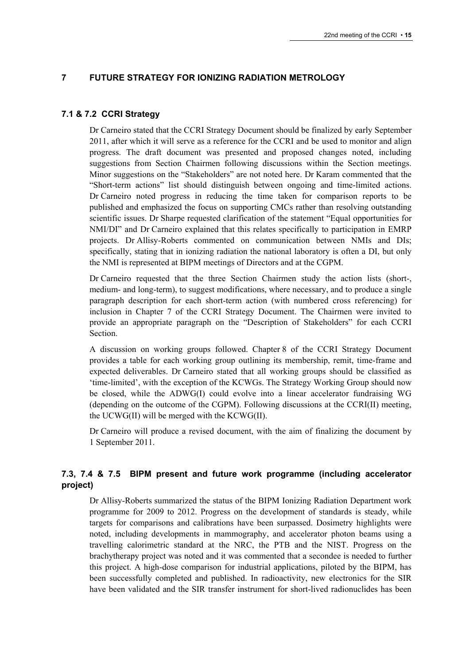# **7 FUTURE STRATEGY FOR IONIZING RADIATION METROLOGY**

## **7.1 & 7.2 CCRI Strategy**

Dr Carneiro stated that the CCRI Strategy Document should be finalized by early September 2011, after which it will serve as a reference for the CCRI and be used to monitor and align progress. The draft document was presented and proposed changes noted, including suggestions from Section Chairmen following discussions within the Section meetings. Minor suggestions on the "Stakeholders" are not noted here. Dr Karam commented that the "Short-term actions" list should distinguish between ongoing and time-limited actions. Dr Carneiro noted progress in reducing the time taken for comparison reports to be published and emphasized the focus on supporting CMCs rather than resolving outstanding scientific issues. Dr Sharpe requested clarification of the statement "Equal opportunities for NMI/DI" and Dr Carneiro explained that this relates specifically to participation in EMRP projects. Dr Allisy-Roberts commented on communication between NMIs and DIs; specifically, stating that in ionizing radiation the national laboratory is often a DI, but only the NMI is represented at BIPM meetings of Directors and at the CGPM.

Dr Carneiro requested that the three Section Chairmen study the action lists (short-, medium- and long-term), to suggest modifications, where necessary, and to produce a single paragraph description for each short-term action (with numbered cross referencing) for inclusion in Chapter 7 of the CCRI Strategy Document. The Chairmen were invited to provide an appropriate paragraph on the "Description of Stakeholders" for each CCRI Section.

A discussion on working groups followed. Chapter 8 of the CCRI Strategy Document provides a table for each working group outlining its membership, remit, time-frame and expected deliverables. Dr Carneiro stated that all working groups should be classified as 'time-limited', with the exception of the KCWGs. The Strategy Working Group should now be closed, while the ADWG(I) could evolve into a linear accelerator fundraising WG (depending on the outcome of the CGPM). Following discussions at the CCRI(II) meeting, the UCWG(II) will be merged with the KCWG(II).

Dr Carneiro will produce a revised document, with the aim of finalizing the document by 1 September 2011.

# **7.3, 7.4 & 7.5 BIPM present and future work programme (including accelerator project)**

Dr Allisy-Roberts summarized the status of the BIPM Ionizing Radiation Department work programme for 2009 to 2012. Progress on the development of standards is steady, while targets for comparisons and calibrations have been surpassed. Dosimetry highlights were noted, including developments in mammography, and accelerator photon beams using a travelling calorimetric standard at the NRC, the PTB and the NIST. Progress on the brachytherapy project was noted and it was commented that a secondee is needed to further this project. A high-dose comparison for industrial applications, piloted by the BIPM, has been successfully completed and published. In radioactivity, new electronics for the SIR have been validated and the SIR transfer instrument for short-lived radionuclides has been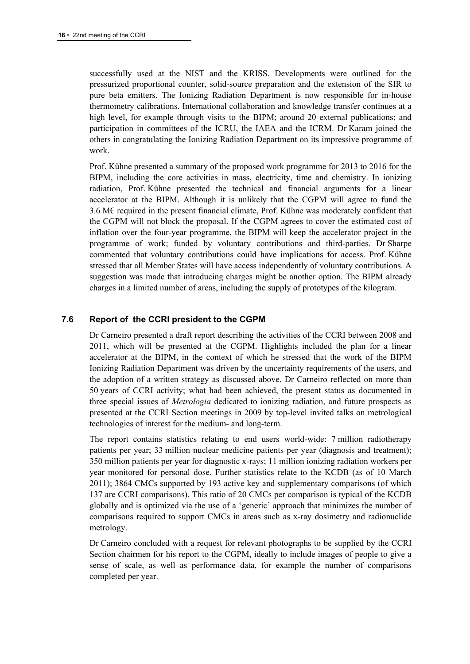successfully used at the NIST and the KRISS. Developments were outlined for the pressurized proportional counter, solid-source preparation and the extension of the SIR to pure beta emitters. The Ionizing Radiation Department is now responsible for in-house thermometry calibrations. International collaboration and knowledge transfer continues at a high level, for example through visits to the BIPM; around 20 external publications; and participation in committees of the ICRU, the IAEA and the ICRM. Dr Karam joined the others in congratulating the Ionizing Radiation Department on its impressive programme of work.

Prof. Kühne presented a summary of the proposed work programme for 2013 to 2016 for the BIPM, including the core activities in mass, electricity, time and chemistry. In ionizing radiation, Prof. Kühne presented the technical and financial arguments for a linear accelerator at the BIPM. Although it is unlikely that the CGPM will agree to fund the 3.6 M€ required in the present financial climate, Prof. Kühne was moderately confident that the CGPM will not block the proposal. If the CGPM agrees to cover the estimated cost of inflation over the four-year programme, the BIPM will keep the accelerator project in the programme of work; funded by voluntary contributions and third-parties. Dr Sharpe commented that voluntary contributions could have implications for access. Prof. Kühne stressed that all Member States will have access independently of voluntary contributions. A suggestion was made that introducing charges might be another option. The BIPM already charges in a limited number of areas, including the supply of prototypes of the kilogram.

# **7.6 Report of the CCRI president to the CGPM**

Dr Carneiro presented a draft report describing the activities of the CCRI between 2008 and 2011, which will be presented at the CGPM. Highlights included the plan for a linear accelerator at the BIPM, in the context of which he stressed that the work of the BIPM Ionizing Radiation Department was driven by the uncertainty requirements of the users, and the adoption of a written strategy as discussed above. Dr Carneiro reflected on more than 50 years of CCRI activity; what had been achieved, the present status as documented in three special issues of *Metrologia* dedicated to ionizing radiation, and future prospects as presented at the CCRI Section meetings in 2009 by top-level invited talks on metrological technologies of interest for the medium- and long-term.

The report contains statistics relating to end users world-wide: 7 million radiotherapy patients per year; 33 million nuclear medicine patients per year (diagnosis and treatment); 350 million patients per year for diagnostic x-rays; 11 million ionizing radiation workers per year monitored for personal dose. Further statistics relate to the KCDB (as of 10 March 2011); 3864 CMCs supported by 193 active key and supplementary comparisons (of which 137 are CCRI comparisons). This ratio of 20 CMCs per comparison is typical of the KCDB globally and is optimized via the use of a 'generic' approach that minimizes the number of comparisons required to support CMCs in areas such as x-ray dosimetry and radionuclide metrology.

Dr Carneiro concluded with a request for relevant photographs to be supplied by the CCRI Section chairmen for his report to the CGPM, ideally to include images of people to give a sense of scale, as well as performance data, for example the number of comparisons completed per year.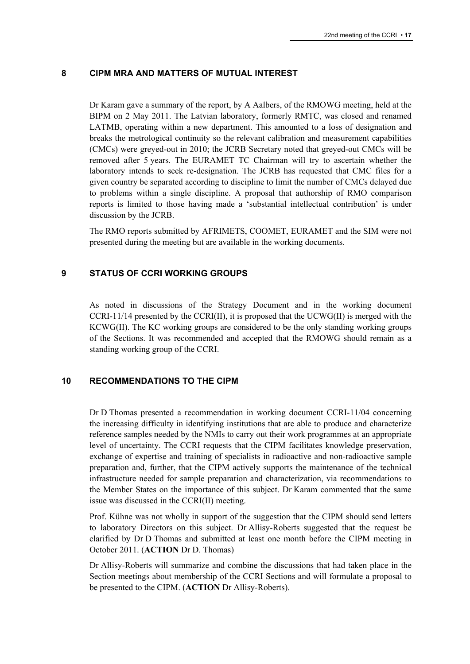## **8 CIPM MRA AND MATTERS OF MUTUAL INTEREST**

Dr Karam gave a summary of the report, by A Aalbers, of the RMOWG meeting, held at the BIPM on 2 May 2011. The Latvian laboratory, formerly RMTC, was closed and renamed LATMB, operating within a new department. This amounted to a loss of designation and breaks the metrological continuity so the relevant calibration and measurement capabilities (CMCs) were greyed-out in 2010; the JCRB Secretary noted that greyed-out CMCs will be removed after 5 years. The EURAMET TC Chairman will try to ascertain whether the laboratory intends to seek re-designation. The JCRB has requested that CMC files for a given country be separated according to discipline to limit the number of CMCs delayed due to problems within a single discipline. A proposal that authorship of RMO comparison reports is limited to those having made a 'substantial intellectual contribution' is under discussion by the JCRB.

The RMO reports submitted by AFRIMETS, COOMET, EURAMET and the SIM were not presented during the meeting but are available in the working documents.

# **9 STATUS OF CCRI WORKING GROUPS**

As noted in discussions of the Strategy Document and in the working document CCRI-11/14 presented by the CCRI(II), it is proposed that the UCWG(II) is merged with the KCWG(II). The KC working groups are considered to be the only standing working groups of the Sections. It was recommended and accepted that the RMOWG should remain as a standing working group of the CCRI.

## **10 RECOMMENDATIONS TO THE CIPM**

Dr D Thomas presented a recommendation in working document CCRI-11/04 concerning the increasing difficulty in identifying institutions that are able to produce and characterize reference samples needed by the NMIs to carry out their work programmes at an appropriate level of uncertainty. The CCRI requests that the CIPM facilitates knowledge preservation, exchange of expertise and training of specialists in radioactive and non-radioactive sample preparation and, further, that the CIPM actively supports the maintenance of the technical infrastructure needed for sample preparation and characterization, via recommendations to the Member States on the importance of this subject. Dr Karam commented that the same issue was discussed in the CCRI(II) meeting.

Prof. Kühne was not wholly in support of the suggestion that the CIPM should send letters to laboratory Directors on this subject. Dr Allisy-Roberts suggested that the request be clarified by Dr D Thomas and submitted at least one month before the CIPM meeting in October 2011. (**ACTION** Dr D. Thomas)

Dr Allisy-Roberts will summarize and combine the discussions that had taken place in the Section meetings about membership of the CCRI Sections and will formulate a proposal to be presented to the CIPM. (**ACTION** Dr Allisy-Roberts).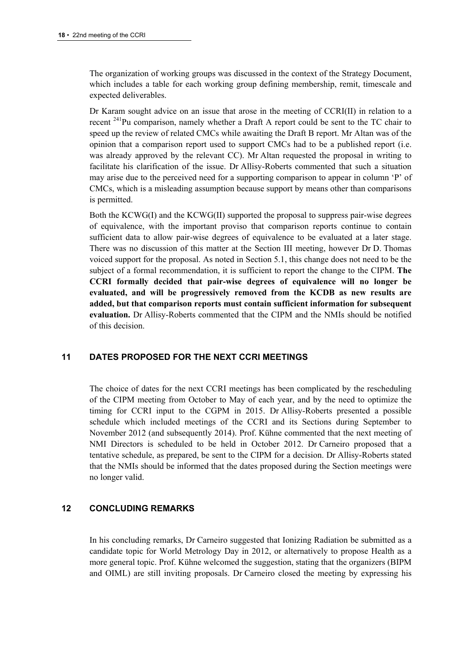The organization of working groups was discussed in the context of the Strategy Document, which includes a table for each working group defining membership, remit, timescale and expected deliverables.

Dr Karam sought advice on an issue that arose in the meeting of CCRI(II) in relation to a recent <sup>241</sup>Pu comparison, namely whether a Draft A report could be sent to the TC chair to speed up the review of related CMCs while awaiting the Draft B report. Mr Altan was of the opinion that a comparison report used to support CMCs had to be a published report (i.e. was already approved by the relevant CC). Mr Altan requested the proposal in writing to facilitate his clarification of the issue. Dr Allisy-Roberts commented that such a situation may arise due to the perceived need for a supporting comparison to appear in column 'P' of CMCs, which is a misleading assumption because support by means other than comparisons is permitted.

Both the KCWG(I) and the KCWG(II) supported the proposal to suppress pair-wise degrees of equivalence, with the important proviso that comparison reports continue to contain sufficient data to allow pair-wise degrees of equivalence to be evaluated at a later stage. There was no discussion of this matter at the Section III meeting, however Dr D. Thomas voiced support for the proposal. As noted in Section 5.1, this change does not need to be the subject of a formal recommendation, it is sufficient to report the change to the CIPM. **The CCRI formally decided that pair-wise degrees of equivalence will no longer be evaluated, and will be progressively removed from the KCDB as new results are added, but that comparison reports must contain sufficient information for subsequent evaluation.** Dr Allisy-Roberts commented that the CIPM and the NMIs should be notified of this decision.

# **11 DATES PROPOSED FOR THE NEXT CCRI MEETINGS**

The choice of dates for the next CCRI meetings has been complicated by the rescheduling of the CIPM meeting from October to May of each year, and by the need to optimize the timing for CCRI input to the CGPM in 2015. Dr Allisy-Roberts presented a possible schedule which included meetings of the CCRI and its Sections during September to November 2012 (and subsequently 2014). Prof. Kühne commented that the next meeting of NMI Directors is scheduled to be held in October 2012. Dr Carneiro proposed that a tentative schedule, as prepared, be sent to the CIPM for a decision. Dr Allisy-Roberts stated that the NMIs should be informed that the dates proposed during the Section meetings were no longer valid.

# **12 CONCLUDING REMARKS**

In his concluding remarks, Dr Carneiro suggested that Ionizing Radiation be submitted as a candidate topic for World Metrology Day in 2012, or alternatively to propose Health as a more general topic. Prof. Kühne welcomed the suggestion, stating that the organizers (BIPM and OIML) are still inviting proposals. Dr Carneiro closed the meeting by expressing his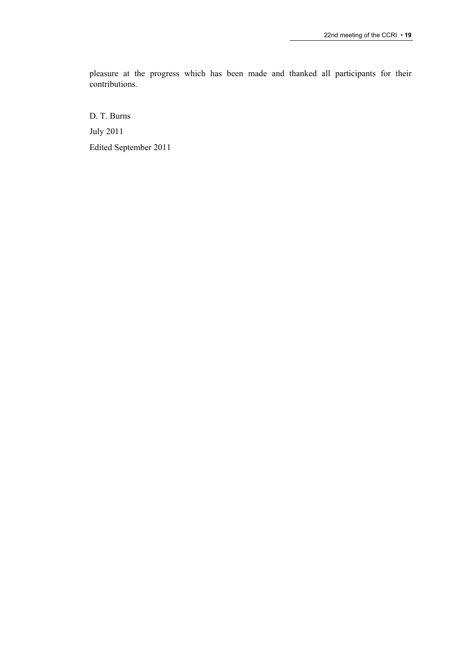pleasure at the progress which has been made and thanked all participants for their contributions.

D. T. Burns July 2011 Edited September 2011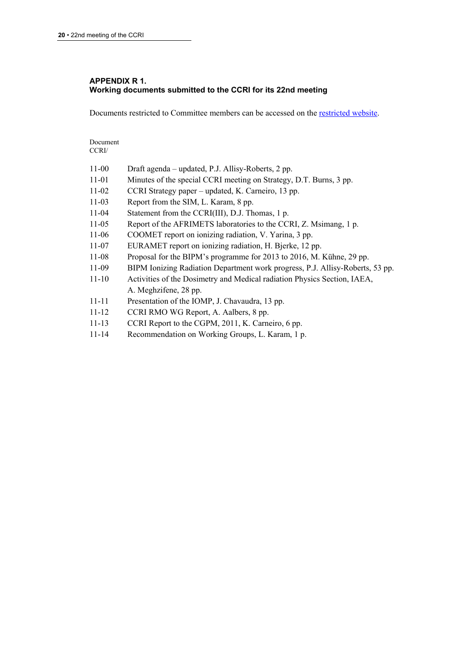# **APPENDIX R 1. Working documents submitted to the CCRI for its 22nd meeting**

Documents restricted to Committee members can be accessed on the [restricted website](http://www.bipm.org/cc/CCRI/Restricted/WorkingDocuments.jsp).

Document CCRI/

| $11 - 00$ | Draft agenda – updated, P.J. Allisy-Roberts, 2 pp.                            |
|-----------|-------------------------------------------------------------------------------|
| $11 - 01$ | Minutes of the special CCRI meeting on Strategy, D.T. Burns, 3 pp.            |
| $11-02$   | CCRI Strategy paper – updated, K. Carneiro, 13 pp.                            |
| $11 - 03$ | Report from the SIM, L. Karam, 8 pp.                                          |
| $11 - 04$ | Statement from the CCRI(III), D.J. Thomas, 1 p.                               |
| $11-05$   | Report of the AFRIMETS laboratories to the CCRI, Z. Msimang, 1 p.             |
| $11-06$   | COOMET report on ionizing radiation, V. Yarina, 3 pp.                         |
| $11 - 07$ | EURAMET report on ionizing radiation, H. Bjerke, 12 pp.                       |
| $11-08$   | Proposal for the BIPM's programme for 2013 to 2016, M. Kühne, 29 pp.          |
| 11-09     | BIPM Ionizing Radiation Department work progress, P.J. Allisy-Roberts, 53 pp. |
| $11 - 10$ | Activities of the Dosimetry and Medical radiation Physics Section, IAEA,      |
|           | A. Meghzifene, 28 pp.                                                         |
| $11 - 11$ | Presentation of the IOMP, J. Chavaudra, 13 pp.                                |
| $11 - 12$ | CCRI RMO WG Report, A. Aalbers, 8 pp.                                         |
| $11 - 13$ | CCRI Report to the CGPM, 2011, K. Carneiro, 6 pp.                             |
| $11 - 14$ | Recommendation on Working Groups, L. Karam, 1 p.                              |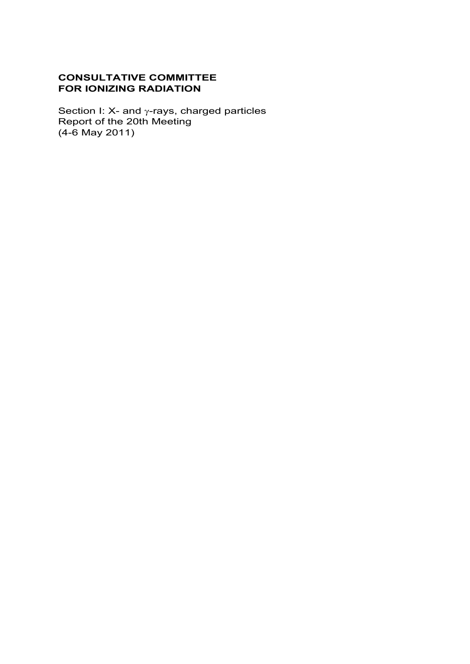# **CONSULTATIVE COMMITTEE FOR IONIZING RADIATION**

Section I: X- and  $\gamma$ -rays, charged particles Report of the 20th Meeting (4-6 May 2011)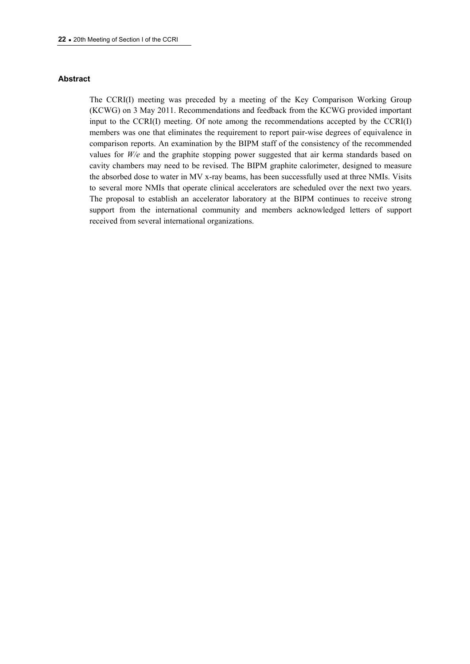## **Abstract**

The CCRI(I) meeting was preceded by a meeting of the Key Comparison Working Group (KCWG) on 3 May 2011. Recommendations and feedback from the KCWG provided important input to the  $CCRI(I)$  meeting. Of note among the recommendations accepted by the  $CCRI(I)$ members was one that eliminates the requirement to report pair-wise degrees of equivalence in comparison reports. An examination by the BIPM staff of the consistency of the recommended values for *W/e* and the graphite stopping power suggested that air kerma standards based on cavity chambers may need to be revised. The BIPM graphite calorimeter, designed to measure the absorbed dose to water in MV x-ray beams, has been successfully used at three NMIs. Visits to several more NMIs that operate clinical accelerators are scheduled over the next two years. The proposal to establish an accelerator laboratory at the BIPM continues to receive strong support from the international community and members acknowledged letters of support received from several international organizations.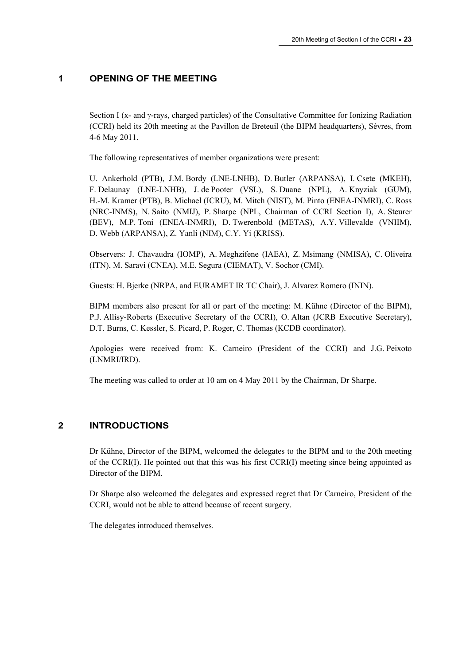# **1 OPENING OF THE MEETING**

Section I (x- and  $\gamma$ -rays, charged particles) of the Consultative Committee for Ionizing Radiation (CCRI) held its 20th meeting at the Pavillon de Breteuil (the BIPM headquarters), Sèvres, from 4-6 May 2011.

The following representatives of member organizations were present:

U. Ankerhold (PTB), J.M. Bordy (LNE-LNHB), D. Butler (ARPANSA), I. Csete (MKEH), F. Delaunay (LNE-LNHB), J. de Pooter (VSL), S. Duane (NPL), A. Knyziak (GUM), H.-M. Kramer (PTB), B. Michael (ICRU), M. Mitch (NIST), M. Pinto (ENEA-INMRI), C. Ross (NRC-INMS), N. Saito (NMIJ), P. Sharpe (NPL, Chairman of CCRI Section I), A. Steurer (BEV), M.P. Toni (ENEA-INMRI), D. Twerenbold (METAS), A.Y. Villevalde (VNIIM), D. Webb (ARPANSA), Z. Yanli (NIM), C.Y. Yi (KRISS).

Observers: J. Chavaudra (IOMP), A. Meghzifene (IAEA), Z. Msimang (NMISA), C. Oliveira (ITN), M. Saravi (CNEA), M.E. Segura (CIEMAT), V. Sochor (CMI).

Guests: H. Bjerke (NRPA, and EURAMET IR TC Chair), J. Alvarez Romero (ININ).

BIPM members also present for all or part of the meeting: M. Kühne (Director of the BIPM), P.J. Allisy-Roberts (Executive Secretary of the CCRI), O. Altan (JCRB Executive Secretary), D.T. Burns, C. Kessler, S. Picard, P. Roger, C. Thomas (KCDB coordinator).

Apologies were received from: K. Carneiro (President of the CCRI) and J.G. Peixoto (LNMRI/IRD).

The meeting was called to order at 10 am on 4 May 2011 by the Chairman, Dr Sharpe.

# **2 INTRODUCTIONS**

Dr Kühne, Director of the BIPM, welcomed the delegates to the BIPM and to the 20th meeting of the CCRI(I). He pointed out that this was his first CCRI(I) meeting since being appointed as Director of the BIPM.

Dr Sharpe also welcomed the delegates and expressed regret that Dr Carneiro, President of the CCRI, would not be able to attend because of recent surgery.

The delegates introduced themselves.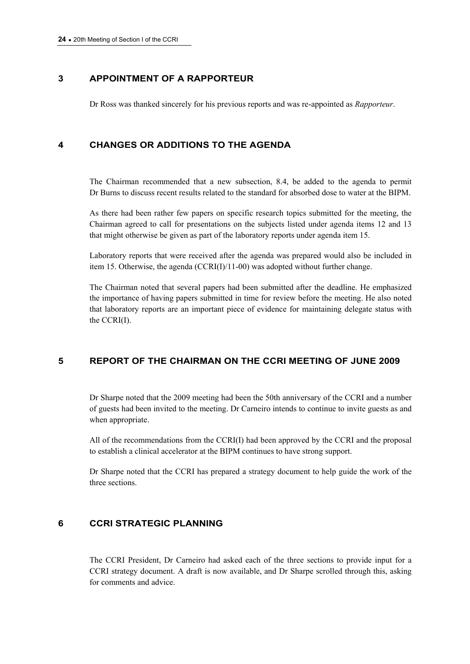# **3 APPOINTMENT OF A RAPPORTEUR**

Dr Ross was thanked sincerely for his previous reports and was re-appointed as *Rapporteur*.

# **4 CHANGES OR ADDITIONS TO THE AGENDA**

The Chairman recommended that a new subsection, 8.4, be added to the agenda to permit Dr Burns to discuss recent results related to the standard for absorbed dose to water at the BIPM.

As there had been rather few papers on specific research topics submitted for the meeting, the Chairman agreed to call for presentations on the subjects listed under agenda items 12 and 13 that might otherwise be given as part of the laboratory reports under agenda item 15.

Laboratory reports that were received after the agenda was prepared would also be included in item 15. Otherwise, the agenda (CCRI(I)/11-00) was adopted without further change.

The Chairman noted that several papers had been submitted after the deadline. He emphasized the importance of having papers submitted in time for review before the meeting. He also noted that laboratory reports are an important piece of evidence for maintaining delegate status with the CCRI(I).

# **5 REPORT OF THE CHAIRMAN ON THE CCRI MEETING OF JUNE 2009**

Dr Sharpe noted that the 2009 meeting had been the 50th anniversary of the CCRI and a number of guests had been invited to the meeting. Dr Carneiro intends to continue to invite guests as and when appropriate.

All of the recommendations from the CCRI(I) had been approved by the CCRI and the proposal to establish a clinical accelerator at the BIPM continues to have strong support.

Dr Sharpe noted that the CCRI has prepared a strategy document to help guide the work of the three sections.

# **6 CCRI STRATEGIC PLANNING**

The CCRI President, Dr Carneiro had asked each of the three sections to provide input for a CCRI strategy document. A draft is now available, and Dr Sharpe scrolled through this, asking for comments and advice.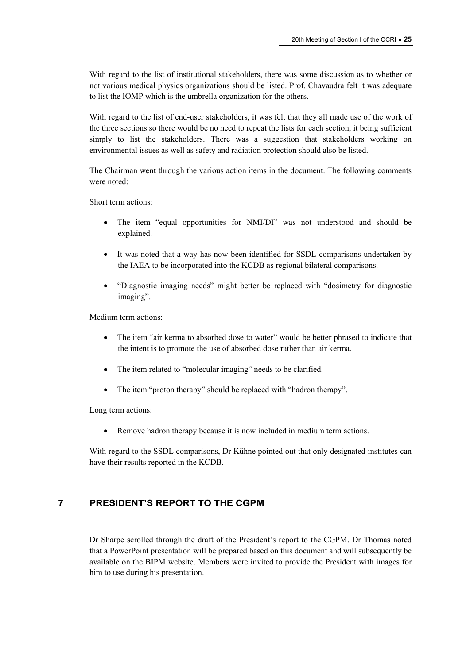With regard to the list of institutional stakeholders, there was some discussion as to whether or not various medical physics organizations should be listed. Prof. Chavaudra felt it was adequate to list the IOMP which is the umbrella organization for the others.

With regard to the list of end-user stakeholders, it was felt that they all made use of the work of the three sections so there would be no need to repeat the lists for each section, it being sufficient simply to list the stakeholders. There was a suggestion that stakeholders working on environmental issues as well as safety and radiation protection should also be listed.

The Chairman went through the various action items in the document. The following comments were noted:

Short term actions:

- The item "equal opportunities for NMI/DI" was not understood and should be explained.
- It was noted that a way has now been identified for SSDL comparisons undertaken by the IAEA to be incorporated into the KCDB as regional bilateral comparisons.
- "Diagnostic imaging needs" might better be replaced with "dosimetry for diagnostic imaging".

Medium term actions:

- The item "air kerma to absorbed dose to water" would be better phrased to indicate that the intent is to promote the use of absorbed dose rather than air kerma.
- The item related to "molecular imaging" needs to be clarified.
- The item "proton therapy" should be replaced with "hadron therapy".

Long term actions:

Remove hadron therapy because it is now included in medium term actions.

With regard to the SSDL comparisons, Dr Kühne pointed out that only designated institutes can have their results reported in the KCDB.

# **7 PRESIDENT'S REPORT TO THE CGPM**

Dr Sharpe scrolled through the draft of the President's report to the CGPM. Dr Thomas noted that a PowerPoint presentation will be prepared based on this document and will subsequently be available on the BIPM website. Members were invited to provide the President with images for him to use during his presentation.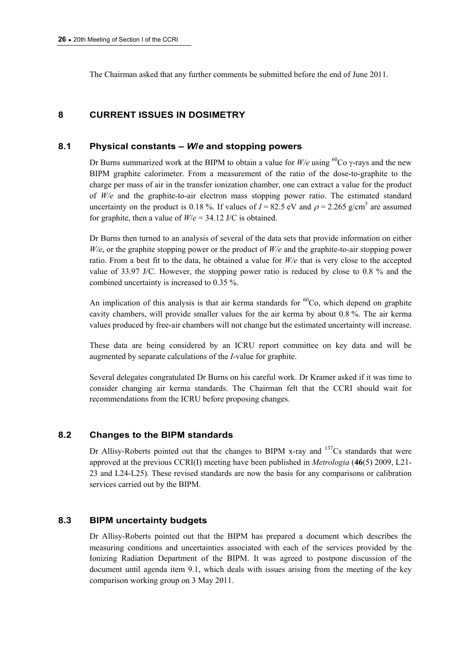The Chairman asked that any further comments be submitted before the end of June 2011.

# **8 CURRENT ISSUES IN DOSIMETRY**

## **8.1 Physical constants –** *W***/***e* **and stopping powers**

Dr Burns summarized work at the BIPM to obtain a value for  $W/e$  using <sup>60</sup>Co  $\gamma$ -rays and the new BIPM graphite calorimeter. From a measurement of the ratio of the dose-to-graphite to the charge per mass of air in the transfer ionization chamber, one can extract a value for the product of *W/e* and the graphite-to-air electron mass stopping power ratio. The estimated standard uncertainty on the product is 0.18%. If values of  $I = 82.5$  eV and  $\rho = 2.265$  g/cm<sup>3</sup> are assumed for graphite, then a value of *W*/*e* = 34.12 J/C is obtained.

Dr Burns then turned to an analysis of several of the data sets that provide information on either *W/e*, or the graphite stopping power or the product of *W/e* and the graphite-to-air stopping power ratio. From a best fit to the data, he obtained a value for *W/e* that is very close to the accepted value of 33.97 J/C. However, the stopping power ratio is reduced by close to 0.8 % and the combined uncertainty is increased to 0.35 %.

An implication of this analysis is that air kerma standards for  ${}^{60}Co$ , which depend on graphite cavity chambers, will provide smaller values for the air kerma by about 0.8 %. The air kerma values produced by free-air chambers will not change but the estimated uncertainty will increase.

These data are being considered by an ICRU report committee on key data and will be augmented by separate calculations of the *I*-value for graphite.

Several delegates congratulated Dr Burns on his careful work. Dr Kramer asked if it was time to consider changing air kerma standards. The Chairman felt that the CCRI should wait for recommendations from the ICRU before proposing changes.

## **8.2 Changes to the BIPM standards**

Dr Allisy-Roberts pointed out that the changes to BIPM x-ray and  $137Cs$  standards that were approved at the previous CCRI(I) meeting have been published in *Metrologia* (**46**(5) 2009, L21- 23 and L24-L25). These revised standards are now the basis for any comparisons or calibration services carried out by the BIPM.

## **8.3 BIPM uncertainty budgets**

Dr Allisy-Roberts pointed out that the BIPM has prepared a document which describes the measuring conditions and uncertainties associated with each of the services provided by the Ionizing Radiation Department of the BIPM. It was agreed to postpone discussion of the document until agenda item 9.1, which deals with issues arising from the meeting of the key comparison working group on 3 May 2011.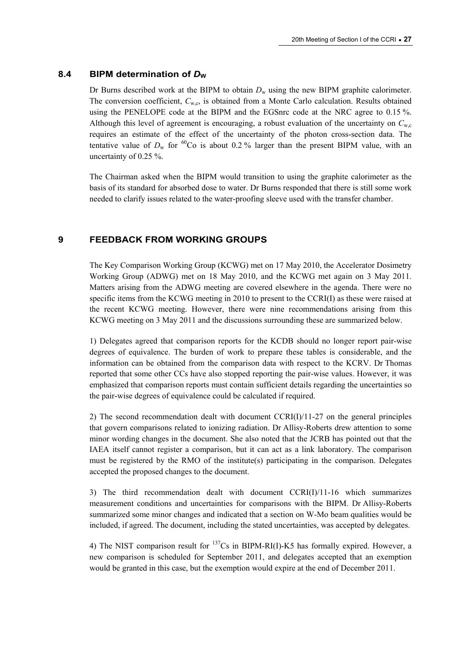# 8.4 BIPM determination of  $D_w$

Dr Burns described work at the BIPM to obtain  $D_w$  using the new BIPM graphite calorimeter. The conversion coefficient,  $C_{w,c}$ , is obtained from a Monte Carlo calculation. Results obtained using the PENELOPE code at the BIPM and the EGSnrc code at the NRC agree to 0.15 %. Although this level of agreement is encouraging, a robust evaluation of the uncertainty on  $C_{\rm w,c}$ requires an estimate of the effect of the uncertainty of the photon cross-section data. The tentative value of  $D_w$  for <sup>60</sup>Co is about 0.2 % larger than the present BIPM value, with an uncertainty of 0.25 %.

The Chairman asked when the BIPM would transition to using the graphite calorimeter as the basis of its standard for absorbed dose to water. Dr Burns responded that there is still some work needed to clarify issues related to the water-proofing sleeve used with the transfer chamber.

# **9 FEEDBACK FROM WORKING GROUPS**

The Key Comparison Working Group (KCWG) met on 17 May 2010, the Accelerator Dosimetry Working Group (ADWG) met on 18 May 2010, and the KCWG met again on 3 May 2011. Matters arising from the ADWG meeting are covered elsewhere in the agenda. There were no specific items from the KCWG meeting in 2010 to present to the CCRI(I) as these were raised at the recent KCWG meeting. However, there were nine recommendations arising from this KCWG meeting on 3 May 2011 and the discussions surrounding these are summarized below.

1) Delegates agreed that comparison reports for the KCDB should no longer report pair-wise degrees of equivalence. The burden of work to prepare these tables is considerable, and the information can be obtained from the comparison data with respect to the KCRV. Dr Thomas reported that some other CCs have also stopped reporting the pair-wise values. However, it was emphasized that comparison reports must contain sufficient details regarding the uncertainties so the pair-wise degrees of equivalence could be calculated if required.

2) The second recommendation dealt with document CCRI(I)/11-27 on the general principles that govern comparisons related to ionizing radiation. Dr Allisy-Roberts drew attention to some minor wording changes in the document. She also noted that the JCRB has pointed out that the IAEA itself cannot register a comparison, but it can act as a link laboratory. The comparison must be registered by the RMO of the institute(s) participating in the comparison. Delegates accepted the proposed changes to the document.

3) The third recommendation dealt with document CCRI(I)/11-16 which summarizes measurement conditions and uncertainties for comparisons with the BIPM. Dr Allisy-Roberts summarized some minor changes and indicated that a section on W-Mo beam qualities would be included, if agreed. The document, including the stated uncertainties, was accepted by delegates.

4) The NIST comparison result for  $^{137}Cs$  in BIPM-RI(I)-K5 has formally expired. However, a new comparison is scheduled for September 2011, and delegates accepted that an exemption would be granted in this case, but the exemption would expire at the end of December 2011.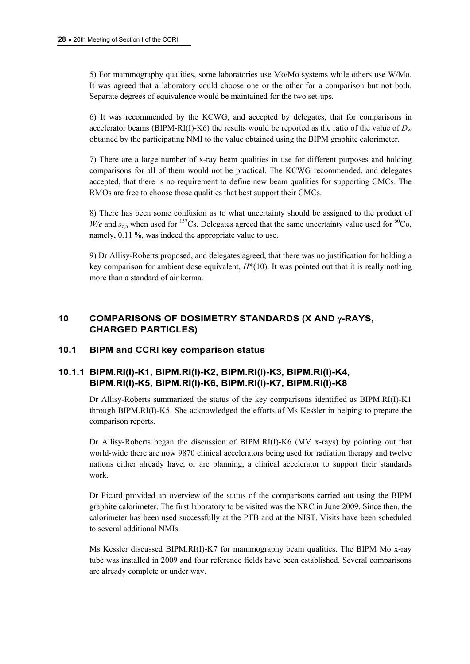5) For mammography qualities, some laboratories use Mo/Mo systems while others use W/Mo. It was agreed that a laboratory could choose one or the other for a comparison but not both. Separate degrees of equivalence would be maintained for the two set-ups.

6) It was recommended by the KCWG, and accepted by delegates, that for comparisons in accelerator beams (BIPM-RI(I)-K6) the results would be reported as the ratio of the value of  $D_w$ obtained by the participating NMI to the value obtained using the BIPM graphite calorimeter.

7) There are a large number of x-ray beam qualities in use for different purposes and holding comparisons for all of them would not be practical. The KCWG recommended, and delegates accepted, that there is no requirement to define new beam qualities for supporting CMCs. The RMOs are free to choose those qualities that best support their CMCs.

8) There has been some confusion as to what uncertainty should be assigned to the product of *W/e* and  $s_{c,a}$  when used for <sup>137</sup>Cs. Delegates agreed that the same uncertainty value used for <sup>60</sup>Co, namely, 0.11 %, was indeed the appropriate value to use.

9) Dr Allisy-Roberts proposed, and delegates agreed, that there was no justification for holding a key comparison for ambient dose equivalent,  $H^*(10)$ . It was pointed out that it is really nothing more than a standard of air kerma.

# 10 COMPARISONS OF DOSIMETRY STANDARDS (X AND  $\gamma$ -RAYS, **CHARGED PARTICLES)**

# **10.1 BIPM and CCRI key comparison status**

# **10.1.1 BIPM.RI(I)-K1, BIPM.RI(I)-K2, BIPM.RI(I)-K3, BIPM.RI(I)-K4, BIPM.RI(I)-K5, BIPM.RI(I)-K6, BIPM.RI(I)-K7, BIPM.RI(I)-K8**

Dr Allisy-Roberts summarized the status of the key comparisons identified as BIPM.RI(I)-K1 through BIPM.RI(I)-K5. She acknowledged the efforts of Ms Kessler in helping to prepare the comparison reports.

Dr Allisy-Roberts began the discussion of BIPM.RI(I)-K6 (MV x-rays) by pointing out that world-wide there are now 9870 clinical accelerators being used for radiation therapy and twelve nations either already have, or are planning, a clinical accelerator to support their standards work.

Dr Picard provided an overview of the status of the comparisons carried out using the BIPM graphite calorimeter. The first laboratory to be visited was the NRC in June 2009. Since then, the calorimeter has been used successfully at the PTB and at the NIST. Visits have been scheduled to several additional NMIs.

Ms Kessler discussed BIPM.RI(I)-K7 for mammography beam qualities. The BIPM Mo x-ray tube was installed in 2009 and four reference fields have been established. Several comparisons are already complete or under way.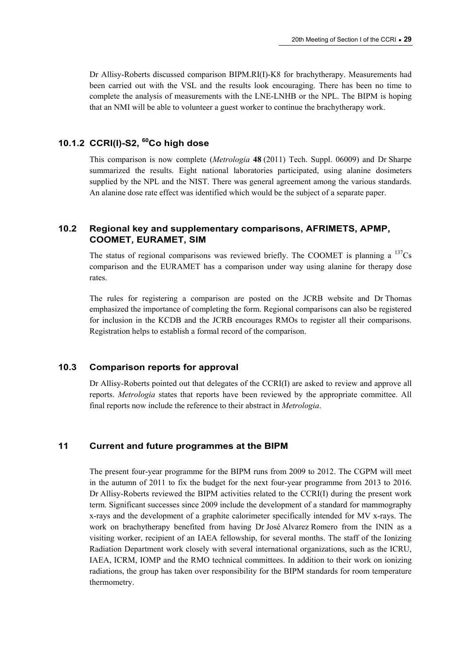Dr Allisy-Roberts discussed comparison BIPM.RI(I)-K8 for brachytherapy. Measurements had been carried out with the VSL and the results look encouraging. There has been no time to complete the analysis of measurements with the LNE-LNHB or the NPL. The BIPM is hoping that an NMI will be able to volunteer a guest worker to continue the brachytherapy work.

# **10.1.2 CCRI(I)-S2, 60Co high dose**

This comparison is now complete (*Metrologia* **48** (2011) Tech. Suppl. 06009) and Dr Sharpe summarized the results. Eight national laboratories participated, using alanine dosimeters supplied by the NPL and the NIST. There was general agreement among the various standards. An alanine dose rate effect was identified which would be the subject of a separate paper.

# **10.2 Regional key and supplementary comparisons, AFRIMETS, APMP, COOMET, EURAMET, SIM**

The status of regional comparisons was reviewed briefly. The COOMET is planning a  $\frac{137}{Cs}$ comparison and the EURAMET has a comparison under way using alanine for therapy dose rates.

The rules for registering a comparison are posted on the JCRB website and Dr Thomas emphasized the importance of completing the form. Regional comparisons can also be registered for inclusion in the KCDB and the JCRB encourages RMOs to register all their comparisons. Registration helps to establish a formal record of the comparison.

# **10.3 Comparison reports for approval**

Dr Allisy-Roberts pointed out that delegates of the CCRI(I) are asked to review and approve all reports. *Metrologia* states that reports have been reviewed by the appropriate committee. All final reports now include the reference to their abstract in *Metrologia*.

# **11 Current and future programmes at the BIPM**

The present four-year programme for the BIPM runs from 2009 to 2012. The CGPM will meet in the autumn of 2011 to fix the budget for the next four-year programme from 2013 to 2016. Dr Allisy-Roberts reviewed the BIPM activities related to the CCRI(I) during the present work term. Significant successes since 2009 include the development of a standard for mammography x-rays and the development of a graphite calorimeter specifically intended for MV x-rays. The work on brachytherapy benefited from having Dr José Alvarez Romero from the ININ as a visiting worker, recipient of an IAEA fellowship, for several months. The staff of the Ionizing Radiation Department work closely with several international organizations, such as the ICRU, IAEA, ICRM, IOMP and the RMO technical committees. In addition to their work on ionizing radiations, the group has taken over responsibility for the BIPM standards for room temperature thermometry.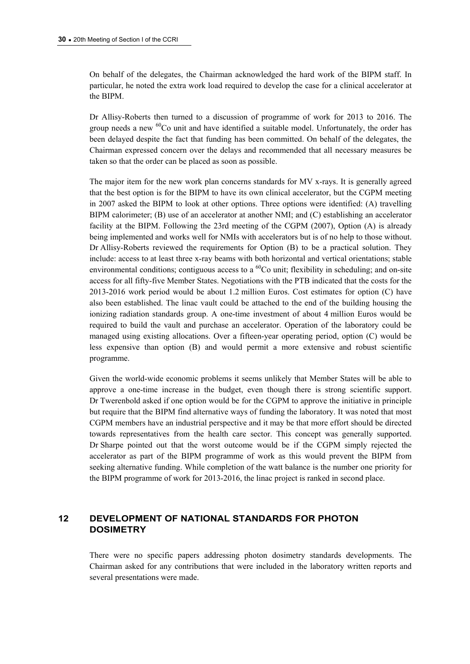On behalf of the delegates, the Chairman acknowledged the hard work of the BIPM staff. In particular, he noted the extra work load required to develop the case for a clinical accelerator at the BIPM.

Dr Allisy-Roberts then turned to a discussion of programme of work for 2013 to 2016. The group needs a new <sup>60</sup>Co unit and have identified a suitable model. Unfortunately, the order has been delayed despite the fact that funding has been committed. On behalf of the delegates, the Chairman expressed concern over the delays and recommended that all necessary measures be taken so that the order can be placed as soon as possible.

The major item for the new work plan concerns standards for MV x-rays. It is generally agreed that the best option is for the BIPM to have its own clinical accelerator, but the CGPM meeting in 2007 asked the BIPM to look at other options. Three options were identified: (A) travelling BIPM calorimeter; (B) use of an accelerator at another NMI; and (C) establishing an accelerator facility at the BIPM. Following the 23rd meeting of the CGPM (2007), Option (A) is already being implemented and works well for NMIs with accelerators but is of no help to those without. Dr Allisy-Roberts reviewed the requirements for Option (B) to be a practical solution. They include: access to at least three x-ray beams with both horizontal and vertical orientations; stable environmental conditions; contiguous access to a  ${}^{60}Co$  unit; flexibility in scheduling; and on-site access for all fifty-five Member States. Negotiations with the PTB indicated that the costs for the 2013-2016 work period would be about 1.2 million Euros. Cost estimates for option (C) have also been established. The linac vault could be attached to the end of the building housing the ionizing radiation standards group. A one-time investment of about 4 million Euros would be required to build the vault and purchase an accelerator. Operation of the laboratory could be managed using existing allocations. Over a fifteen-year operating period, option (C) would be less expensive than option (B) and would permit a more extensive and robust scientific programme.

Given the world-wide economic problems it seems unlikely that Member States will be able to approve a one-time increase in the budget, even though there is strong scientific support. Dr Twerenbold asked if one option would be for the CGPM to approve the initiative in principle but require that the BIPM find alternative ways of funding the laboratory. It was noted that most CGPM members have an industrial perspective and it may be that more effort should be directed towards representatives from the health care sector. This concept was generally supported. Dr Sharpe pointed out that the worst outcome would be if the CGPM simply rejected the accelerator as part of the BIPM programme of work as this would prevent the BIPM from seeking alternative funding. While completion of the watt balance is the number one priority for the BIPM programme of work for 2013-2016, the linac project is ranked in second place.

# **12 DEVELOPMENT OF NATIONAL STANDARDS FOR PHOTON DOSIMETRY**

There were no specific papers addressing photon dosimetry standards developments. The Chairman asked for any contributions that were included in the laboratory written reports and several presentations were made.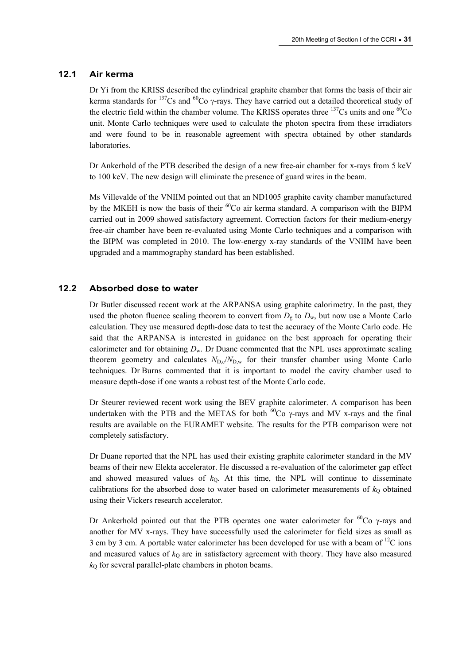# **12.1 Air kerma**

Dr Yi from the KRISS described the cylindrical graphite chamber that forms the basis of their air kerma standards for  $^{137}Cs$  and  $^{60}Co$   $\gamma$ -rays. They have carried out a detailed theoretical study of the electric field within the chamber volume. The KRISS operates three  $137$ Cs units and one  $60$ Co unit. Monte Carlo techniques were used to calculate the photon spectra from these irradiators and were found to be in reasonable agreement with spectra obtained by other standards laboratories.

Dr Ankerhold of the PTB described the design of a new free-air chamber for x-rays from 5 keV to 100 keV. The new design will eliminate the presence of guard wires in the beam.

Ms Villevalde of the VNIIM pointed out that an ND1005 graphite cavity chamber manufactured by the MKEH is now the basis of their  ${}^{60}Co$  air kerma standard. A comparison with the BIPM carried out in 2009 showed satisfactory agreement. Correction factors for their medium-energy free-air chamber have been re-evaluated using Monte Carlo techniques and a comparison with the BIPM was completed in 2010. The low-energy x-ray standards of the VNIIM have been upgraded and a mammography standard has been established.

## **12.2 Absorbed dose to water**

Dr Butler discussed recent work at the ARPANSA using graphite calorimetry. In the past, they used the photon fluence scaling theorem to convert from  $D_{\alpha}$  to  $D_{\alpha}$ , but now use a Monte Carlo calculation. They use measured depth-dose data to test the accuracy of the Monte Carlo code. He said that the ARPANSA is interested in guidance on the best approach for operating their calorimeter and for obtaining  $D_w$ . Dr Duane commented that the NPL uses approximate scaling theorem geometry and calculates  $N_{\text{D}} c/N_{\text{D}} w$  for their transfer chamber using Monte Carlo techniques. Dr Burns commented that it is important to model the cavity chamber used to measure depth-dose if one wants a robust test of the Monte Carlo code.

Dr Steurer reviewed recent work using the BEV graphite calorimeter. A comparison has been undertaken with the PTB and the METAS for both  ${}^{60}Co$   $\gamma$ -rays and MV x-rays and the final results are available on the EURAMET website. The results for the PTB comparison were not completely satisfactory.

Dr Duane reported that the NPL has used their existing graphite calorimeter standard in the MV beams of their new Elekta accelerator. He discussed a re-evaluation of the calorimeter gap effect and showed measured values of  $k<sub>Q</sub>$ . At this time, the NPL will continue to disseminate calibrations for the absorbed dose to water based on calorimeter measurements of  $k<sub>Q</sub>$  obtained using their Vickers research accelerator.

Dr Ankerhold pointed out that the PTB operates one water calorimeter for  ${}^{60}Co$   $\gamma$ -rays and another for MV x-rays. They have successfully used the calorimeter for field sizes as small as 3 cm by 3 cm. A portable water calorimeter has been developed for use with a beam of  $^{12}C$  ions and measured values of  $k<sub>0</sub>$  are in satisfactory agreement with theory. They have also measured  $k<sub>O</sub>$  for several parallel-plate chambers in photon beams.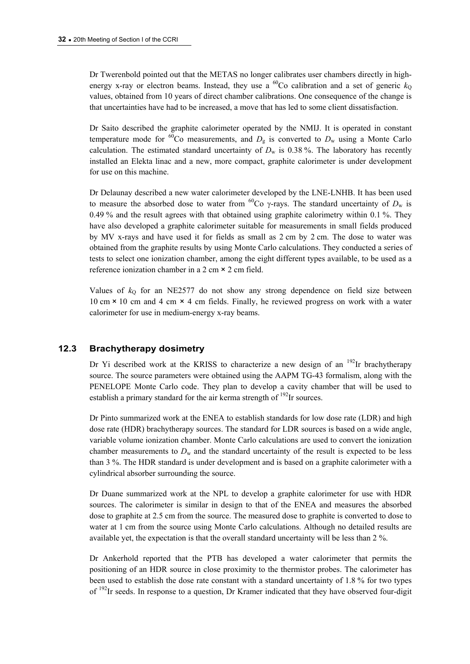Dr Twerenbold pointed out that the METAS no longer calibrates user chambers directly in highenergy x-ray or electron beams. Instead, they use a <sup>60</sup>Co calibration and a set of generic  $k_0$ values, obtained from 10 years of direct chamber calibrations. One consequence of the change is that uncertainties have had to be increased, a move that has led to some client dissatisfaction.

Dr Saito described the graphite calorimeter operated by the NMIJ. It is operated in constant temperature mode for <sup>60</sup>Co measurements, and  $D<sub>g</sub>$  is converted to  $D<sub>w</sub>$  using a Monte Carlo calculation. The estimated standard uncertainty of  $D_w$  is 0.38%. The laboratory has recently installed an Elekta linac and a new, more compact, graphite calorimeter is under development for use on this machine.

Dr Delaunay described a new water calorimeter developed by the LNE-LNHB. It has been used to measure the absorbed dose to water from <sup>60</sup>Co  $\gamma$ -rays. The standard uncertainty of  $D_w$  is 0.49 % and the result agrees with that obtained using graphite calorimetry within 0.1 %. They have also developed a graphite calorimeter suitable for measurements in small fields produced by MV x-rays and have used it for fields as small as 2 cm by 2 cm. The dose to water was obtained from the graphite results by using Monte Carlo calculations. They conducted a series of tests to select one ionization chamber, among the eight different types available, to be used as a reference ionization chamber in a 2 cm × 2 cm field.

Values of  $k_Q$  for an NE2577 do not show any strong dependence on field size between 10 cm × 10 cm and 4 cm × 4 cm fields. Finally, he reviewed progress on work with a water calorimeter for use in medium-energy x-ray beams.

## **12.3 Brachytherapy dosimetry**

Dr Yi described work at the KRISS to characterize a new design of an  $192$ Ir brachytherapy source. The source parameters were obtained using the AAPM TG-43 formalism, along with the PENELOPE Monte Carlo code. They plan to develop a cavity chamber that will be used to establish a primary standard for the air kerma strength of  $^{192}$ Ir sources.

Dr Pinto summarized work at the ENEA to establish standards for low dose rate (LDR) and high dose rate (HDR) brachytherapy sources. The standard for LDR sources is based on a wide angle, variable volume ionization chamber. Monte Carlo calculations are used to convert the ionization chamber measurements to  $D_w$  and the standard uncertainty of the result is expected to be less than 3 %. The HDR standard is under development and is based on a graphite calorimeter with a cylindrical absorber surrounding the source.

Dr Duane summarized work at the NPL to develop a graphite calorimeter for use with HDR sources. The calorimeter is similar in design to that of the ENEA and measures the absorbed dose to graphite at 2.5 cm from the source. The measured dose to graphite is converted to dose to water at 1 cm from the source using Monte Carlo calculations. Although no detailed results are available yet, the expectation is that the overall standard uncertainty will be less than 2 %.

Dr Ankerhold reported that the PTB has developed a water calorimeter that permits the positioning of an HDR source in close proximity to the thermistor probes. The calorimeter has been used to establish the dose rate constant with a standard uncertainty of 1.8 % for two types of <sup>192</sup>Ir seeds. In response to a question, Dr Kramer indicated that they have observed four-digit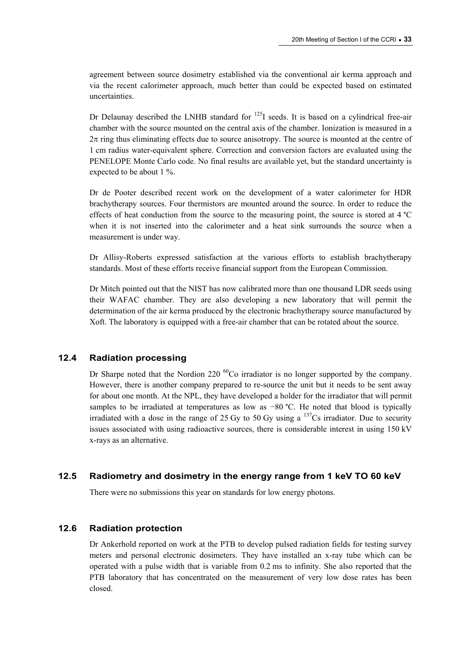agreement between source dosimetry established via the conventional air kerma approach and via the recent calorimeter approach, much better than could be expected based on estimated uncertainties.

Dr Delaunay described the LNHB standard for  $^{125}$ I seeds. It is based on a cylindrical free-air chamber with the source mounted on the central axis of the chamber. Ionization is measured in a  $2\pi$  ring thus eliminating effects due to source anisotropy. The source is mounted at the centre of 1 cm radius water-equivalent sphere. Correction and conversion factors are evaluated using the PENELOPE Monte Carlo code. No final results are available yet, but the standard uncertainty is expected to be about 1 %.

Dr de Pooter described recent work on the development of a water calorimeter for HDR brachytherapy sources. Four thermistors are mounted around the source. In order to reduce the effects of heat conduction from the source to the measuring point, the source is stored at 4 °C when it is not inserted into the calorimeter and a heat sink surrounds the source when a measurement is under way.

Dr Allisy-Roberts expressed satisfaction at the various efforts to establish brachytherapy standards. Most of these efforts receive financial support from the European Commission.

Dr Mitch pointed out that the NIST has now calibrated more than one thousand LDR seeds using their WAFAC chamber. They are also developing a new laboratory that will permit the determination of the air kerma produced by the electronic brachytherapy source manufactured by Xoft. The laboratory is equipped with a free-air chamber that can be rotated about the source.

# **12.4 Radiation processing**

Dr Sharpe noted that the Nordion 220<sup> $60$ </sup>Co irradiator is no longer supported by the company. However, there is another company prepared to re-source the unit but it needs to be sent away for about one month. At the NPL, they have developed a holder for the irradiator that will permit samples to be irradiated at temperatures as low as −80 °C. He noted that blood is typically irradiated with a dose in the range of 25 Gy to 50 Gy using a  $\frac{137}{\text{Cs}}$  irradiator. Due to security issues associated with using radioactive sources, there is considerable interest in using 150 kV x-rays as an alternative.

## **12.5 Radiometry and dosimetry in the energy range from 1 keV TO 60 keV**

There were no submissions this year on standards for low energy photons.

## **12.6 Radiation protection**

Dr Ankerhold reported on work at the PTB to develop pulsed radiation fields for testing survey meters and personal electronic dosimeters. They have installed an x-ray tube which can be operated with a pulse width that is variable from 0.2 ms to infinity. She also reported that the PTB laboratory that has concentrated on the measurement of very low dose rates has been closed.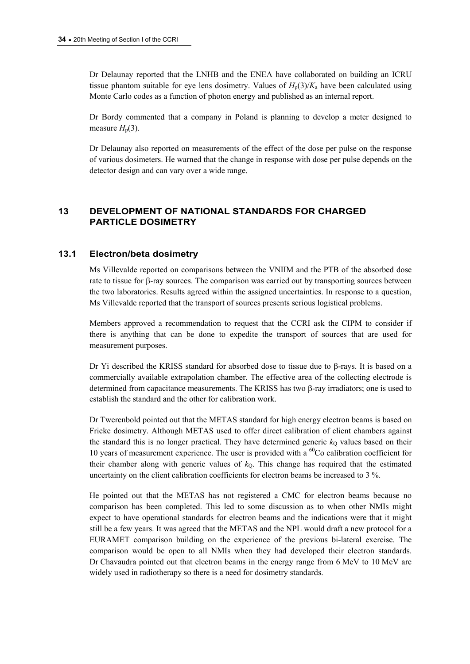Dr Delaunay reported that the LNHB and the ENEA have collaborated on building an ICRU tissue phantom suitable for eye lens dosimetry. Values of  $H_p(3)/K_a$  have been calculated using Monte Carlo codes as a function of photon energy and published as an internal report.

Dr Bordy commented that a company in Poland is planning to develop a meter designed to measure  $H<sub>n</sub>(3)$ .

Dr Delaunay also reported on measurements of the effect of the dose per pulse on the response of various dosimeters. He warned that the change in response with dose per pulse depends on the detector design and can vary over a wide range.

# **13 DEVELOPMENT OF NATIONAL STANDARDS FOR CHARGED PARTICLE DOSIMETRY**

## **13.1 Electron/beta dosimetry**

Ms Villevalde reported on comparisons between the VNIIM and the PTB of the absorbed dose rate to tissue for  $\beta$ -ray sources. The comparison was carried out by transporting sources between the two laboratories. Results agreed within the assigned uncertainties. In response to a question, Ms Villevalde reported that the transport of sources presents serious logistical problems.

Members approved a recommendation to request that the CCRI ask the CIPM to consider if there is anything that can be done to expedite the transport of sources that are used for measurement purposes.

Dr Yi described the KRISS standard for absorbed dose to tissue due to  $\beta$ -rays. It is based on a commercially available extrapolation chamber. The effective area of the collecting electrode is determined from capacitance measurements. The KRISS has two  $\beta$ -ray irradiators; one is used to establish the standard and the other for calibration work.

Dr Twerenbold pointed out that the METAS standard for high energy electron beams is based on Fricke dosimetry. Although METAS used to offer direct calibration of client chambers against the standard this is no longer practical. They have determined generic  $k<sub>Q</sub>$  values based on their 10 years of measurement experience. The user is provided with a  $^{60}$ Co calibration coefficient for their chamber along with generic values of  $k<sub>0</sub>$ . This change has required that the estimated uncertainty on the client calibration coefficients for electron beams be increased to 3 %.

He pointed out that the METAS has not registered a CMC for electron beams because no comparison has been completed. This led to some discussion as to when other NMIs might expect to have operational standards for electron beams and the indications were that it might still be a few years. It was agreed that the METAS and the NPL would draft a new protocol for a EURAMET comparison building on the experience of the previous bi-lateral exercise. The comparison would be open to all NMIs when they had developed their electron standards. Dr Chavaudra pointed out that electron beams in the energy range from 6 MeV to 10 MeV are widely used in radiotherapy so there is a need for dosimetry standards.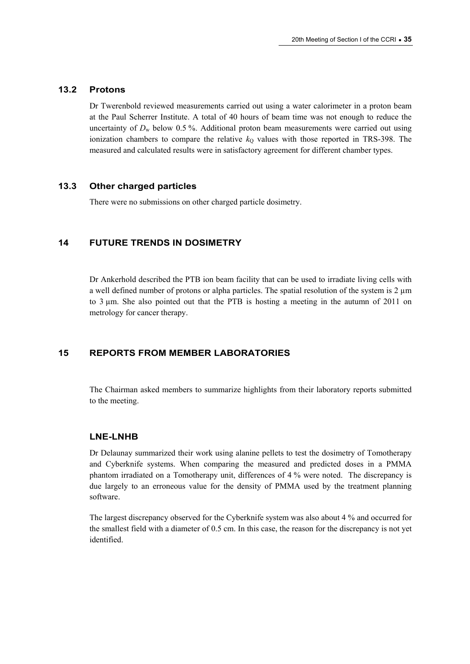## **13.2 Protons**

Dr Twerenbold reviewed measurements carried out using a water calorimeter in a proton beam at the Paul Scherrer Institute. A total of 40 hours of beam time was not enough to reduce the uncertainty of  $D_w$  below 0.5 %. Additional proton beam measurements were carried out using ionization chambers to compare the relative  $k<sub>Q</sub>$  values with those reported in TRS-398. The measured and calculated results were in satisfactory agreement for different chamber types.

# **13.3 Other charged particles**

There were no submissions on other charged particle dosimetry.

# **14 FUTURE TRENDS IN DOSIMETRY**

Dr Ankerhold described the PTB ion beam facility that can be used to irradiate living cells with a well defined number of protons or alpha particles. The spatial resolution of the system is  $2 \mu m$ to 3 µm. She also pointed out that the PTB is hosting a meeting in the autumn of 2011 on metrology for cancer therapy.

# **15 REPORTS FROM MEMBER LABORATORIES**

The Chairman asked members to summarize highlights from their laboratory reports submitted to the meeting.

## **LNE-LNHB**

Dr Delaunay summarized their work using alanine pellets to test the dosimetry of Tomotherapy and Cyberknife systems. When comparing the measured and predicted doses in a PMMA phantom irradiated on a Tomotherapy unit, differences of 4 % were noted. The discrepancy is due largely to an erroneous value for the density of PMMA used by the treatment planning software.

The largest discrepancy observed for the Cyberknife system was also about 4 % and occurred for the smallest field with a diameter of 0.5 cm. In this case, the reason for the discrepancy is not yet identified.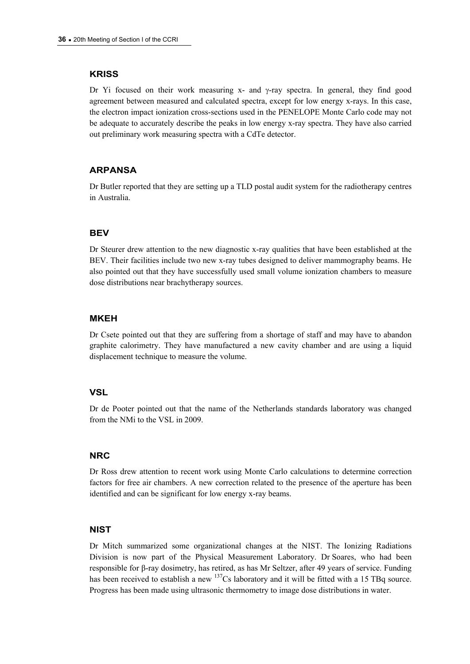## **KRISS**

Dr Yi focused on their work measuring  $x$ - and  $\gamma$ -ray spectra. In general, they find good agreement between measured and calculated spectra, except for low energy x-rays. In this case, the electron impact ionization cross-sections used in the PENELOPE Monte Carlo code may not be adequate to accurately describe the peaks in low energy x-ray spectra. They have also carried out preliminary work measuring spectra with a CdTe detector.

## **ARPANSA**

Dr Butler reported that they are setting up a TLD postal audit system for the radiotherapy centres in Australia.

## **BEV**

Dr Steurer drew attention to the new diagnostic x-ray qualities that have been established at the BEV. Their facilities include two new x-ray tubes designed to deliver mammography beams. He also pointed out that they have successfully used small volume ionization chambers to measure dose distributions near brachytherapy sources.

## **MKEH**

Dr Csete pointed out that they are suffering from a shortage of staff and may have to abandon graphite calorimetry. They have manufactured a new cavity chamber and are using a liquid displacement technique to measure the volume.

## **VSL**

Dr de Pooter pointed out that the name of the Netherlands standards laboratory was changed from the NMi to the VSL in 2009.

## **NRC**

Dr Ross drew attention to recent work using Monte Carlo calculations to determine correction factors for free air chambers. A new correction related to the presence of the aperture has been identified and can be significant for low energy x-ray beams.

## **NIST**

Dr Mitch summarized some organizational changes at the NIST. The Ionizing Radiations Division is now part of the Physical Measurement Laboratory. Dr Soares, who had been responsible for β-ray dosimetry, has retired, as has Mr Seltzer, after 49 years of service. Funding has been received to establish a new <sup>137</sup>Cs laboratory and it will be fitted with a 15 TBq source. Progress has been made using ultrasonic thermometry to image dose distributions in water.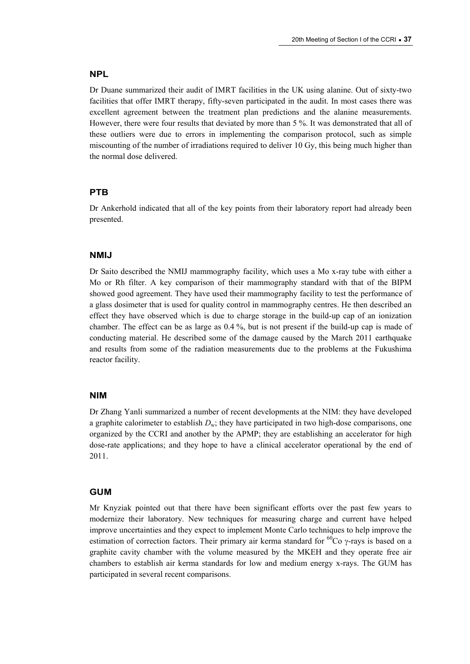#### **NPL**

Dr Duane summarized their audit of IMRT facilities in the UK using alanine. Out of sixty-two facilities that offer IMRT therapy, fifty-seven participated in the audit. In most cases there was excellent agreement between the treatment plan predictions and the alanine measurements. However, there were four results that deviated by more than 5 %. It was demonstrated that all of these outliers were due to errors in implementing the comparison protocol, such as simple miscounting of the number of irradiations required to deliver 10 Gy, this being much higher than the normal dose delivered.

### **PTB**

Dr Ankerhold indicated that all of the key points from their laboratory report had already been presented.

### **NMIJ**

Dr Saito described the NMIJ mammography facility, which uses a Mo x-ray tube with either a Mo or Rh filter. A key comparison of their mammography standard with that of the BIPM showed good agreement. They have used their mammography facility to test the performance of a glass dosimeter that is used for quality control in mammography centres. He then described an effect they have observed which is due to charge storage in the build-up cap of an ionization chamber. The effect can be as large as 0.4 %, but is not present if the build-up cap is made of conducting material. He described some of the damage caused by the March 2011 earthquake and results from some of the radiation measurements due to the problems at the Fukushima reactor facility.

#### **NIM**

Dr Zhang Yanli summarized a number of recent developments at the NIM: they have developed a graphite calorimeter to establish *D*w; they have participated in two high-dose comparisons, one organized by the CCRI and another by the APMP; they are establishing an accelerator for high dose-rate applications; and they hope to have a clinical accelerator operational by the end of 2011.

#### **GUM**

Mr Knyziak pointed out that there have been significant efforts over the past few years to modernize their laboratory. New techniques for measuring charge and current have helped improve uncertainties and they expect to implement Monte Carlo techniques to help improve the estimation of correction factors. Their primary air kerma standard for  ${}^{60}Co$  y-rays is based on a graphite cavity chamber with the volume measured by the MKEH and they operate free air chambers to establish air kerma standards for low and medium energy x-rays. The GUM has participated in several recent comparisons.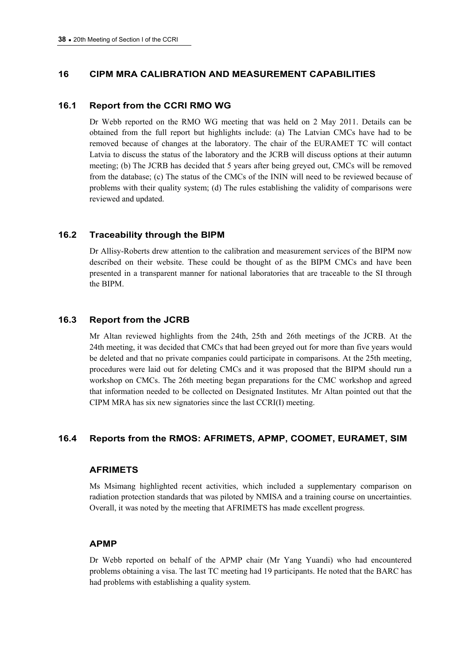## **16 CIPM MRA CALIBRATION AND MEASUREMENT CAPABILITIES**

### **16.1 Report from the CCRI RMO WG**

Dr Webb reported on the RMO WG meeting that was held on 2 May 2011. Details can be obtained from the full report but highlights include: (a) The Latvian CMCs have had to be removed because of changes at the laboratory. The chair of the EURAMET TC will contact Latvia to discuss the status of the laboratory and the JCRB will discuss options at their autumn meeting; (b) The JCRB has decided that 5 years after being greyed out, CMCs will be removed from the database; (c) The status of the CMCs of the ININ will need to be reviewed because of problems with their quality system; (d) The rules establishing the validity of comparisons were reviewed and updated.

### **16.2 Traceability through the BIPM**

Dr Allisy-Roberts drew attention to the calibration and measurement services of the BIPM now described on their website. These could be thought of as the BIPM CMCs and have been presented in a transparent manner for national laboratories that are traceable to the SI through the BIPM.

### **16.3 Report from the JCRB**

Mr Altan reviewed highlights from the 24th, 25th and 26th meetings of the JCRB. At the 24th meeting, it was decided that CMCs that had been greyed out for more than five years would be deleted and that no private companies could participate in comparisons. At the 25th meeting, procedures were laid out for deleting CMCs and it was proposed that the BIPM should run a workshop on CMCs. The 26th meeting began preparations for the CMC workshop and agreed that information needed to be collected on Designated Institutes. Mr Altan pointed out that the CIPM MRA has six new signatories since the last CCRI(I) meeting.

## **16.4 Reports from the RMOS: AFRIMETS, APMP, COOMET, EURAMET, SIM**

#### **AFRIMETS**

Ms Msimang highlighted recent activities, which included a supplementary comparison on radiation protection standards that was piloted by NMISA and a training course on uncertainties. Overall, it was noted by the meeting that AFRIMETS has made excellent progress.

### **APMP**

Dr Webb reported on behalf of the APMP chair (Mr Yang Yuandi) who had encountered problems obtaining a visa. The last TC meeting had 19 participants. He noted that the BARC has had problems with establishing a quality system.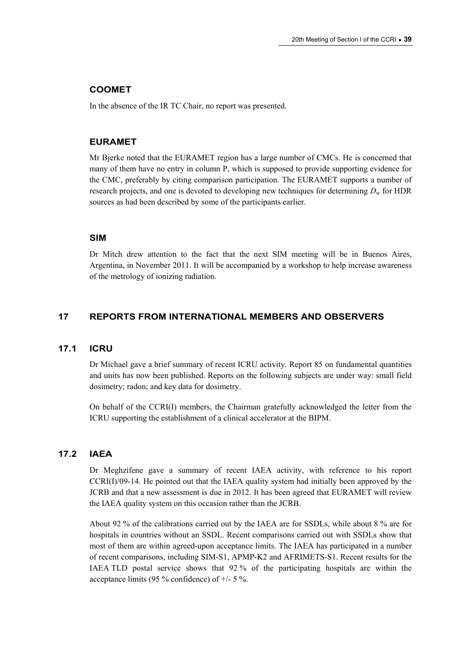### **COOMET**

In the absence of the IR TC Chair, no report was presented.

#### **EURAMET**

Mr Bjerke noted that the EURAMET region has a large number of CMCs. He is concerned that many of them have no entry in column P, which is supposed to provide supporting evidence for the CMC, preferably by citing comparison participation. The EURAMET supports a number of research projects, and one is devoted to developing new techniques for determining  $D_w$  for HDR sources as had been described by some of the participants earlier.

### **SIM**

Dr Mitch drew attention to the fact that the next SIM meeting will be in Buenos Aires, Argentina, in November 2011. It will be accompanied by a workshop to help increase awareness of the metrology of ionizing radiation.

### **17 REPORTS FROM INTERNATIONAL MEMBERS AND OBSERVERS**

#### **17.1 ICRU**

Dr Michael gave a brief summary of recent ICRU activity. Report 85 on fundamental quantities and units has now been published. Reports on the following subjects are under way: small field dosimetry; radon; and key data for dosimetry.

On behalf of the CCRI(I) members, the Chairman gratefully acknowledged the letter from the ICRU supporting the establishment of a clinical accelerator at the BIPM.

### **17.2 IAEA**

Dr Meghzifene gave a summary of recent IAEA activity, with reference to his report CCRI(I)/09-14. He pointed out that the IAEA quality system had initially been approved by the JCRB and that a new assessment is due in 2012. It has been agreed that EURAMET will review the IAEA quality system on this occasion rather than the JCRB.

About 92 % of the calibrations carried out by the IAEA are for SSDLs, while about 8 % are for hospitals in countries without an SSDL. Recent comparisons carried out with SSDLs show that most of them are within agreed-upon acceptance limits. The IAEA has participated in a number of recent comparisons, including SIM-S1, APMP-K2 and AFRIMETS-S1. Recent results for the IAEA TLD postal service shows that 92 % of the participating hospitals are within the acceptance limits (95 % confidence) of +/- 5 %.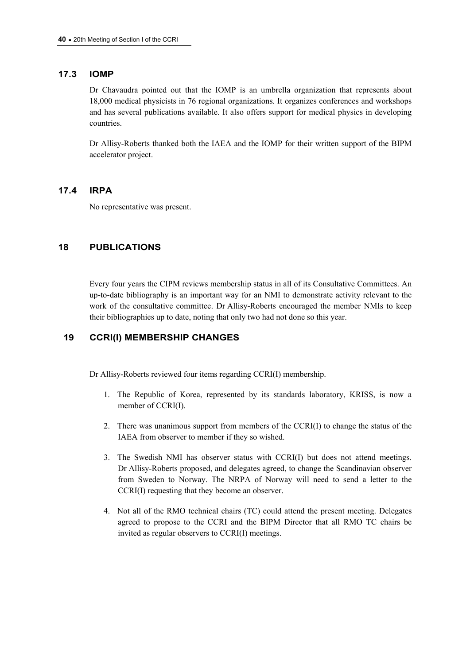### **17.3 IOMP**

Dr Chavaudra pointed out that the IOMP is an umbrella organization that represents about 18,000 medical physicists in 76 regional organizations. It organizes conferences and workshops and has several publications available. It also offers support for medical physics in developing countries.

Dr Allisy-Roberts thanked both the IAEA and the IOMP for their written support of the BIPM accelerator project.

### **17.4 IRPA**

No representative was present.

## **18 PUBLICATIONS**

Every four years the CIPM reviews membership status in all of its Consultative Committees. An up-to-date bibliography is an important way for an NMI to demonstrate activity relevant to the work of the consultative committee. Dr Allisy-Roberts encouraged the member NMIs to keep their bibliographies up to date, noting that only two had not done so this year.

## **19 CCRI(I) MEMBERSHIP CHANGES**

Dr Allisy-Roberts reviewed four items regarding CCRI(I) membership.

- 1. The Republic of Korea, represented by its standards laboratory, KRISS, is now a member of CCRI(I).
- 2. There was unanimous support from members of the CCRI(I) to change the status of the IAEA from observer to member if they so wished.
- 3. The Swedish NMI has observer status with CCRI(I) but does not attend meetings. Dr Allisy-Roberts proposed, and delegates agreed, to change the Scandinavian observer from Sweden to Norway. The NRPA of Norway will need to send a letter to the CCRI(I) requesting that they become an observer.
- 4. Not all of the RMO technical chairs (TC) could attend the present meeting. Delegates agreed to propose to the CCRI and the BIPM Director that all RMO TC chairs be invited as regular observers to CCRI(I) meetings.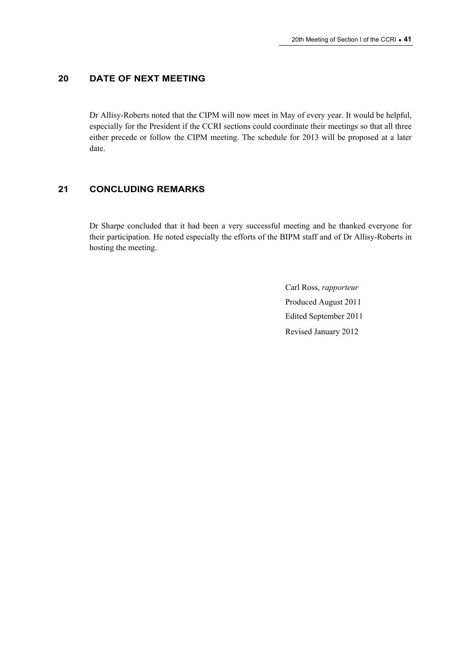## **20 DATE OF NEXT MEETING**

Dr Allisy-Roberts noted that the CIPM will now meet in May of every year. It would be helpful, especially for the President if the CCRI sections could coordinate their meetings so that all three either precede or follow the CIPM meeting. The schedule for 2013 will be proposed at a later date.

## **21 CONCLUDING REMARKS**

Dr Sharpe concluded that it had been a very successful meeting and he thanked everyone for their participation. He noted especially the efforts of the BIPM staff and of Dr Allisy-Roberts in hosting the meeting.

> Carl Ross, *rapporteur*  Produced August 2011 Edited September 2011 Revised January 2012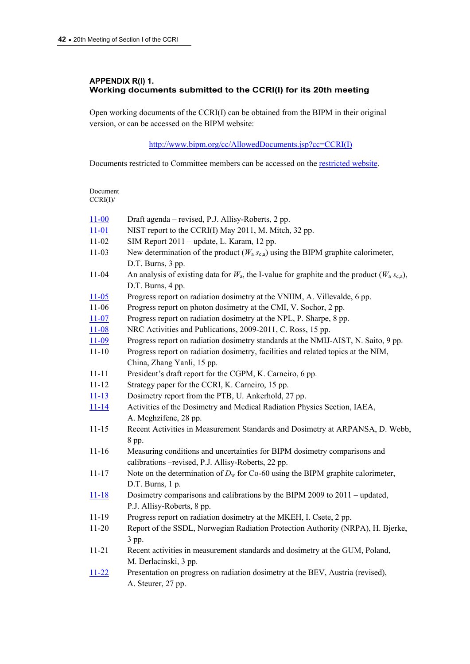### **APPENDIX R(I) 1. Working documents submitted to the CCRI(I) for its 20th meeting**

Open working documents of the CCRI(I) can be obtained from the BIPM in their original version, or can be accessed on the BIPM website:

[http://www.bipm.org/cc/AllowedDocuments.jsp?cc=CCRI\(I\)](http://www.bipm.org/cc/AllowedDocuments.jsp?cc=CCRI(I))

Documents restricted to Committee members can be accessed on the [restricted website](http://www.bipm.org/cc/CCRI(I)/Restricted/WorkingDocuments.jsp).

| Document<br>CCRI(I) |                                                                                                                                  |  |  |
|---------------------|----------------------------------------------------------------------------------------------------------------------------------|--|--|
| $11 - 00$           | Draft agenda – revised, P.J. Allisy-Roberts, 2 pp.                                                                               |  |  |
| $11 - 01$           | NIST report to the CCRI(I) May 2011, M. Mitch, 32 pp.                                                                            |  |  |
| $11 - 02$           | SIM Report 2011 – update, L. Karam, 12 pp.                                                                                       |  |  |
| $11 - 03$           | New determination of the product ( $W_a s_{c,a}$ ) using the BIPM graphite calorimeter,<br>D.T. Burns, 3 pp.                     |  |  |
| $11 - 04$           | An analysis of existing data for $W_a$ , the I-value for graphite and the product $(W_a s_{c,a})$ ,<br>D.T. Burns, 4 pp.         |  |  |
| $11 - 05$           | Progress report on radiation dosimetry at the VNIIM, A. Villevalde, 6 pp.                                                        |  |  |
| $11-06$             | Progress report on photon dosimetry at the CMI, V. Sochor, 2 pp.                                                                 |  |  |
| $11 - 07$           | Progress report on radiation dosimetry at the NPL, P. Sharpe, 8 pp.                                                              |  |  |
| $11 - 08$           | NRC Activities and Publications, 2009-2011, C. Ross, 15 pp.                                                                      |  |  |
| $11 - 09$           | Progress report on radiation dosimetry standards at the NMIJ-AIST, N. Saito, 9 pp.                                               |  |  |
| $11 - 10$           | Progress report on radiation dosimetry, facilities and related topics at the NIM,                                                |  |  |
|                     | China, Zhang Yanli, 15 pp.                                                                                                       |  |  |
| $11 - 11$           | President's draft report for the CGPM, K. Carneiro, 6 pp.                                                                        |  |  |
| $11 - 12$           | Strategy paper for the CCRI, K. Carneiro, 15 pp.                                                                                 |  |  |
| $11 - 13$           | Dosimetry report from the PTB, U. Ankerhold, 27 pp.                                                                              |  |  |
| $11 - 14$           | Activities of the Dosimetry and Medical Radiation Physics Section, IAEA,<br>A. Meghzifene, 28 pp.                                |  |  |
| $11 - 15$           | Recent Activities in Measurement Standards and Dosimetry at ARPANSA, D. Webb,<br>8 pp.                                           |  |  |
| $11 - 16$           | Measuring conditions and uncertainties for BIPM dosimetry comparisons and<br>calibrations - revised, P.J. Allisy-Roberts, 22 pp. |  |  |
| $11 - 17$           | Note on the determination of $D_w$ for Co-60 using the BIPM graphite calorimeter,<br>D.T. Burns, 1 p.                            |  |  |
| $11 - 18$           | Dosimetry comparisons and calibrations by the BIPM 2009 to 2011 – updated,<br>P.J. Allisy-Roberts, 8 pp.                         |  |  |
| 11-19               | Progress report on radiation dosimetry at the MKEH, I. Csete, 2 pp.                                                              |  |  |
| $11 - 20$           | Report of the SSDL, Norwegian Radiation Protection Authority (NRPA), H. Bjerke,<br>3 pp.                                         |  |  |
| $11 - 21$           | Recent activities in measurement standards and dosimetry at the GUM, Poland,<br>M. Derlacinski, 3 pp.                            |  |  |
| $11 - 22$           | Presentation on progress on radiation dosimetry at the BEV, Austria (revised),<br>A. Steurer, 27 pp.                             |  |  |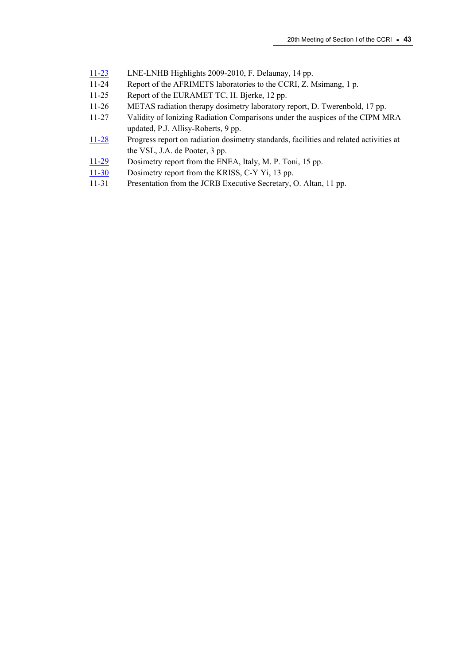- [11-23](http://www.bipm.org/cc/CCRI(I)/Restricted/20/CCRI(I)-11-23.pdf) LNE-LNHB Highlights 2009-2010, F. Delaunay, 14 pp.
- 11-24 Report of the AFRIMETS laboratories to the CCRI, Z. Msimang, 1 p.
- 11-25 Report of the EURAMET TC, H. Bjerke, 12 pp.
- 11-26 METAS radiation therapy dosimetry laboratory report, D. Twerenbold, 17 pp.
- 11-27 Validity of Ionizing Radiation Comparisons under the auspices of the CIPM MRA updated, P.J. Allisy-Roberts, 9 pp.
- [11-28](http://www.bipm.org/cc/CCRI(I)/Restricted/20/CCRI(I)-11-28.pdf) Progress report on radiation dosimetry standards, facilities and related activities at the VSL, J.A. de Pooter, 3 pp.
- [11-29](http://www.bipm.org/cc/CCRI(I)/Restricted/20/CCRI(I)-11-29.pdf) Dosimetry report from the ENEA, Italy, M. P. Toni, 15 pp.
- [11-30](http://www.bipm.org/cc/CCRI(I)/Restricted/20/CCRI(I)-11-30.pdf) Dosimetry report from the KRISS, C-Y Yi, 13 pp.
- 11-31 Presentation from the JCRB Executive Secretary, O. Altan, 11 pp.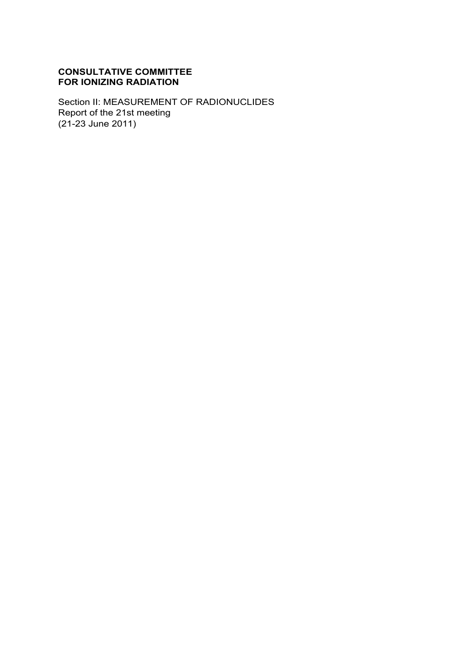# **CONSULTATIVE COMMITTEE FOR IONIZING RADIATION**

Section II: MEASUREMENT OF RADIONUCLIDES Report of the 21st meeting (21-23 June 2011)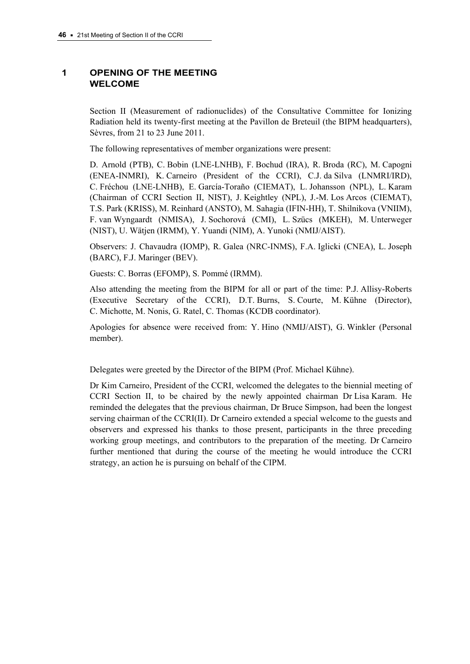# **1 OPENING OF THE MEETING WELCOME**

Section II (Measurement of radionuclides) of the Consultative Committee for Ionizing Radiation held its twenty-first meeting at the Pavillon de Breteuil (the BIPM headquarters), Sèvres, from 21 to 23 June 2011.

The following representatives of member organizations were present:

D. Arnold (PTB), C. Bobin (LNE-LNHB), F. Bochud (IRA), R. Broda (RC), M. Capogni (ENEA-INMRI), K. Carneiro (President of the CCRI), C.J. da Silva (LNMRI/IRD), C. Fréchou (LNE-LNHB), E. García-Toraño (CIEMAT), L. Johansson (NPL), L. Karam (Chairman of CCRI Section II, NIST), J. Keightley (NPL), J.-M. Los Arcos (CIEMAT), T.S. Park (KRISS), M. Reinhard (ANSTO), M. Sahagia (IFIN-HH), T. Shilnikova (VNIIM), F. van Wyngaardt (NMISA), J. Sochorová (CMI), L. Szücs (MKEH), M. Unterweger (NIST), U. Wätjen (IRMM), Y. Yuandi (NIM), A. Yunoki (NMIJ/AIST).

Observers: J. Chavaudra (IOMP), R. Galea (NRC-INMS), F.A. Iglicki (CNEA), L. Joseph (BARC), F.J. Maringer (BEV).

Guests: C. Borras (EFOMP), S. Pommé (IRMM).

Also attending the meeting from the BIPM for all or part of the time: P.J. Allisy-Roberts (Executive Secretary of the CCRI), D.T. Burns, S. Courte, M. Kühne (Director), C. Michotte, M. Nonis, G. Ratel, C. Thomas (KCDB coordinator).

Apologies for absence were received from: Y. Hino (NMIJ/AIST), G. Winkler (Personal member).

Delegates were greeted by the Director of the BIPM (Prof. Michael Kühne).

Dr Kim Carneiro, President of the CCRI, welcomed the delegates to the biennial meeting of CCRI Section II, to be chaired by the newly appointed chairman Dr Lisa Karam. He reminded the delegates that the previous chairman, Dr Bruce Simpson, had been the longest serving chairman of the CCRI(II). Dr Carneiro extended a special welcome to the guests and observers and expressed his thanks to those present, participants in the three preceding working group meetings, and contributors to the preparation of the meeting. Dr Carneiro further mentioned that during the course of the meeting he would introduce the CCRI strategy, an action he is pursuing on behalf of the CIPM.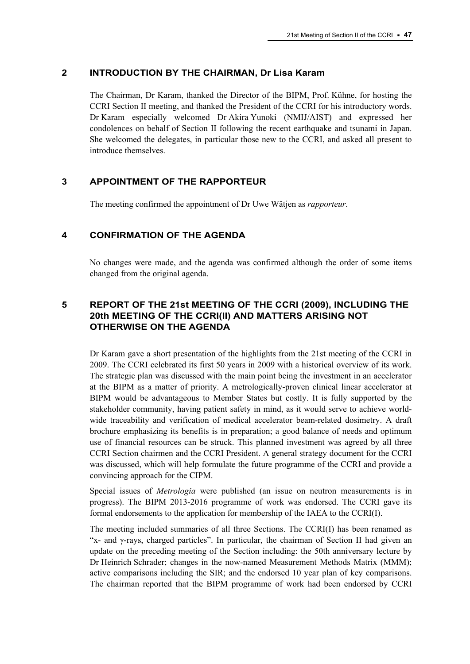### **2 INTRODUCTION BY THE CHAIRMAN, Dr Lisa Karam**

The Chairman, Dr Karam, thanked the Director of the BIPM, Prof. Kühne, for hosting the CCRI Section II meeting, and thanked the President of the CCRI for his introductory words. Dr Karam especially welcomed Dr Akira Yunoki (NMIJ/AIST) and expressed her condolences on behalf of Section II following the recent earthquake and tsunami in Japan. She welcomed the delegates, in particular those new to the CCRI, and asked all present to introduce themselves.

### **3 APPOINTMENT OF THE RAPPORTEUR**

The meeting confirmed the appointment of Dr Uwe Wätjen as *rapporteur*.

## **4 CONFIRMATION OF THE AGENDA**

No changes were made, and the agenda was confirmed although the order of some items changed from the original agenda.

# **5 REPORT OF THE 21st MEETING OF THE CCRI (2009), INCLUDING THE 20th MEETING OF THE CCRI(II) AND MATTERS ARISING NOT OTHERWISE ON THE AGENDA**

Dr Karam gave a short presentation of the highlights from the 21st meeting of the CCRI in 2009. The CCRI celebrated its first 50 years in 2009 with a historical overview of its work. The strategic plan was discussed with the main point being the investment in an accelerator at the BIPM as a matter of priority. A metrologically-proven clinical linear accelerator at BIPM would be advantageous to Member States but costly. It is fully supported by the stakeholder community, having patient safety in mind, as it would serve to achieve worldwide traceability and verification of medical accelerator beam-related dosimetry. A draft brochure emphasizing its benefits is in preparation; a good balance of needs and optimum use of financial resources can be struck. This planned investment was agreed by all three CCRI Section chairmen and the CCRI President. A general strategy document for the CCRI was discussed, which will help formulate the future programme of the CCRI and provide a convincing approach for the CIPM.

Special issues of *Metrologia* were published (an issue on neutron measurements is in progress). The BIPM 2013-2016 programme of work was endorsed. The CCRI gave its formal endorsements to the application for membership of the IAEA to the CCRI(I).

The meeting included summaries of all three Sections. The CCRI(I) has been renamed as "x- and  $\gamma$ -rays, charged particles". In particular, the chairman of Section II had given an update on the preceding meeting of the Section including: the 50th anniversary lecture by Dr Heinrich Schrader; changes in the now-named Measurement Methods Matrix (MMM); active comparisons including the SIR; and the endorsed 10 year plan of key comparisons. The chairman reported that the BIPM programme of work had been endorsed by CCRI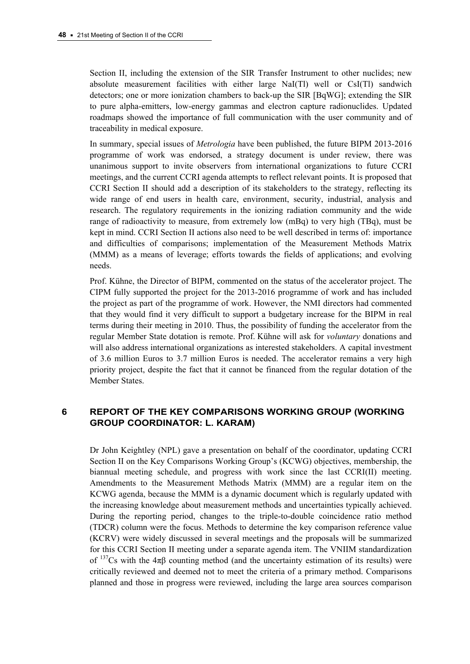Section II, including the extension of the SIR Transfer Instrument to other nuclides; new absolute measurement facilities with either large NaI(Tl) well or CsI(Tl) sandwich detectors; one or more ionization chambers to back-up the SIR [BqWG]; extending the SIR to pure alpha-emitters, low-energy gammas and electron capture radionuclides. Updated roadmaps showed the importance of full communication with the user community and of traceability in medical exposure.

In summary, special issues of *Metrologia* have been published, the future BIPM 2013-2016 programme of work was endorsed, a strategy document is under review, there was unanimous support to invite observers from international organizations to future CCRI meetings, and the current CCRI agenda attempts to reflect relevant points. It is proposed that CCRI Section II should add a description of its stakeholders to the strategy, reflecting its wide range of end users in health care, environment, security, industrial, analysis and research. The regulatory requirements in the ionizing radiation community and the wide range of radioactivity to measure, from extremely low (mBq) to very high (TBq), must be kept in mind. CCRI Section II actions also need to be well described in terms of: importance and difficulties of comparisons; implementation of the Measurement Methods Matrix (MMM) as a means of leverage; efforts towards the fields of applications; and evolving needs.

Prof. Kühne, the Director of BIPM, commented on the status of the accelerator project. The CIPM fully supported the project for the 2013-2016 programme of work and has included the project as part of the programme of work. However, the NMI directors had commented that they would find it very difficult to support a budgetary increase for the BIPM in real terms during their meeting in 2010. Thus, the possibility of funding the accelerator from the regular Member State dotation is remote. Prof. Kühne will ask for *voluntary* donations and will also address international organizations as interested stakeholders. A capital investment of 3.6 million Euros to 3.7 million Euros is needed. The accelerator remains a very high priority project, despite the fact that it cannot be financed from the regular dotation of the Member States.

# **6 REPORT OF THE KEY COMPARISONS WORKING GROUP (WORKING GROUP COORDINATOR: L. KARAM)**

Dr John Keightley (NPL) gave a presentation on behalf of the coordinator, updating CCRI Section II on the Key Comparisons Working Group's (KCWG) objectives, membership, the biannual meeting schedule, and progress with work since the last CCRI(II) meeting. Amendments to the Measurement Methods Matrix (MMM) are a regular item on the KCWG agenda, because the MMM is a dynamic document which is regularly updated with the increasing knowledge about measurement methods and uncertainties typically achieved. During the reporting period, changes to the triple-to-double coincidence ratio method (TDCR) column were the focus. Methods to determine the key comparison reference value (KCRV) were widely discussed in several meetings and the proposals will be summarized for this CCRI Section II meeting under a separate agenda item. The VNIIM standardization of  $137Cs$  with the  $4\pi\beta$  counting method (and the uncertainty estimation of its results) were critically reviewed and deemed not to meet the criteria of a primary method. Comparisons planned and those in progress were reviewed, including the large area sources comparison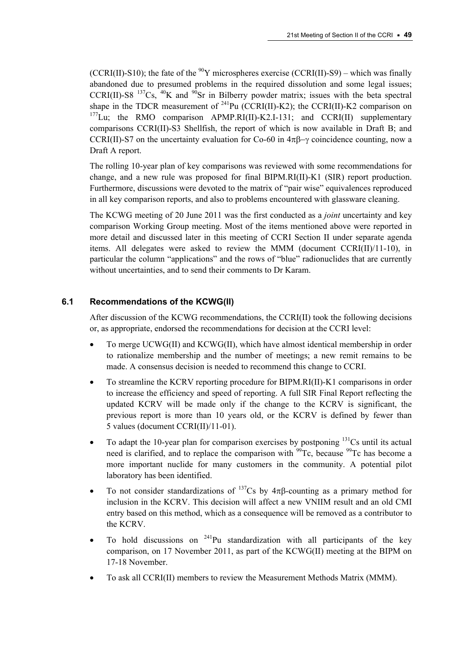(CCRI(II)-S10); the fate of the  $^{90}Y$  microspheres exercise (CCRI(II)-S9) – which was finally abandoned due to presumed problems in the required dissolution and some legal issues; CCRI(II)-S8  $^{137}Cs$ ,  $^{40}K$  and  $^{90}Sr$  in Bilberry powder matrix; issues with the beta spectral shape in the TDCR measurement of  $^{241}$ Pu (CCRI(II)-K2); the CCRI(II)-K2 comparison on  $177$ Lu; the RMO comparison APMP.RI(II)-K2.I-131; and CCRI(II) supplementary comparisons CCRI(II)-S3 Shellfish, the report of which is now available in Draft B; and CCRI(II)-S7 on the uncertainty evaluation for Co-60 in  $4\pi\beta$ - $\gamma$  coincidence counting, now a Draft A report.

The rolling 10-year plan of key comparisons was reviewed with some recommendations for change, and a new rule was proposed for final BIPM.RI(II)-K1 (SIR) report production. Furthermore, discussions were devoted to the matrix of "pair wise" equivalences reproduced in all key comparison reports, and also to problems encountered with glassware cleaning.

The KCWG meeting of 20 June 2011 was the first conducted as a *joint* uncertainty and key comparison Working Group meeting. Most of the items mentioned above were reported in more detail and discussed later in this meeting of CCRI Section II under separate agenda items. All delegates were asked to review the MMM (document CCRI(II)/11-10), in particular the column "applications" and the rows of "blue" radionuclides that are currently without uncertainties, and to send their comments to Dr Karam.

## **6.1 Recommendations of the KCWG(II)**

After discussion of the KCWG recommendations, the CCRI(II) took the following decisions or, as appropriate, endorsed the recommendations for decision at the CCRI level:

- To merge UCWG(II) and KCWG(II), which have almost identical membership in order to rationalize membership and the number of meetings; a new remit remains to be made. A consensus decision is needed to recommend this change to CCRI.
- To streamline the KCRV reporting procedure for BIPM.RI(II)-K1 comparisons in order to increase the efficiency and speed of reporting. A full SIR Final Report reflecting the updated KCRV will be made only if the change to the KCRV is significant, the previous report is more than 10 years old, or the KCRV is defined by fewer than 5 values (document CCRI(II)/11-01).
- To adapt the 10-year plan for comparison exercises by postponing <sup>131</sup>Cs until its actual need is clarified, and to replace the comparison with  $^{99}$ Tc, because  $^{99}$ Tc has become a more important nuclide for many customers in the community. A potential pilot laboratory has been identified.
- To not consider standardizations of  $^{137}Cs$  by  $4\pi\beta$ -counting as a primary method for inclusion in the KCRV. This decision will affect a new VNIIM result and an old CMI entry based on this method, which as a consequence will be removed as a contributor to the KCRV.
- To hold discussions on  $^{241}$ Pu standardization with all participants of the key comparison, on 17 November 2011, as part of the KCWG(II) meeting at the BIPM on 17-18 November.
- To ask all CCRI(II) members to review the Measurement Methods Matrix (MMM).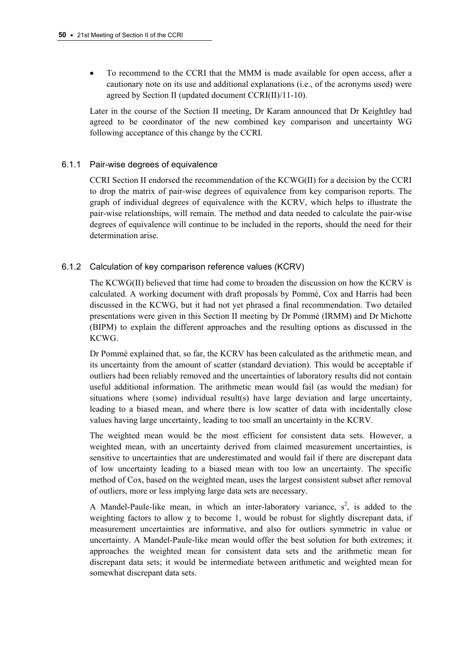To recommend to the CCRI that the MMM is made available for open access, after a cautionary note on its use and additional explanations (i.e., of the acronyms used) were agreed by Section II (updated document CCRI(II)/11-10).

Later in the course of the Section II meeting, Dr Karam announced that Dr Keightley had agreed to be coordinator of the new combined key comparison and uncertainty WG following acceptance of this change by the CCRI.

## 6.1.1 Pair-wise degrees of equivalence

CCRI Section II endorsed the recommendation of the KCWG(II) for a decision by the CCRI to drop the matrix of pair-wise degrees of equivalence from key comparison reports. The graph of individual degrees of equivalence with the KCRV, which helps to illustrate the pair-wise relationships, will remain. The method and data needed to calculate the pair-wise degrees of equivalence will continue to be included in the reports, should the need for their determination arise.

# 6.1.2 Calculation of key comparison reference values (KCRV)

The KCWG(II) believed that time had come to broaden the discussion on how the KCRV is calculated. A working document with draft proposals by Pommé, Cox and Harris had been discussed in the KCWG, but it had not yet phrased a final recommendation. Two detailed presentations were given in this Section II meeting by Dr Pommé (IRMM) and Dr Michotte (BIPM) to explain the different approaches and the resulting options as discussed in the KCWG.

Dr Pommé explained that, so far, the KCRV has been calculated as the arithmetic mean, and its uncertainty from the amount of scatter (standard deviation). This would be acceptable if outliers had been reliably removed and the uncertainties of laboratory results did not contain useful additional information. The arithmetic mean would fail (as would the median) for situations where (some) individual result(s) have large deviation and large uncertainty, leading to a biased mean, and where there is low scatter of data with incidentally close values having large uncertainty, leading to too small an uncertainty in the KCRV.

The weighted mean would be the most efficient for consistent data sets. However, a weighted mean, with an uncertainty derived from claimed measurement uncertainties, is sensitive to uncertainties that are underestimated and would fail if there are discrepant data of low uncertainty leading to a biased mean with too low an uncertainty. The specific method of Cox, based on the weighted mean, uses the largest consistent subset after removal of outliers, more or less implying large data sets are necessary.

A Mandel-Paule-like mean, in which an inter-laboratory variance,  $s^2$ , is added to the weighting factors to allow  $\gamma$  to become 1, would be robust for slightly discrepant data, if measurement uncertainties are informative, and also for outliers symmetric in value or uncertainty. A Mandel-Paule-like mean would offer the best solution for both extremes; it approaches the weighted mean for consistent data sets and the arithmetic mean for discrepant data sets; it would be intermediate between arithmetic and weighted mean for somewhat discrepant data sets.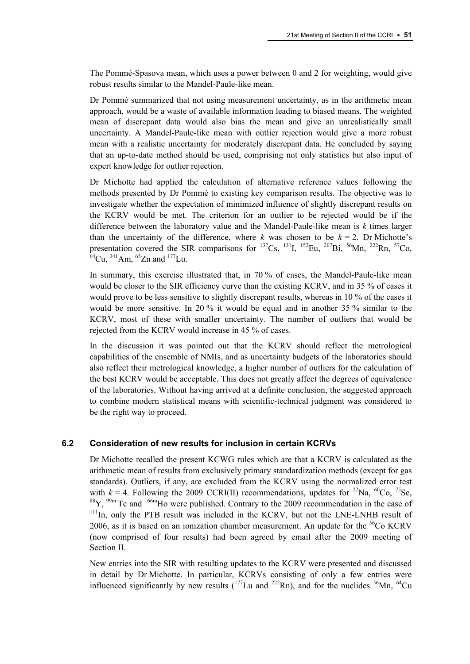The Pommé-Spasova mean, which uses a power between 0 and 2 for weighting, would give robust results similar to the Mandel-Paule-like mean.

Dr Pommé summarized that not using measurement uncertainty, as in the arithmetic mean approach, would be a waste of available information leading to biased means. The weighted mean of discrepant data would also bias the mean and give an unrealistically small uncertainty. A Mandel-Paule-like mean with outlier rejection would give a more robust mean with a realistic uncertainty for moderately discrepant data. He concluded by saying that an up-to-date method should be used, comprising not only statistics but also input of expert knowledge for outlier rejection.

Dr Michotte had applied the calculation of alternative reference values following the methods presented by Dr Pommé to existing key comparison results. The objective was to investigate whether the expectation of minimized influence of slightly discrepant results on the KCRV would be met. The criterion for an outlier to be rejected would be if the difference between the laboratory value and the Mandel-Paule-like mean is *k* times larger than the uncertainty of the difference, where *k* was chosen to be  $k = 2$ . Dr Michotte's presentation covered the SIR comparisons for  $^{137}Cs$ ,  $^{131}I$ ,  $^{152}Eu$ ,  $^{207}Bi$ ,  $^{56}Mn$ ,  $^{222}Rn$ ,  $^{57}Co$ ,  $64$ Cu,  $^{241}$ Am,  $^{65}$ Zn and  $^{177}$ Lu.

In summary, this exercise illustrated that, in 70 % of cases, the Mandel-Paule-like mean would be closer to the SIR efficiency curve than the existing KCRV, and in 35 % of cases it would prove to be less sensitive to slightly discrepant results, whereas in 10 % of the cases it would be more sensitive. In 20 % it would be equal and in another 35 % similar to the KCRV, most of these with smaller uncertainty. The number of outliers that would be rejected from the KCRV would increase in 45 % of cases.

In the discussion it was pointed out that the KCRV should reflect the metrological capabilities of the ensemble of NMIs, and as uncertainty budgets of the laboratories should also reflect their metrological knowledge, a higher number of outliers for the calculation of the best KCRV would be acceptable. This does not greatly affect the degrees of equivalence of the laboratories. Without having arrived at a definite conclusion, the suggested approach to combine modern statistical means with scientific-technical judgment was considered to be the right way to proceed.

## **6.2 Consideration of new results for inclusion in certain KCRVs**

Dr Michotte recalled the present KCWG rules which are that a KCRV is calculated as the arithmetic mean of results from exclusively primary standardization methods (except for gas standards). Outliers, if any, are excluded from the KCRV using the normalized error test with  $k = 4$ . Following the 2009 CCRI(II) recommendations, updates for <sup>22</sup>Na, <sup>60</sup>Co, <sup>75</sup>Se,  $88Y$ ,  $99m$  Tc and  $166m$ Ho were published. Contrary to the 2009 recommendation in the case of  $111$ In, only the PTB result was included in the KCRV, but not the LNE-LNHB result of 2006, as it is based on an ionization chamber measurement. An update for the  ${}^{56}Co$  KCRV (now comprised of four results) had been agreed by email after the 2009 meeting of Section II.

New entries into the SIR with resulting updates to the KCRV were presented and discussed in detail by Dr Michotte. In particular, KCRVs consisting of only a few entries were influenced significantly by new results  $(^{177}$ Lu and  $^{222}$ Rn), and for the nuclides  $^{56}$ Mn,  $^{64}$ Cu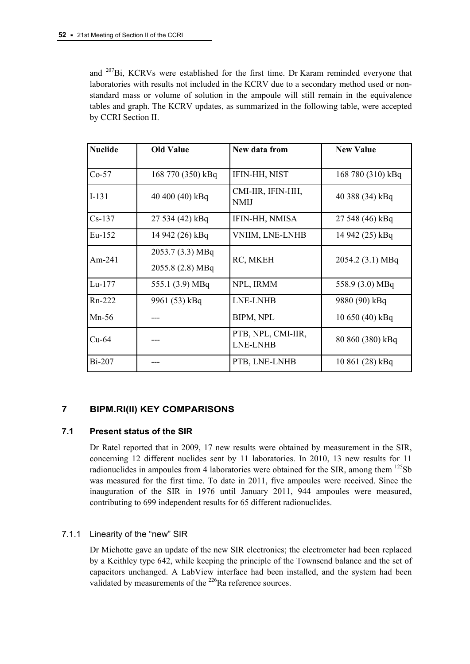and 207Bi, KCRVs were established for the first time. Dr Karam reminded everyone that laboratories with results not included in the KCRV due to a secondary method used or nonstandard mass or volume of solution in the ampoule will still remain in the equivalence tables and graph. The KCRV updates, as summarized in the following table, were accepted by CCRI Section II.

| <b>Nuclide</b> | <b>Old Value</b>  | New data from                    | <b>New Value</b>  |
|----------------|-------------------|----------------------------------|-------------------|
| $Co-57$        | 168 770 (350) kBq | IFIN-HH, NIST                    | 168 780 (310) kBq |
| $I-131$        | 40 400 (40) kBq   | CMI-IIR, IFIN-HH,<br><b>NMIJ</b> | 40 388 (34) kBq   |
| $Cs-137$       | 27 534 (42) kBq   | IFIN-HH, NMISA                   | 27 548 (46) kBq   |
| $Eu-152$       | 14 942 (26) kBq   | VNIIM, LNE-LNHB                  | 14 942 (25) kBq   |
| $Am-241$       | 2053.7 (3.3) MBq  | RC, MKEH                         | 2054.2 (3.1) MBq  |
|                | 2055.8 (2.8) MBq  |                                  |                   |
| $Lu-177$       | 555.1 (3.9) MBq   | NPL, IRMM                        | 558.9 (3.0) MBq   |
| Rn-222         | 9961 (53) kBq     | LNE-LNHB                         | 9880 (90) kBq     |
| $Mn-56$        |                   | <b>BIPM, NPL</b>                 | 10 650 (40) kBq   |
| $Cu-64$        |                   | PTB, NPL, CMI-IIR,<br>LNE-LNHB   | 80 860 (380) kBq  |
| <b>Bi-207</b>  |                   | PTB, LNE-LNHB                    | 10 861 (28) kBq   |

# **7 BIPM.RI(II) KEY COMPARISONS**

## **7.1 Present status of the SIR**

Dr Ratel reported that in 2009, 17 new results were obtained by measurement in the SIR, concerning 12 different nuclides sent by 11 laboratories. In 2010, 13 new results for 11 radionuclides in ampoules from 4 laboratories were obtained for the SIR, among them  $^{125}Sb$ was measured for the first time. To date in 2011, five ampoules were received. Since the inauguration of the SIR in 1976 until January 2011, 944 ampoules were measured, contributing to 699 independent results for 65 different radionuclides.

# 7.1.1 Linearity of the "new" SIR

Dr Michotte gave an update of the new SIR electronics; the electrometer had been replaced by a Keithley type 642, while keeping the principle of the Townsend balance and the set of capacitors unchanged. A LabView interface had been installed, and the system had been validated by measurements of the <sup>226</sup>Ra reference sources.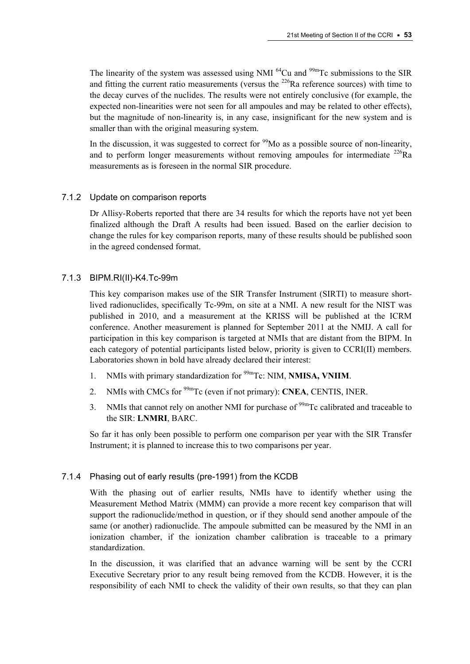The linearity of the system was assessed using NMI  $^{64}$ Cu and  $^{99m}$ Tc submissions to the SIR and fitting the current ratio measurements (versus the  $^{226}$ Ra reference sources) with time to the decay curves of the nuclides. The results were not entirely conclusive (for example, the expected non-linearities were not seen for all ampoules and may be related to other effects), but the magnitude of non-linearity is, in any case, insignificant for the new system and is smaller than with the original measuring system.

In the discussion, it was suggested to correct for  $\frac{99}{9}$ Mo as a possible source of non-linearity, and to perform longer measurements without removing ampoules for intermediate  $^{226}$ Ra measurements as is foreseen in the normal SIR procedure.

## 7.1.2 Update on comparison reports

Dr Allisy-Roberts reported that there are 34 results for which the reports have not yet been finalized although the Draft A results had been issued. Based on the earlier decision to change the rules for key comparison reports, many of these results should be published soon in the agreed condensed format.

## 7.1.3 BIPM.RI(II)-K4.Tc-99m

This key comparison makes use of the SIR Transfer Instrument (SIRTI) to measure shortlived radionuclides, specifically Tc-99m, on site at a NMI. A new result for the NIST was published in 2010, and a measurement at the KRISS will be published at the ICRM conference. Another measurement is planned for September 2011 at the NMIJ. A call for participation in this key comparison is targeted at NMIs that are distant from the BIPM. In each category of potential participants listed below, priority is given to CCRI(II) members. Laboratories shown in bold have already declared their interest:

- 1. NMIs with primary standardization for 99mTc: NIM, **NMISA, VNIIM**.
- 2. NMIs with CMCs for 99mTc (even if not primary): **CNEA**, CENTIS, INER.
- 3. NMIs that cannot rely on another NMI for purchase of  $\frac{99 \text{m}}{2}$  C calibrated and traceable to the SIR: **LNMRI**, BARC.

So far it has only been possible to perform one comparison per year with the SIR Transfer Instrument; it is planned to increase this to two comparisons per year.

## 7.1.4 Phasing out of early results (pre-1991) from the KCDB

With the phasing out of earlier results, NMIs have to identify whether using the Measurement Method Matrix (MMM) can provide a more recent key comparison that will support the radionuclide/method in question, or if they should send another ampoule of the same (or another) radionuclide. The ampoule submitted can be measured by the NMI in an ionization chamber, if the ionization chamber calibration is traceable to a primary standardization.

In the discussion, it was clarified that an advance warning will be sent by the CCRI Executive Secretary prior to any result being removed from the KCDB. However, it is the responsibility of each NMI to check the validity of their own results, so that they can plan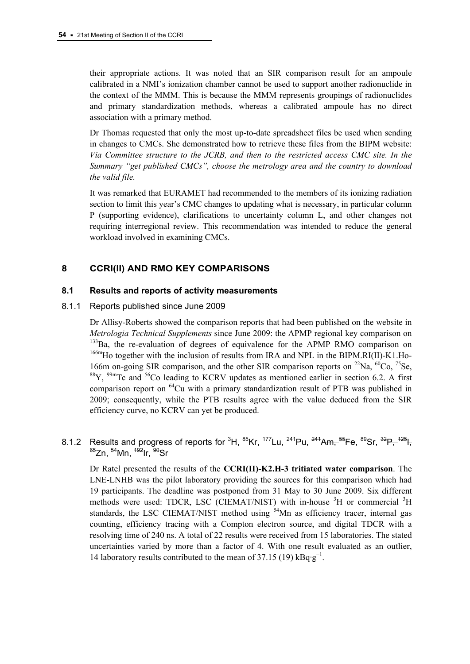their appropriate actions. It was noted that an SIR comparison result for an ampoule calibrated in a NMI's ionization chamber cannot be used to support another radionuclide in the context of the MMM. This is because the MMM represents groupings of radionuclides and primary standardization methods, whereas a calibrated ampoule has no direct association with a primary method.

Dr Thomas requested that only the most up-to-date spreadsheet files be used when sending in changes to CMCs. She demonstrated how to retrieve these files from the BIPM website: *Via Committee structure to the JCRB, and then to the restricted access CMC site. In the Summary "get published CMCs", choose the metrology area and the country to download the valid file.*

It was remarked that EURAMET had recommended to the members of its ionizing radiation section to limit this year's CMC changes to updating what is necessary, in particular column P (supporting evidence), clarifications to uncertainty column L, and other changes not requiring interregional review. This recommendation was intended to reduce the general workload involved in examining CMCs.

## **8 CCRI(II) AND RMO KEY COMPARISONS**

### **8.1 Results and reports of activity measurements**

### 8.1.1 Reports published since June 2009

Dr Allisy-Roberts showed the comparison reports that had been published on the website in *Metrologia Technical Supplements* since June 2009: the APMP regional key comparison on  $133\text{Ba}$ , the re-evaluation of degrees of equivalence for the APMP RMO comparison on  $166$ mHo together with the inclusion of results from IRA and NPL in the BIPM.RI(II)-K1.Ho-166m on-going SIR comparison, and the other SIR comparison reports on  $^{22}$ Na,  $^{60}$ Co,  $^{75}$ Se,  $88$ Y,  $99$ <sup>m</sup>Tc and  $56$ Co leading to KCRV updates as mentioned earlier in section 6.2. A first comparison report on <sup>64</sup>Cu with a primary standardization result of PTB was published in 2009; consequently, while the PTB results agree with the value deduced from the SIR efficiency curve, no KCRV can yet be produced.

# 8.1.2 Results and progress of reports for <sup>3</sup>H, <sup>85</sup>Kr, <sup>177</sup>Lu, <sup>241</sup>Pu, <sup>241</sup>Am, <sup>55</sup>Fe, <sup>89</sup>Sr, <sup>32</sup>P, <sup>125</sup>H,  $^{65}$ Zn,  $^{54}$ Mn,  $^{192}$ Ir,  $^{90}$ Sr

Dr Ratel presented the results of the **CCRI(II)-K2.H-3 tritiated water comparison**. The LNE-LNHB was the pilot laboratory providing the sources for this comparison which had 19 participants. The deadline was postponed from 31 May to 30 June 2009. Six different methods were used: TDCR, LSC (CIEMAT/NIST) with in-house <sup>3</sup>H or commercial <sup>3</sup>H standards, the LSC CIEMAT/NIST method using <sup>54</sup>Mn as efficiency tracer, internal gas counting, efficiency tracing with a Compton electron source, and digital TDCR with a resolving time of 240 ns. A total of 22 results were received from 15 laboratories. The stated uncertainties varied by more than a factor of 4. With one result evaluated as an outlier, 14 laboratory results contributed to the mean of  $37.15(19)$  kBq·g<sup>-1</sup>.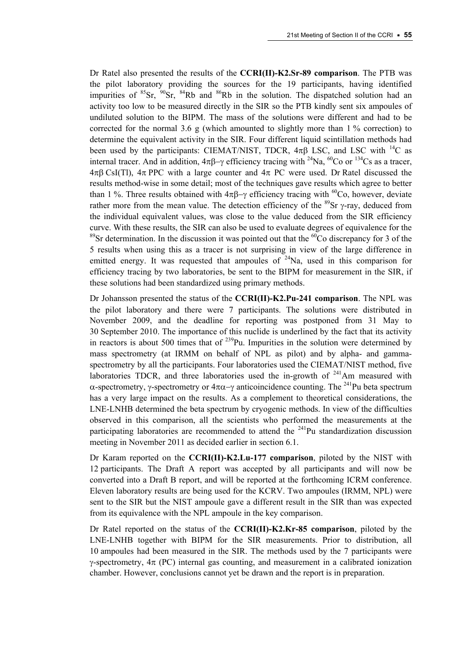Dr Ratel also presented the results of the **CCRI(II)-K2.Sr-89 comparison**. The PTB was the pilot laboratory providing the sources for the 19 participants, having identified impurities of  ${}^{85}Sr$ ,  ${}^{90}Sr$ ,  ${}^{84}Rb$  and  ${}^{86}Rb$  in the solution. The dispatched solution had an activity too low to be measured directly in the SIR so the PTB kindly sent six ampoules of undiluted solution to the BIPM. The mass of the solutions were different and had to be corrected for the normal 3.6 g (which amounted to slightly more than  $1\%$  correction) to determine the equivalent activity in the SIR. Four different liquid scintillation methods had been used by the participants: CIEMAT/NIST, TDCR,  $4\pi\beta$  LSC, and LSC with <sup>14</sup>C as internal tracer. And in addition,  $4\pi\beta-\gamma$  efficiency tracing with <sup>24</sup>Na, <sup>60</sup>Co or <sup>134</sup>Cs as a tracer,  $4\pi\beta$  CsI(Tl),  $4\pi$  PPC with a large counter and  $4\pi$  PC were used. Dr Ratel discussed the results method-wise in some detail; most of the techniques gave results which agree to better than 1 %. Three results obtained with  $4\pi\beta-\gamma$  efficiency tracing with <sup>60</sup>Co, however, deviate rather more from the mean value. The detection efficiency of the  $^{89}$ Sr  $\gamma$ -ray, deduced from the individual equivalent values, was close to the value deduced from the SIR efficiency curve. With these results, the SIR can also be used to evaluate degrees of equivalence for the <sup>89</sup>Sr determination. In the discussion it was pointed out that the <sup>60</sup>Co discrepancy for 3 of the 5 results when using this as a tracer is not surprising in view of the large difference in emitted energy. It was requested that ampoules of  $24$ Na, used in this comparison for efficiency tracing by two laboratories, be sent to the BIPM for measurement in the SIR, if these solutions had been standardized using primary methods.

Dr Johansson presented the status of the **CCRI(II)-K2.Pu-241 comparison**. The NPL was the pilot laboratory and there were 7 participants. The solutions were distributed in November 2009, and the deadline for reporting was postponed from 31 May to 30 September 2010. The importance of this nuclide is underlined by the fact that its activity in reactors is about 500 times that of  $^{239}$ Pu. Impurities in the solution were determined by mass spectrometry (at IRMM on behalf of NPL as pilot) and by alpha- and gammaspectrometry by all the participants. Four laboratories used the CIEMAT/NIST method, five laboratories TDCR, and three laboratories used the in-growth of  $241$ Am measured with  $\alpha$ -spectrometry,  $\gamma$ -spectrometry or  $4\pi\alpha-\gamma$  anticoincidence counting. The <sup>241</sup>Pu beta spectrum has a very large impact on the results. As a complement to theoretical considerations, the LNE-LNHB determined the beta spectrum by cryogenic methods. In view of the difficulties observed in this comparison, all the scientists who performed the measurements at the participating laboratories are recommended to attend the  $^{241}$ Pu standardization discussion meeting in November 2011 as decided earlier in section 6.1.

Dr Karam reported on the **CCRI(II)-K2.Lu-177 comparison**, piloted by the NIST with 12 participants. The Draft A report was accepted by all participants and will now be converted into a Draft B report, and will be reported at the forthcoming ICRM conference. Eleven laboratory results are being used for the KCRV. Two ampoules (IRMM, NPL) were sent to the SIR but the NIST ampoule gave a different result in the SIR than was expected from its equivalence with the NPL ampoule in the key comparison.

Dr Ratel reported on the status of the **CCRI(II)-K2.Kr-85 comparison**, piloted by the LNE-LNHB together with BIPM for the SIR measurements. Prior to distribution, all 10 ampoules had been measured in the SIR. The methods used by the 7 participants were  $\gamma$ -spectrometry,  $4\pi$  (PC) internal gas counting, and measurement in a calibrated ionization chamber. However, conclusions cannot yet be drawn and the report is in preparation.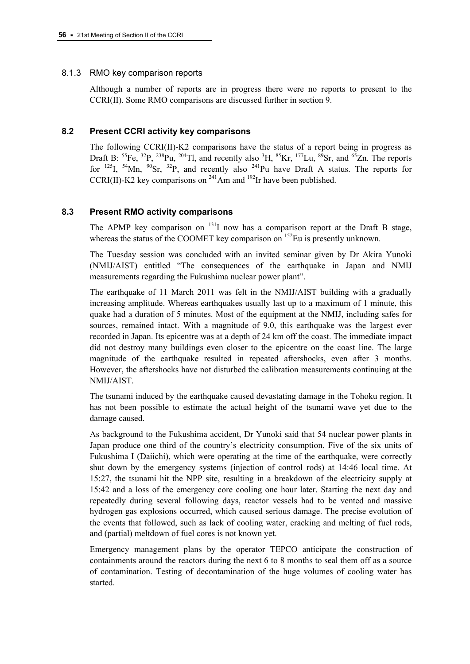### 8.1.3 RMO key comparison reports

Although a number of reports are in progress there were no reports to present to the CCRI(II). Some RMO comparisons are discussed further in section 9.

## **8.2 Present CCRI activity key comparisons**

The following CCRI(II)-K2 comparisons have the status of a report being in progress as Draft B:  ${}^{55}Fe$ ,  ${}^{32}P$ ,  ${}^{238}Pu$ ,  ${}^{204}Tl$ , and recently also  ${}^{3}H$ ,  ${}^{85}Kr$ ,  ${}^{177}Lu$ ,  ${}^{89}Sr$ , and  ${}^{65}Zn$ . The reports for <sup>125</sup>I, <sup>54</sup>Mn, <sup>90</sup>Sr, <sup>32</sup>P, and recently also <sup>241</sup>Pu have Draft A status. The reports for CCRI(II)-K2 key comparisons on  $^{241}$ Am and  $^{192}$ Ir have been published.

## **8.3 Present RMO activity comparisons**

The APMP key comparison on  $131$ I now has a comparison report at the Draft B stage, whereas the status of the COOMET key comparison on <sup>152</sup>Eu is presently unknown.

The Tuesday session was concluded with an invited seminar given by Dr Akira Yunoki (NMIJ/AIST) entitled "The consequences of the earthquake in Japan and NMIJ measurements regarding the Fukushima nuclear power plant".

The earthquake of 11 March 2011 was felt in the NMIJ/AIST building with a gradually increasing amplitude. Whereas earthquakes usually last up to a maximum of 1 minute, this quake had a duration of 5 minutes. Most of the equipment at the NMIJ, including safes for sources, remained intact. With a magnitude of 9.0, this earthquake was the largest ever recorded in Japan. Its epicentre was at a depth of 24 km off the coast. The immediate impact did not destroy many buildings even closer to the epicentre on the coast line. The large magnitude of the earthquake resulted in repeated aftershocks, even after 3 months. However, the aftershocks have not disturbed the calibration measurements continuing at the NMIJ/AIST.

The tsunami induced by the earthquake caused devastating damage in the Tohoku region. It has not been possible to estimate the actual height of the tsunami wave yet due to the damage caused.

As background to the Fukushima accident, Dr Yunoki said that 54 nuclear power plants in Japan produce one third of the country's electricity consumption. Five of the six units of Fukushima I (Daiichi), which were operating at the time of the earthquake, were correctly shut down by the emergency systems (injection of control rods) at 14:46 local time. At 15:27, the tsunami hit the NPP site, resulting in a breakdown of the electricity supply at 15:42 and a loss of the emergency core cooling one hour later. Starting the next day and repeatedly during several following days, reactor vessels had to be vented and massive hydrogen gas explosions occurred, which caused serious damage. The precise evolution of the events that followed, such as lack of cooling water, cracking and melting of fuel rods, and (partial) meltdown of fuel cores is not known yet.

Emergency management plans by the operator TEPCO anticipate the construction of containments around the reactors during the next 6 to 8 months to seal them off as a source of contamination. Testing of decontamination of the huge volumes of cooling water has started.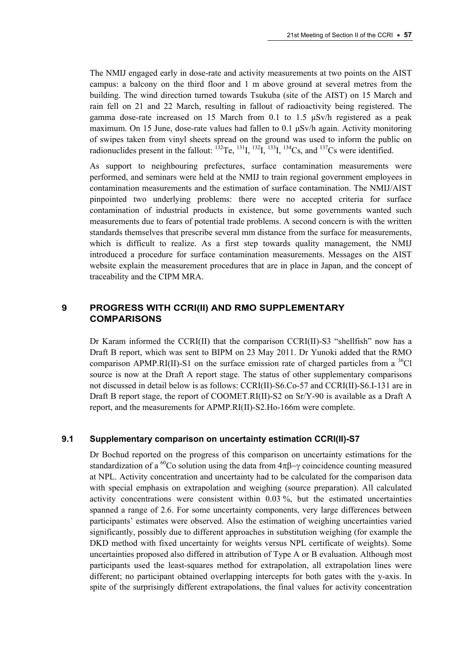The NMIJ engaged early in dose-rate and activity measurements at two points on the AIST campus: a balcony on the third floor and 1 m above ground at several metres from the building. The wind direction turned towards Tsukuba (site of the AIST) on 15 March and rain fell on 21 and 22 March, resulting in fallout of radioactivity being registered. The gamma dose-rate increased on 15 March from 0.1 to 1.5 μSv/h registered as a peak maximum. On 15 June, dose-rate values had fallen to 0.1  $\mu$ Sv/h again. Activity monitoring of swipes taken from vinyl sheets spread on the ground was used to inform the public on radionuclides present in the fallout:  $^{132}$ Te,  $^{131}$ I,  $^{132}$ I,  $^{134}$ Cs, and  $^{137}$ Cs were identified.

As support to neighbouring prefectures, surface contamination measurements were performed, and seminars were held at the NMIJ to train regional government employees in contamination measurements and the estimation of surface contamination. The NMIJ/AIST pinpointed two underlying problems: there were no accepted criteria for surface contamination of industrial products in existence, but some governments wanted such measurements due to fears of potential trade problems. A second concern is with the written standards themselves that prescribe several mm distance from the surface for measurements, which is difficult to realize. As a first step towards quality management, the NMIJ introduced a procedure for surface contamination measurements. Messages on the AIST website explain the measurement procedures that are in place in Japan, and the concept of traceability and the CIPM MRA.

## **9 PROGRESS WITH CCRI(II) AND RMO SUPPLEMENTARY COMPARISONS**

Dr Karam informed the CCRI(II) that the comparison CCRI(II)-S3 "shellfish" now has a Draft B report, which was sent to BIPM on 23 May 2011. Dr Yunoki added that the RMO comparison APMP.RI(II)-S1 on the surface emission rate of charged particles from a  $^{36}Cl$ source is now at the Draft A report stage. The status of other supplementary comparisons not discussed in detail below is as follows: CCRI(II)-S6.Co-57 and CCRI(II)-S6.I-131 are in Draft B report stage, the report of COOMET.RI(II)-S2 on Sr/Y-90 is available as a Draft A report, and the measurements for APMP.RI(II)-S2.Ho-166m were complete.

#### **9.1 Supplementary comparison on uncertainty estimation CCRI(II)-S7**

Dr Bochud reported on the progress of this comparison on uncertainty estimations for the standardization of a <sup>60</sup>Co solution using the data from  $4\pi\beta-\gamma$  coincidence counting measured at NPL. Activity concentration and uncertainty had to be calculated for the comparison data with special emphasis on extrapolation and weighing (source preparation). All calculated activity concentrations were consistent within 0.03 %, but the estimated uncertainties spanned a range of 2.6. For some uncertainty components, very large differences between participants' estimates were observed. Also the estimation of weighing uncertainties varied significantly, possibly due to different approaches in substitution weighing (for example the DKD method with fixed uncertainty for weights versus NPL certificate of weights). Some uncertainties proposed also differed in attribution of Type A or B evaluation. Although most participants used the least-squares method for extrapolation, all extrapolation lines were different; no participant obtained overlapping intercepts for both gates with the y-axis. In spite of the surprisingly different extrapolations, the final values for activity concentration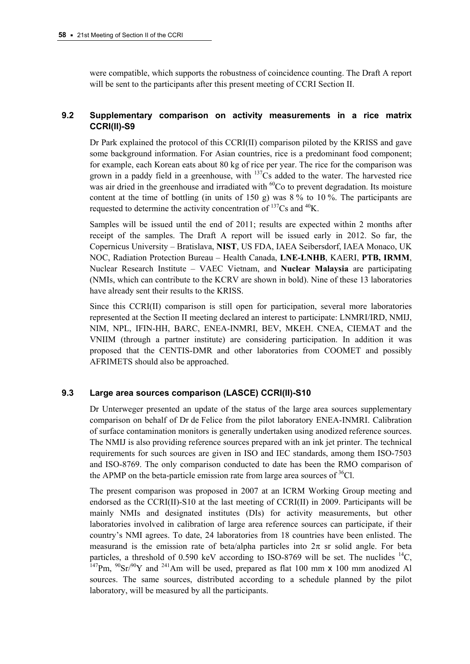were compatible, which supports the robustness of coincidence counting. The Draft A report will be sent to the participants after this present meeting of CCRI Section II.

## **9.2 Supplementary comparison on activity measurements in a rice matrix CCRI(II)-S9**

Dr Park explained the protocol of this CCRI(II) comparison piloted by the KRISS and gave some background information. For Asian countries, rice is a predominant food component; for example, each Korean eats about 80 kg of rice per year. The rice for the comparison was grown in a paddy field in a greenhouse, with  $137Cs$  added to the water. The harvested rice was air dried in the greenhouse and irradiated with  ${}^{60}$ Co to prevent degradation. Its moisture content at the time of bottling (in units of 150 g) was  $8\%$  to 10%. The participants are requested to determine the activity concentration of  $\rm ^{137}Cs$  and  $\rm ^{40}K$ .

Samples will be issued until the end of 2011; results are expected within 2 months after receipt of the samples. The Draft A report will be issued early in 2012. So far, the Copernicus University – Bratislava, **NIST**, US FDA, IAEA Seibersdorf, IAEA Monaco, UK NOC, Radiation Protection Bureau – Health Canada, **LNE-LNHB**, KAERI, **PTB, IRMM**, Nuclear Research Institute – VAEC Vietnam, and **Nuclear Malaysia** are participating (NMIs, which can contribute to the KCRV are shown in bold). Nine of these 13 laboratories have already sent their results to the KRISS.

Since this CCRI(II) comparison is still open for participation, several more laboratories represented at the Section II meeting declared an interest to participate: LNMRI/IRD, NMIJ, NIM, NPL, IFIN-HH, BARC, ENEA-INMRI, BEV, MKEH. CNEA, CIEMAT and the VNIIM (through a partner institute) are considering participation. In addition it was proposed that the CENTIS-DMR and other laboratories from COOMET and possibly AFRIMETS should also be approached.

### **9.3 Large area sources comparison (LASCE) CCRI(II)-S10**

Dr Unterweger presented an update of the status of the large area sources supplementary comparison on behalf of Dr de Felice from the pilot laboratory ENEA-INMRI. Calibration of surface contamination monitors is generally undertaken using anodized reference sources. The NMIJ is also providing reference sources prepared with an ink jet printer. The technical requirements for such sources are given in ISO and IEC standards, among them ISO-7503 and ISO-8769. The only comparison conducted to date has been the RMO comparison of the APMP on the beta-particle emission rate from large area sources of  ${}^{36}Cl$ .

The present comparison was proposed in 2007 at an ICRM Working Group meeting and endorsed as the CCRI(II)-S10 at the last meeting of CCRI(II) in 2009. Participants will be mainly NMIs and designated institutes (DIs) for activity measurements, but other laboratories involved in calibration of large area reference sources can participate, if their country's NMI agrees. To date, 24 laboratories from 18 countries have been enlisted. The measurand is the emission rate of beta/alpha particles into  $2\pi$  sr solid angle. For beta particles, a threshold of 0.590 keV according to ISO-8769 will be set. The nuclides  $^{14}C$ , <sup>147</sup>Pm,  $^{90}Sr/^{90}Y$  and <sup>241</sup>Am will be used, prepared as flat 100 mm x 100 mm anodized Al sources. The same sources, distributed according to a schedule planned by the pilot laboratory, will be measured by all the participants.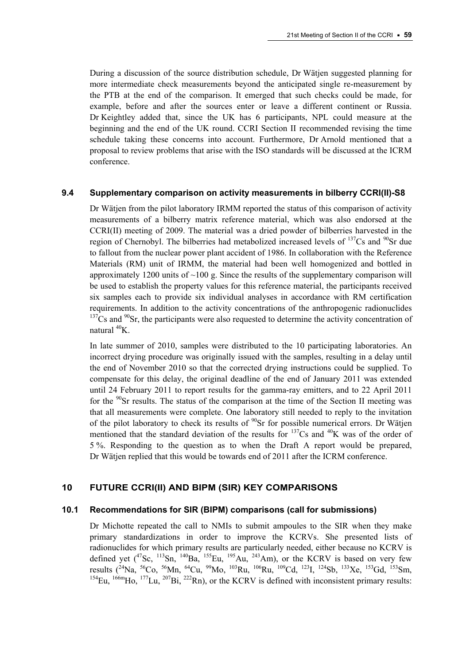During a discussion of the source distribution schedule, Dr Wätjen suggested planning for more intermediate check measurements beyond the anticipated single re-measurement by the PTB at the end of the comparison. It emerged that such checks could be made, for example, before and after the sources enter or leave a different continent or Russia. Dr Keightley added that, since the UK has 6 participants, NPL could measure at the beginning and the end of the UK round. CCRI Section II recommended revising the time schedule taking these concerns into account. Furthermore, Dr Arnold mentioned that a proposal to review problems that arise with the ISO standards will be discussed at the ICRM conference.

#### **9.4 Supplementary comparison on activity measurements in bilberry CCRI(II)-S8**

Dr Wätjen from the pilot laboratory IRMM reported the status of this comparison of activity measurements of a bilberry matrix reference material, which was also endorsed at the CCRI(II) meeting of 2009. The material was a dried powder of bilberries harvested in the region of Chernobyl. The bilberries had metabolized increased levels of  $137Cs$  and  $90Sr$  due to fallout from the nuclear power plant accident of 1986. In collaboration with the Reference Materials (RM) unit of IRMM, the material had been well homogenized and bottled in approximately 1200 units of  $\sim$ 100 g. Since the results of the supplementary comparison will be used to establish the property values for this reference material, the participants received six samples each to provide six individual analyses in accordance with RM certification requirements. In addition to the activity concentrations of the anthropogenic radionuclides  $137Cs$  and  $90Sr$ , the participants were also requested to determine the activity concentration of natural  ${}^{40}$ K.

In late summer of 2010, samples were distributed to the 10 participating laboratories. An incorrect drying procedure was originally issued with the samples, resulting in a delay until the end of November 2010 so that the corrected drying instructions could be supplied. To compensate for this delay, the original deadline of the end of January 2011 was extended until 24 February 2011 to report results for the gamma-ray emitters, and to 22 April 2011 for the  $90$ Sr results. The status of the comparison at the time of the Section II meeting was that all measurements were complete. One laboratory still needed to reply to the invitation of the pilot laboratory to check its results of  $^{90}Sr$  for possible numerical errors. Dr Wätjen mentioned that the standard deviation of the results for  $137$ Cs and  $40$ K was of the order of 5 %. Responding to the question as to when the Draft A report would be prepared, Dr Wätjen replied that this would be towards end of 2011 after the ICRM conference.

## **10 FUTURE CCRI(II) AND BIPM (SIR) KEY COMPARISONS**

#### **10.1 Recommendations for SIR (BIPM) comparisons (call for submissions)**

Dr Michotte repeated the call to NMIs to submit ampoules to the SIR when they make primary standardizations in order to improve the KCRVs. She presented lists of radionuclides for which primary results are particularly needed, either because no KCRV is defined yet  $(^{47}Sc, ^{113}Sn, ^{140}Ba, ^{155}Eu, ^{195}Au, ^{243}Am)$ , or the KCRV is based on very few results (24Na, 56Co, 56Mn, 64Cu, 99Mo, 103Ru, 106Ru, 109Cd, 123I, 124Sb, 133Xe, 153Gd, 153Sm,  $^{154}$ Eu,  $^{166m}$ Ho,  $^{177}$ Lu,  $^{207}$ Bi,  $^{222}$ Rn), or the KCRV is defined with inconsistent primary results: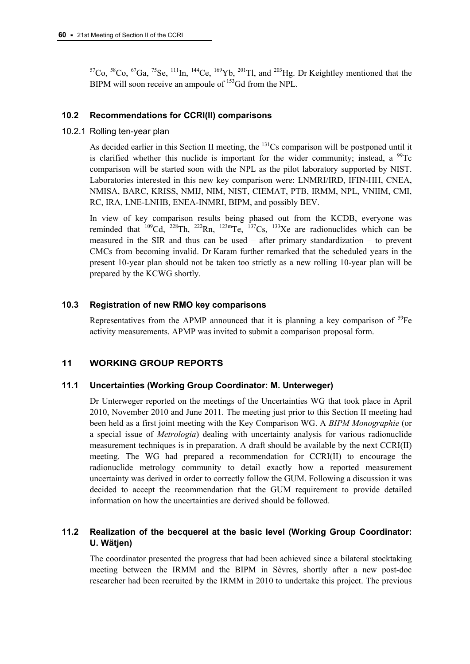$57C_0$ ,  $58C_0$ ,  $67Ga$ ,  $75Se$ ,  $111In$ ,  $144Ce$ ,  $169Yb$ ,  $201Tl$ , and  $203Hg$ . Dr Keightley mentioned that the BIPM will soon receive an ampoule of <sup>153</sup>Gd from the NPL.

### **10.2 Recommendations for CCRI(II) comparisons**

10.2.1 Rolling ten-year plan

As decided earlier in this Section II meeting, the  $131Cs$  comparison will be postponed until it is clarified whether this nuclide is important for the wider community; instead, a  $^{99}$ Tc comparison will be started soon with the NPL as the pilot laboratory supported by NIST. Laboratories interested in this new key comparison were: LNMRI/IRD, IFIN-HH, CNEA, NMISA, BARC, KRISS, NMIJ, NIM, NIST, CIEMAT, PTB, IRMM, NPL, VNIIM, CMI, RC, IRA, LNE-LNHB, ENEA-INMRI, BIPM, and possibly BEV.

In view of key comparison results being phased out from the KCDB, everyone was reminded that  $^{109}$ Cd,  $^{228}$ Th,  $^{222}$ Rn,  $^{123}$ mTe,  $^{137}$ Cs,  $^{133}$ Xe are radionuclides which can be measured in the SIR and thus can be used – after primary standardization – to prevent CMCs from becoming invalid. Dr Karam further remarked that the scheduled years in the present 10-year plan should not be taken too strictly as a new rolling 10-year plan will be prepared by the KCWG shortly.

### **10.3 Registration of new RMO key comparisons**

Representatives from the APMP announced that it is planning a key comparison of  $^{59}Fe$ activity measurements. APMP was invited to submit a comparison proposal form.

## **11 WORKING GROUP REPORTS**

### **11.1 Uncertainties (Working Group Coordinator: M. Unterweger)**

Dr Unterweger reported on the meetings of the Uncertainties WG that took place in April 2010, November 2010 and June 2011. The meeting just prior to this Section II meeting had been held as a first joint meeting with the Key Comparison WG. A *BIPM Monographie* (or a special issue of *Metrologia*) dealing with uncertainty analysis for various radionuclide measurement techniques is in preparation. A draft should be available by the next CCRI(II) meeting. The WG had prepared a recommendation for CCRI(II) to encourage the radionuclide metrology community to detail exactly how a reported measurement uncertainty was derived in order to correctly follow the GUM. Following a discussion it was decided to accept the recommendation that the GUM requirement to provide detailed information on how the uncertainties are derived should be followed.

## **11.2 Realization of the becquerel at the basic level (Working Group Coordinator: U. Wätjen)**

The coordinator presented the progress that had been achieved since a bilateral stocktaking meeting between the IRMM and the BIPM in Sèvres, shortly after a new post-doc researcher had been recruited by the IRMM in 2010 to undertake this project. The previous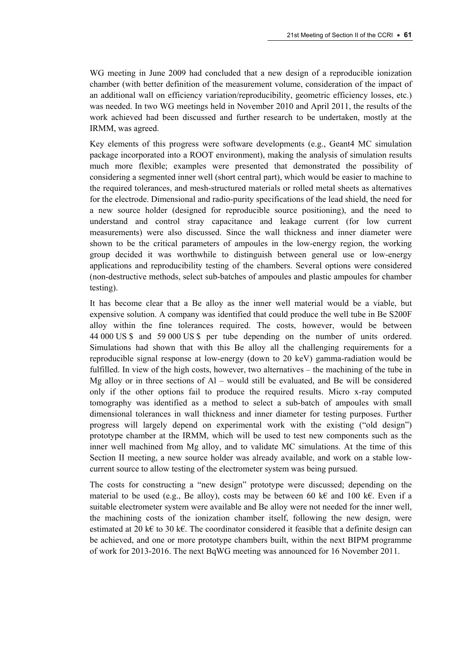WG meeting in June 2009 had concluded that a new design of a reproducible ionization chamber (with better definition of the measurement volume, consideration of the impact of an additional wall on efficiency variation/reproducibility, geometric efficiency losses, etc.) was needed. In two WG meetings held in November 2010 and April 2011, the results of the work achieved had been discussed and further research to be undertaken, mostly at the IRMM, was agreed.

Key elements of this progress were software developments (e.g., Geant4 MC simulation package incorporated into a ROOT environment), making the analysis of simulation results much more flexible; examples were presented that demonstrated the possibility of considering a segmented inner well (short central part), which would be easier to machine to the required tolerances, and mesh-structured materials or rolled metal sheets as alternatives for the electrode. Dimensional and radio-purity specifications of the lead shield, the need for a new source holder (designed for reproducible source positioning), and the need to understand and control stray capacitance and leakage current (for low current measurements) were also discussed. Since the wall thickness and inner diameter were shown to be the critical parameters of ampoules in the low-energy region, the working group decided it was worthwhile to distinguish between general use or low-energy applications and reproducibility testing of the chambers. Several options were considered (non-destructive methods, select sub-batches of ampoules and plastic ampoules for chamber testing).

It has become clear that a Be alloy as the inner well material would be a viable, but expensive solution. A company was identified that could produce the well tube in Be S200F alloy within the fine tolerances required. The costs, however, would be between 44 000 US \$ and 59 000 US \$ per tube depending on the number of units ordered. Simulations had shown that with this Be alloy all the challenging requirements for a reproducible signal response at low-energy (down to 20 keV) gamma-radiation would be fulfilled. In view of the high costs, however, two alternatives – the machining of the tube in Mg alloy or in three sections of Al – would still be evaluated, and Be will be considered only if the other options fail to produce the required results. Micro x-ray computed tomography was identified as a method to select a sub-batch of ampoules with small dimensional tolerances in wall thickness and inner diameter for testing purposes. Further progress will largely depend on experimental work with the existing ("old design") prototype chamber at the IRMM, which will be used to test new components such as the inner well machined from Mg alloy, and to validate MC simulations. At the time of this Section II meeting, a new source holder was already available, and work on a stable lowcurrent source to allow testing of the electrometer system was being pursued.

The costs for constructing a "new design" prototype were discussed; depending on the material to be used (e.g., Be alloy), costs may be between 60 k€ and 100 k€. Even if a suitable electrometer system were available and Be alloy were not needed for the inner well, the machining costs of the ionization chamber itself, following the new design, were estimated at 20 k€ to 30 k€. The coordinator considered it feasible that a definite design can be achieved, and one or more prototype chambers built, within the next BIPM programme of work for 2013-2016. The next BqWG meeting was announced for 16 November 2011.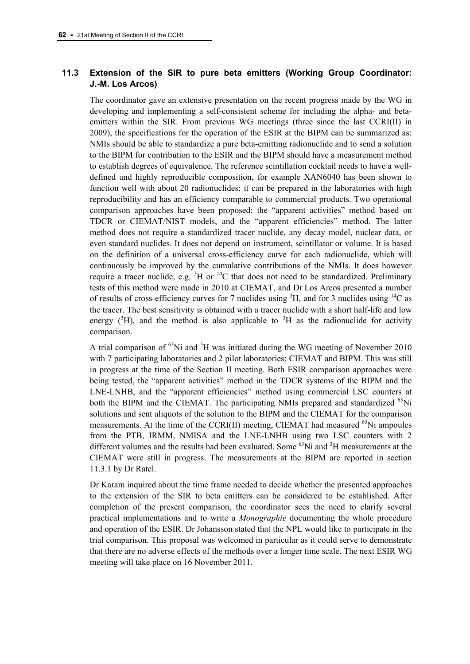# **11.3 Extension of the SIR to pure beta emitters (Working Group Coordinator: J.-M. Los Arcos)**

The coordinator gave an extensive presentation on the recent progress made by the WG in developing and implementing a self-consistent scheme for including the alpha- and betaemitters within the SIR. From previous WG meetings (three since the last CCRI(II) in 2009), the specifications for the operation of the ESIR at the BIPM can be summarized as: NMIs should be able to standardize a pure beta-emitting radionuclide and to send a solution to the BIPM for contribution to the ESIR and the BIPM should have a measurement method to establish degrees of equivalence. The reference scintillation cocktail needs to have a welldefined and highly reproducible composition, for example XAN6040 has been shown to function well with about 20 radionuclides; it can be prepared in the laboratories with high reproducibility and has an efficiency comparable to commercial products. Two operational comparison approaches have been proposed: the "apparent activities" method based on TDCR or CIEMAT/NIST models, and the "apparent efficiencies" method. The latter method does not require a standardized tracer nuclide, any decay model, nuclear data, or even standard nuclides. It does not depend on instrument, scintillator or volume. It is based on the definition of a universal cross-efficiency curve for each radionuclide, which will continuously be improved by the cumulative contributions of the NMIs. It does however require a tracer nuclide, e.g.  ${}^{3}H$  or  ${}^{14}C$  that does not need to be standardized. Preliminary tests of this method were made in 2010 at CIEMAT, and Dr Los Arcos presented a number of results of cross-efficiency curves for 7 nuclides using  ${}^{3}H$ , and for 3 nuclides using  ${}^{14}C$  as the tracer. The best sensitivity is obtained with a tracer nuclide with a short half-life and low energy  $(^{3}H)$ , and the method is also applicable to  $^{3}H$  as the radionuclide for activity comparison.

A trial comparison of  $^{63}$ Ni and  $^{3}$ H was initiated during the WG meeting of November 2010 with 7 participating laboratories and 2 pilot laboratories; CIEMAT and BIPM. This was still in progress at the time of the Section II meeting. Both ESIR comparison approaches were being tested, the "apparent activities" method in the TDCR systems of the BIPM and the LNE-LNHB, and the "apparent efficiencies" method using commercial LSC counters at both the BIPM and the CIEMAT. The participating NMIs prepared and standardized <sup>63</sup>Ni solutions and sent aliquots of the solution to the BIPM and the CIEMAT for the comparison measurements. At the time of the CCRI(II) meeting, CIEMAT had measured  $^{63}$ Ni ampoules from the PTB, IRMM, NMISA and the LNE-LNHB using two LSC counters with 2 different volumes and the results had been evaluated. Some  ${}^{63}$ Ni and  ${}^{3}$ H measurements at the CIEMAT were still in progress. The measurements at the BIPM are reported in section 11.3.1 by Dr Ratel.

Dr Karam inquired about the time frame needed to decide whether the presented approaches to the extension of the SIR to beta emitters can be considered to be established. After completion of the present comparison, the coordinator sees the need to clarify several practical implementations and to write a *Monographie* documenting the whole procedure and operation of the ESIR. Dr Johansson stated that the NPL would like to participate in the trial comparison. This proposal was welcomed in particular as it could serve to demonstrate that there are no adverse effects of the methods over a longer time scale. The next ESIR WG meeting will take place on 16 November 2011.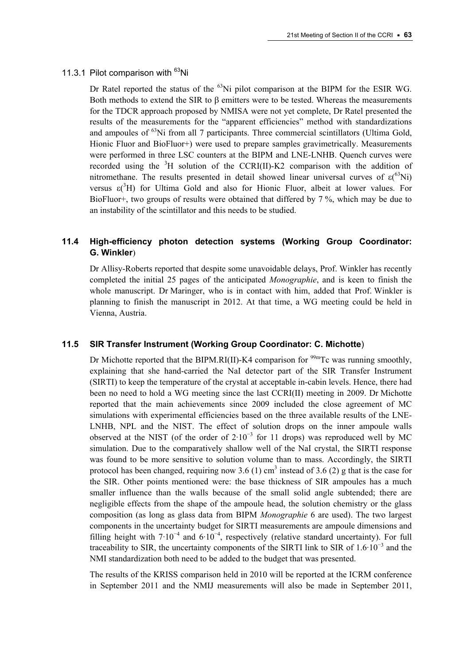#### 11.3.1 Pilot comparison with <sup>63</sup>Ni

Dr Ratel reported the status of the  $<sup>63</sup>Ni$  pilot comparison at the BIPM for the ESIR WG.</sup> Both methods to extend the SIR to  $\beta$  emitters were to be tested. Whereas the measurements for the TDCR approach proposed by NMISA were not yet complete, Dr Ratel presented the results of the measurements for the "apparent efficiencies" method with standardizations and ampoules of  $^{63}$ Ni from all 7 participants. Three commercial scintillators (Ultima Gold, Hionic Fluor and BioFluor+) were used to prepare samples gravimetrically. Measurements were performed in three LSC counters at the BIPM and LNE-LNHB. Quench curves were recorded using the  ${}^{3}H$  solution of the CCRI(II)-K2 comparison with the addition of nitromethane. The results presented in detail showed linear universal curves of  $\varepsilon$ <sup>(63</sup>Ni) versus  $\varepsilon$ <sup>3</sup>H) for Ultima Gold and also for Hionic Fluor, albeit at lower values. For BioFluor+, two groups of results were obtained that differed by 7 %, which may be due to an instability of the scintillator and this needs to be studied.

# **11.4 High-efficiency photon detection systems (Working Group Coordinator: G. Winkler**)

Dr Allisy-Roberts reported that despite some unavoidable delays, Prof. Winkler has recently completed the initial 25 pages of the anticipated *Monographie*, and is keen to finish the whole manuscript. Dr Maringer, who is in contact with him, added that Prof. Winkler is planning to finish the manuscript in 2012. At that time, a WG meeting could be held in Vienna, Austria.

#### **11.5 SIR Transfer Instrument (Working Group Coordinator: C. Michotte**)

Dr Michotte reported that the BIPM.RI(II)-K4 comparison for  $\frac{99 \text{m}}{2}$ Tc was running smoothly, explaining that she hand-carried the NaI detector part of the SIR Transfer Instrument (SIRTI) to keep the temperature of the crystal at acceptable in-cabin levels. Hence, there had been no need to hold a WG meeting since the last CCRI(II) meeting in 2009. Dr Michotte reported that the main achievements since 2009 included the close agreement of MC simulations with experimental efficiencies based on the three available results of the LNE-LNHB, NPL and the NIST. The effect of solution drops on the inner ampoule walls observed at the NIST (of the order of  $2.10^{-3}$  for 11 drops) was reproduced well by MC simulation. Due to the comparatively shallow well of the NaI crystal, the SIRTI response was found to be more sensitive to solution volume than to mass. Accordingly, the SIRTI protocol has been changed, requiring now 3.6 (1) cm<sup>3</sup> instead of 3.6 (2) g that is the case for the SIR. Other points mentioned were: the base thickness of SIR ampoules has a much smaller influence than the walls because of the small solid angle subtended; there are negligible effects from the shape of the ampoule head, the solution chemistry or the glass composition (as long as glass data from BIPM *Monographie* 6 are used). The two largest components in the uncertainty budget for SIRTI measurements are ampoule dimensions and filling height with  $7.10^{-4}$  and  $6.10^{-4}$ , respectively (relative standard uncertainty). For full traceability to SIR, the uncertainty components of the SIRTI link to SIR of  $1.6 \cdot 10^{-3}$  and the NMI standardization both need to be added to the budget that was presented.

The results of the KRISS comparison held in 2010 will be reported at the ICRM conference in September 2011 and the NMIJ measurements will also be made in September 2011,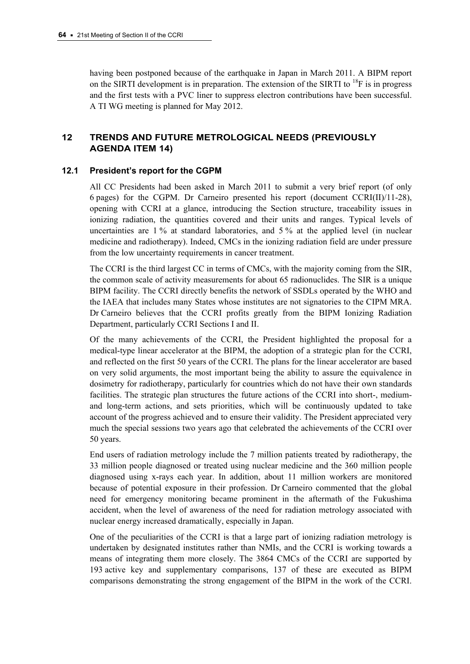having been postponed because of the earthquake in Japan in March 2011. A BIPM report on the SIRTI development is in preparation. The extension of the SIRTI to  $^{18}$ F is in progress and the first tests with a PVC liner to suppress electron contributions have been successful. A TI WG meeting is planned for May 2012.

# **12 TRENDS AND FUTURE METROLOGICAL NEEDS (PREVIOUSLY AGENDA ITEM 14)**

## **12.1 President's report for the CGPM**

All CC Presidents had been asked in March 2011 to submit a very brief report (of only 6 pages) for the CGPM. Dr Carneiro presented his report (document CCRI(II)/11-28), opening with CCRI at a glance, introducing the Section structure, traceability issues in ionizing radiation, the quantities covered and their units and ranges. Typical levels of uncertainties are 1 % at standard laboratories, and 5 % at the applied level (in nuclear medicine and radiotherapy). Indeed, CMCs in the ionizing radiation field are under pressure from the low uncertainty requirements in cancer treatment.

The CCRI is the third largest CC in terms of CMCs, with the majority coming from the SIR, the common scale of activity measurements for about 65 radionuclides. The SIR is a unique BIPM facility. The CCRI directly benefits the network of SSDLs operated by the WHO and the IAEA that includes many States whose institutes are not signatories to the CIPM MRA. Dr Carneiro believes that the CCRI profits greatly from the BIPM Ionizing Radiation Department, particularly CCRI Sections I and II.

Of the many achievements of the CCRI, the President highlighted the proposal for a medical-type linear accelerator at the BIPM, the adoption of a strategic plan for the CCRI, and reflected on the first 50 years of the CCRI. The plans for the linear accelerator are based on very solid arguments, the most important being the ability to assure the equivalence in dosimetry for radiotherapy, particularly for countries which do not have their own standards facilities. The strategic plan structures the future actions of the CCRI into short-, mediumand long-term actions, and sets priorities, which will be continuously updated to take account of the progress achieved and to ensure their validity. The President appreciated very much the special sessions two years ago that celebrated the achievements of the CCRI over 50 years.

End users of radiation metrology include the 7 million patients treated by radiotherapy, the 33 million people diagnosed or treated using nuclear medicine and the 360 million people diagnosed using x-rays each year. In addition, about 11 million workers are monitored because of potential exposure in their profession. Dr Carneiro commented that the global need for emergency monitoring became prominent in the aftermath of the Fukushima accident, when the level of awareness of the need for radiation metrology associated with nuclear energy increased dramatically, especially in Japan.

One of the peculiarities of the CCRI is that a large part of ionizing radiation metrology is undertaken by designated institutes rather than NMIs, and the CCRI is working towards a means of integrating them more closely. The 3864 CMCs of the CCRI are supported by 193 active key and supplementary comparisons, 137 of these are executed as BIPM comparisons demonstrating the strong engagement of the BIPM in the work of the CCRI.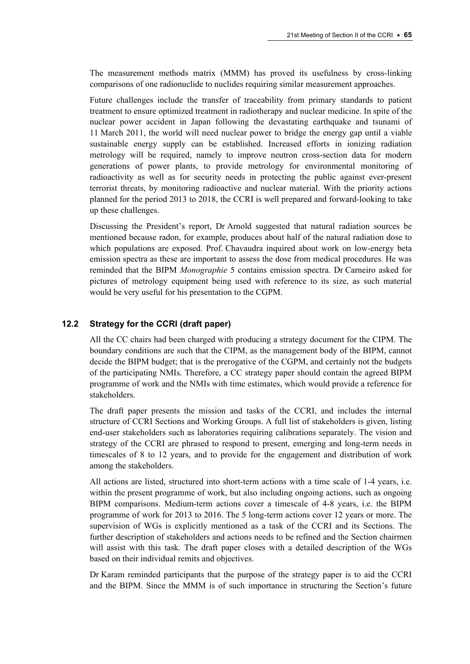The measurement methods matrix (MMM) has proved its usefulness by cross-linking comparisons of one radionuclide to nuclides requiring similar measurement approaches.

Future challenges include the transfer of traceability from primary standards to patient treatment to ensure optimized treatment in radiotherapy and nuclear medicine. In spite of the nuclear power accident in Japan following the devastating earthquake and tsunami of 11 March 2011, the world will need nuclear power to bridge the energy gap until a viable sustainable energy supply can be established. Increased efforts in ionizing radiation metrology will be required, namely to improve neutron cross-section data for modern generations of power plants, to provide metrology for environmental monitoring of radioactivity as well as for security needs in protecting the public against ever-present terrorist threats, by monitoring radioactive and nuclear material. With the priority actions planned for the period 2013 to 2018, the CCRI is well prepared and forward-looking to take up these challenges.

Discussing the President's report, Dr Arnold suggested that natural radiation sources be mentioned because radon, for example, produces about half of the natural radiation dose to which populations are exposed. Prof. Chavaudra inquired about work on low-energy beta emission spectra as these are important to assess the dose from medical procedures. He was reminded that the BIPM *Monographie* 5 contains emission spectra. Dr Carneiro asked for pictures of metrology equipment being used with reference to its size, as such material would be very useful for his presentation to the CGPM.

## **12.2 Strategy for the CCRI (draft paper)**

All the CC chairs had been charged with producing a strategy document for the CIPM. The boundary conditions are such that the CIPM, as the management body of the BIPM, cannot decide the BIPM budget; that is the prerogative of the CGPM, and certainly not the budgets of the participating NMIs. Therefore, a CC strategy paper should contain the agreed BIPM programme of work and the NMIs with time estimates, which would provide a reference for stakeholders.

The draft paper presents the mission and tasks of the CCRI, and includes the internal structure of CCRI Sections and Working Groups. A full list of stakeholders is given, listing end-user stakeholders such as laboratories requiring calibrations separately. The vision and strategy of the CCRI are phrased to respond to present, emerging and long-term needs in timescales of 8 to 12 years, and to provide for the engagement and distribution of work among the stakeholders.

All actions are listed, structured into short-term actions with a time scale of 1-4 years, i.e. within the present programme of work, but also including ongoing actions, such as ongoing BIPM comparisons. Medium-term actions cover a timescale of 4-8 years, i.e. the BIPM programme of work for 2013 to 2016. The 5 long-term actions cover 12 years or more. The supervision of WGs is explicitly mentioned as a task of the CCRI and its Sections. The further description of stakeholders and actions needs to be refined and the Section chairmen will assist with this task. The draft paper closes with a detailed description of the WGs based on their individual remits and objectives.

Dr Karam reminded participants that the purpose of the strategy paper is to aid the CCRI and the BIPM. Since the MMM is of such importance in structuring the Section's future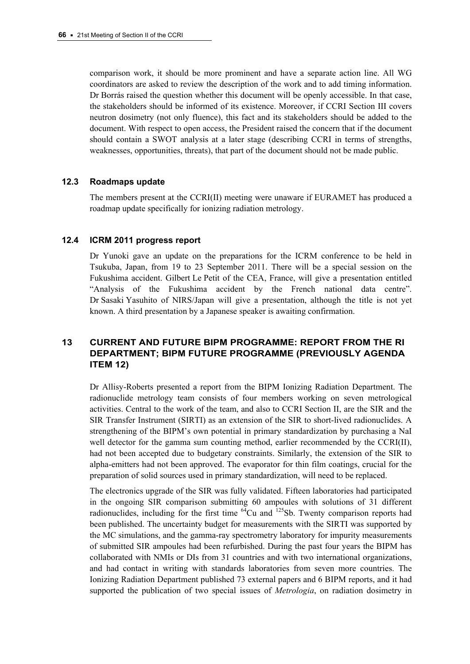comparison work, it should be more prominent and have a separate action line. All WG coordinators are asked to review the description of the work and to add timing information. Dr Borrás raised the question whether this document will be openly accessible. In that case, the stakeholders should be informed of its existence. Moreover, if CCRI Section III covers neutron dosimetry (not only fluence), this fact and its stakeholders should be added to the document. With respect to open access, the President raised the concern that if the document should contain a SWOT analysis at a later stage (describing CCRI in terms of strengths, weaknesses, opportunities, threats), that part of the document should not be made public.

### **12.3 Roadmaps update**

The members present at the CCRI(II) meeting were unaware if EURAMET has produced a roadmap update specifically for ionizing radiation metrology.

### **12.4 ICRM 2011 progress report**

Dr Yunoki gave an update on the preparations for the ICRM conference to be held in Tsukuba, Japan, from 19 to 23 September 2011. There will be a special session on the Fukushima accident. Gilbert Le Petit of the CEA, France, will give a presentation entitled "Analysis of the Fukushima accident by the French national data centre". Dr Sasaki Yasuhito of NIRS/Japan will give a presentation, although the title is not yet known. A third presentation by a Japanese speaker is awaiting confirmation.

# **13 CURRENT AND FUTURE BIPM PROGRAMME: REPORT FROM THE RI DEPARTMENT; BIPM FUTURE PROGRAMME (PREVIOUSLY AGENDA ITEM 12)**

Dr Allisy-Roberts presented a report from the BIPM Ionizing Radiation Department. The radionuclide metrology team consists of four members working on seven metrological activities. Central to the work of the team, and also to CCRI Section II, are the SIR and the SIR Transfer Instrument (SIRTI) as an extension of the SIR to short-lived radionuclides. A strengthening of the BIPM's own potential in primary standardization by purchasing a NaI well detector for the gamma sum counting method, earlier recommended by the CCRI(II), had not been accepted due to budgetary constraints. Similarly, the extension of the SIR to alpha-emitters had not been approved. The evaporator for thin film coatings, crucial for the preparation of solid sources used in primary standardization, will need to be replaced.

The electronics upgrade of the SIR was fully validated. Fifteen laboratories had participated in the ongoing SIR comparison submitting 60 ampoules with solutions of 31 different radionuclides, including for the first time  $^{64}$ Cu and  $^{125}$ Sb. Twenty comparison reports had been published. The uncertainty budget for measurements with the SIRTI was supported by the MC simulations, and the gamma-ray spectrometry laboratory for impurity measurements of submitted SIR ampoules had been refurbished. During the past four years the BIPM has collaborated with NMIs or DIs from 31 countries and with two international organizations, and had contact in writing with standards laboratories from seven more countries. The Ionizing Radiation Department published 73 external papers and 6 BIPM reports, and it had supported the publication of two special issues of *Metrologia*, on radiation dosimetry in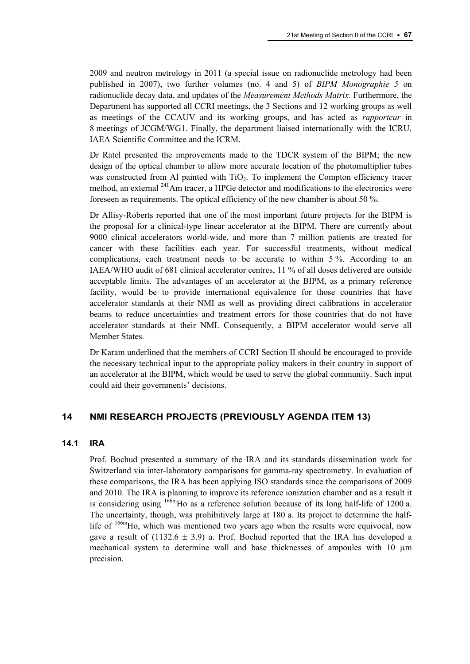2009 and neutron metrology in 2011 (a special issue on radionuclide metrology had been published in 2007), two further volumes (no. 4 and 5) of *BIPM Monographie 5* on radionuclide decay data, and updates of the *Measurement Methods Matrix*. Furthermore, the Department has supported all CCRI meetings, the 3 Sections and 12 working groups as well as meetings of the CCAUV and its working groups, and has acted as *rapporteur* in 8 meetings of JCGM/WG1. Finally, the department liaised internationally with the ICRU, IAEA Scientific Committee and the ICRM.

Dr Ratel presented the improvements made to the TDCR system of the BIPM; the new design of the optical chamber to allow more accurate location of the photomultiplier tubes was constructed from Al painted with TiO<sub>2</sub>. To implement the Compton efficiency tracer method, an external <sup>241</sup>Am tracer, a HPGe detector and modifications to the electronics were foreseen as requirements. The optical efficiency of the new chamber is about 50 %.

Dr Allisy-Roberts reported that one of the most important future projects for the BIPM is the proposal for a clinical-type linear accelerator at the BIPM. There are currently about 9000 clinical accelerators world-wide, and more than 7 million patients are treated for cancer with these facilities each year. For successful treatments, without medical complications, each treatment needs to be accurate to within 5 %. According to an IAEA/WHO audit of 681 clinical accelerator centres, 11 % of all doses delivered are outside acceptable limits. The advantages of an accelerator at the BIPM, as a primary reference facility, would be to provide international equivalence for those countries that have accelerator standards at their NMI as well as providing direct calibrations in accelerator beams to reduce uncertainties and treatment errors for those countries that do not have accelerator standards at their NMI. Consequently, a BIPM accelerator would serve all Member States.

Dr Karam underlined that the members of CCRI Section II should be encouraged to provide the necessary technical input to the appropriate policy makers in their country in support of an accelerator at the BIPM, which would be used to serve the global community. Such input could aid their governments' decisions.

## **14 NMI RESEARCH PROJECTS (PREVIOUSLY AGENDA ITEM 13)**

## **14.1 IRA**

Prof. Bochud presented a summary of the IRA and its standards dissemination work for Switzerland via inter-laboratory comparisons for gamma-ray spectrometry. In evaluation of these comparisons, the IRA has been applying ISO standards since the comparisons of 2009 and 2010. The IRA is planning to improve its reference ionization chamber and as a result it is considering using <sup>166m</sup>Ho as a reference solution because of its long half-life of 1200 a. The uncertainty, though, was prohibitively large at 180 a. Its project to determine the halflife of <sup>166m</sup>Ho, which was mentioned two years ago when the results were equivocal, now gave a result of  $(1132.6 \pm 3.9)$  a. Prof. Bochud reported that the IRA has developed a mechanical system to determine wall and base thicknesses of ampoules with 10  $\mu$ m precision.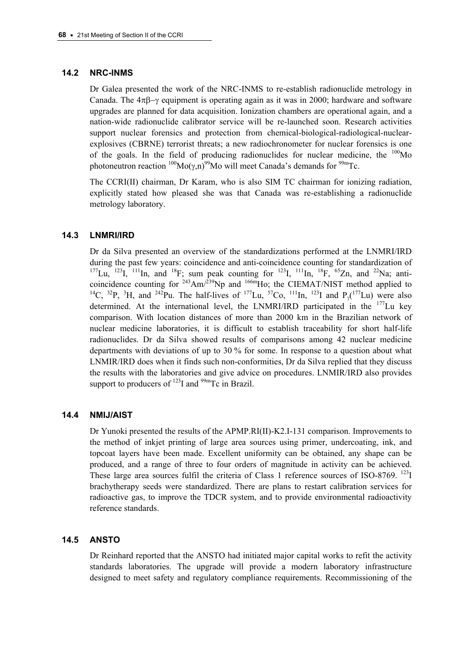### **14.2 NRC-INMS**

Dr Galea presented the work of the NRC-INMS to re-establish radionuclide metrology in Canada. The  $4\pi\beta-\gamma$  equipment is operating again as it was in 2000; hardware and software upgrades are planned for data acquisition. Ionization chambers are operational again, and a nation-wide radionuclide calibrator service will be re-launched soon. Research activities support nuclear forensics and protection from chemical-biological-radiological-nuclearexplosives (CBRNE) terrorist threats; a new radiochronometer for nuclear forensics is one of the goals. In the field of producing radionuclides for nuclear medicine, the  $100$ Mo photoneutron reaction  $^{100}$ Mo( $\gamma$ ,n)<sup>99</sup>Mo will meet Canada's demands for <sup>99m</sup>Tc.

The CCRI(II) chairman, Dr Karam, who is also SIM TC chairman for ionizing radiation, explicitly stated how pleased she was that Canada was re-establishing a radionuclide metrology laboratory.

### **14.3 LNMRI/IRD**

Dr da Silva presented an overview of the standardizations performed at the LNMRI/IRD during the past few years: coincidence and anti-coincidence counting for standardization of  $177$ Lu,  $123$ I,  $111$ In, and  $18$ F; sum peak counting for  $123$ I,  $111$ In,  $18$ F,  $65$ Zn, and  $22$ Na; anticoincidence counting for  $243$ Am/ $239$ Np and  $166$ mHo; the CIEMAT/NIST method applied to <sup>14</sup>C, <sup>32</sup>P, <sup>3</sup>H, and <sup>242</sup>Pu. The half-lives of <sup>177</sup>Lu, <sup>57</sup>Co, <sup>111</sup>In, <sup>123</sup>I and P<sub>1</sub>(<sup>177</sup>Lu) were also determined. At the international level, the LNMRI/IRD participated in the  $177$ Lu key comparison. With location distances of more than 2000 km in the Brazilian network of nuclear medicine laboratories, it is difficult to establish traceability for short half-life radionuclides. Dr da Silva showed results of comparisons among 42 nuclear medicine departments with deviations of up to 30 % for some. In response to a question about what LNMIR/IRD does when it finds such non-conformities, Dr da Silva replied that they discuss the results with the laboratories and give advice on procedures. LNMIR/IRD also provides support to producers of  $^{123}$ I and  $^{99m}$ Tc in Brazil.

### **14.4 NMIJ/AIST**

Dr Yunoki presented the results of the APMP.RI(II)-K2.I-131 comparison. Improvements to the method of inkjet printing of large area sources using primer, undercoating, ink, and topcoat layers have been made. Excellent uniformity can be obtained, any shape can be produced, and a range of three to four orders of magnitude in activity can be achieved. These large area sources fulfil the criteria of Class 1 reference sources of ISO-8769.  $^{123}I$ brachytherapy seeds were standardized. There are plans to restart calibration services for radioactive gas, to improve the TDCR system, and to provide environmental radioactivity reference standards.

## **14.5 ANSTO**

Dr Reinhard reported that the ANSTO had initiated major capital works to refit the activity standards laboratories. The upgrade will provide a modern laboratory infrastructure designed to meet safety and regulatory compliance requirements. Recommissioning of the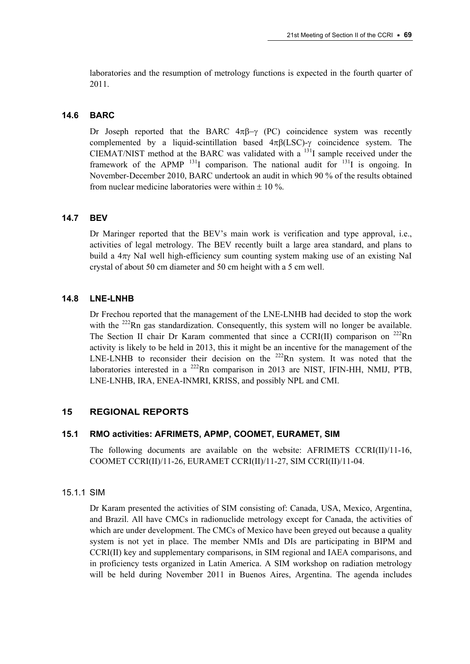laboratories and the resumption of metrology functions is expected in the fourth quarter of 2011.

## **14.6 BARC**

Dr Joseph reported that the BARC  $4\pi\beta-\gamma$  (PC) coincidence system was recently complemented by a liquid-scintillation based  $4\pi\beta(LSC)$ - $\gamma$  coincidence system. The CIEMAT/NIST method at the BARC was validated with a 131I sample received under the framework of the APMP  $^{131}I$  comparison. The national audit for  $^{131}I$  is ongoing. In November-December 2010, BARC undertook an audit in which 90 % of the results obtained from nuclear medicine laboratories were within  $\pm 10\%$ 

## **14.7 BEV**

Dr Maringer reported that the BEV's main work is verification and type approval, i.e., activities of legal metrology. The BEV recently built a large area standard, and plans to build a  $4\pi y$  NaI well high-efficiency sum counting system making use of an existing NaI crystal of about 50 cm diameter and 50 cm height with a 5 cm well.

## **14.8 LNE-LNHB**

Dr Frechou reported that the management of the LNE-LNHB had decided to stop the work with the <sup>222</sup>Rn gas standardization. Consequently, this system will no longer be available. The Section II chair Dr Karam commented that since a CCRI(II) comparison on  $^{222}$ Rn activity is likely to be held in 2013, this it might be an incentive for the management of the LNE-LNHB to reconsider their decision on the  $^{222}$ Rn system. It was noted that the laboratories interested in a  $^{222}$ Rn comparison in 2013 are NIST, IFIN-HH, NMIJ, PTB, LNE-LNHB, IRA, ENEA-INMRI, KRISS, and possibly NPL and CMI.

## **15 REGIONAL REPORTS**

## **15.1 RMO activities: AFRIMETS, APMP, COOMET, EURAMET, SIM**

The following documents are available on the website: AFRIMETS CCRI $(II)/11-16$ , COOMET CCRI(II)/11-26, EURAMET CCRI(II)/11-27, SIM CCRI(II)/11-04.

## 15.1.1 SIM

Dr Karam presented the activities of SIM consisting of: Canada, USA, Mexico, Argentina, and Brazil. All have CMCs in radionuclide metrology except for Canada, the activities of which are under development. The CMCs of Mexico have been greyed out because a quality system is not yet in place. The member NMIs and DIs are participating in BIPM and CCRI(II) key and supplementary comparisons, in SIM regional and IAEA comparisons, and in proficiency tests organized in Latin America. A SIM workshop on radiation metrology will be held during November 2011 in Buenos Aires, Argentina. The agenda includes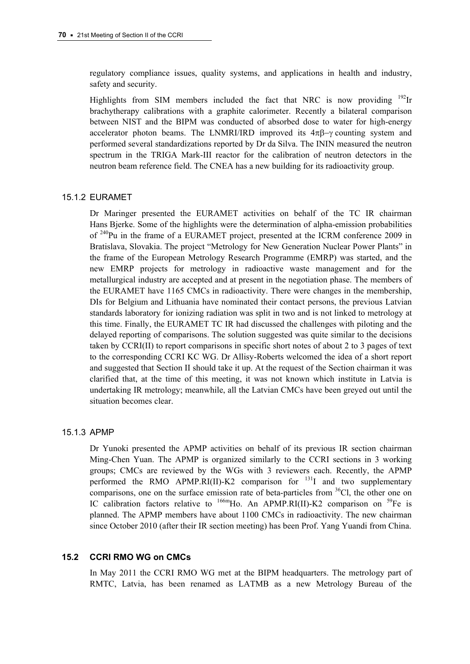regulatory compliance issues, quality systems, and applications in health and industry, safety and security.

Highlights from SIM members included the fact that NRC is now providing  $^{192}$ Ir brachytherapy calibrations with a graphite calorimeter. Recently a bilateral comparison between NIST and the BIPM was conducted of absorbed dose to water for high-energy accelerator photon beams. The LNMRI/IRD improved its  $4\pi\beta-\gamma$  counting system and performed several standardizations reported by Dr da Silva. The ININ measured the neutron spectrum in the TRIGA Mark-III reactor for the calibration of neutron detectors in the neutron beam reference field. The CNEA has a new building for its radioactivity group.

### 15.1.2 EURAMET

Dr Maringer presented the EURAMET activities on behalf of the TC IR chairman Hans Bjerke. Some of the highlights were the determination of alpha-emission probabilities of <sup>240</sup>Pu in the frame of a EURAMET project, presented at the ICRM conference 2009 in Bratislava, Slovakia. The project "Metrology for New Generation Nuclear Power Plants" in the frame of the European Metrology Research Programme (EMRP) was started, and the new EMRP projects for metrology in radioactive waste management and for the metallurgical industry are accepted and at present in the negotiation phase. The members of the EURAMET have 1165 CMCs in radioactivity. There were changes in the membership, DIs for Belgium and Lithuania have nominated their contact persons, the previous Latvian standards laboratory for ionizing radiation was split in two and is not linked to metrology at this time. Finally, the EURAMET TC IR had discussed the challenges with piloting and the delayed reporting of comparisons. The solution suggested was quite similar to the decisions taken by CCRI(II) to report comparisons in specific short notes of about 2 to 3 pages of text to the corresponding CCRI KC WG. Dr Allisy-Roberts welcomed the idea of a short report and suggested that Section II should take it up. At the request of the Section chairman it was clarified that, at the time of this meeting, it was not known which institute in Latvia is undertaking IR metrology; meanwhile, all the Latvian CMCs have been greyed out until the situation becomes clear.

#### 15.1.3 APMP

Dr Yunoki presented the APMP activities on behalf of its previous IR section chairman Ming-Chen Yuan. The APMP is organized similarly to the CCRI sections in 3 working groups; CMCs are reviewed by the WGs with 3 reviewers each. Recently, the APMP performed the RMO APMP.RI(II)-K2 comparison for  $^{131}$ I and two supplementary comparisons, one on the surface emission rate of beta-particles from  $36$ Cl, the other one on IC calibration factors relative to  $^{166m}$ Ho. An APMP.RI(II)-K2 comparison on  $^{59}$ Fe is planned. The APMP members have about 1100 CMCs in radioactivity. The new chairman since October 2010 (after their IR section meeting) has been Prof. Yang Yuandi from China.

#### **15.2 CCRI RMO WG on CMCs**

In May 2011 the CCRI RMO WG met at the BIPM headquarters. The metrology part of RMTC, Latvia, has been renamed as LATMB as a new Metrology Bureau of the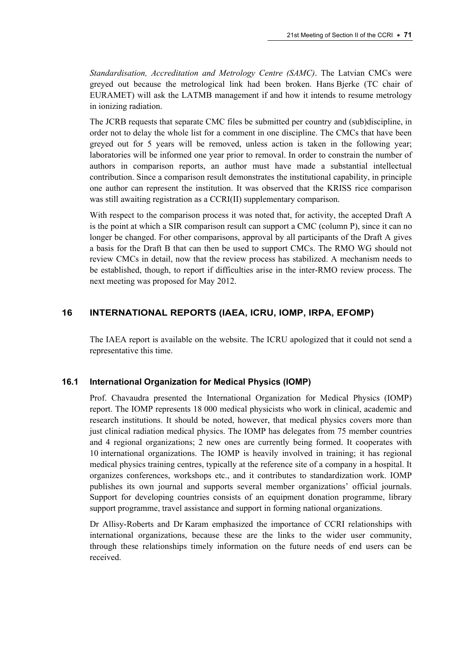*Standardisation, Accreditation and Metrology Centre (SAMC)*. The Latvian CMCs were greyed out because the metrological link had been broken. Hans Bjerke (TC chair of EURAMET) will ask the LATMB management if and how it intends to resume metrology in ionizing radiation.

The JCRB requests that separate CMC files be submitted per country and (sub)discipline, in order not to delay the whole list for a comment in one discipline. The CMCs that have been greyed out for 5 years will be removed, unless action is taken in the following year; laboratories will be informed one year prior to removal. In order to constrain the number of authors in comparison reports, an author must have made a substantial intellectual contribution. Since a comparison result demonstrates the institutional capability, in principle one author can represent the institution. It was observed that the KRISS rice comparison was still awaiting registration as a CCRI(II) supplementary comparison.

With respect to the comparison process it was noted that, for activity, the accepted Draft A is the point at which a SIR comparison result can support a CMC (column P), since it can no longer be changed. For other comparisons, approval by all participants of the Draft A gives a basis for the Draft B that can then be used to support CMCs. The RMO WG should not review CMCs in detail, now that the review process has stabilized. A mechanism needs to be established, though, to report if difficulties arise in the inter-RMO review process. The next meeting was proposed for May 2012.

## **16 INTERNATIONAL REPORTS (IAEA, ICRU, IOMP, IRPA, EFOMP)**

The IAEA report is available on the website. The ICRU apologized that it could not send a representative this time.

## **16.1 International Organization for Medical Physics (IOMP)**

Prof. Chavaudra presented the International Organization for Medical Physics (IOMP) report. The IOMP represents 18 000 medical physicists who work in clinical, academic and research institutions. It should be noted, however, that medical physics covers more than just clinical radiation medical physics. The IOMP has delegates from 75 member countries and 4 regional organizations; 2 new ones are currently being formed. It cooperates with 10 international organizations. The IOMP is heavily involved in training; it has regional medical physics training centres, typically at the reference site of a company in a hospital. It organizes conferences, workshops etc., and it contributes to standardization work. IOMP publishes its own journal and supports several member organizations' official journals. Support for developing countries consists of an equipment donation programme, library support programme, travel assistance and support in forming national organizations.

Dr Allisy-Roberts and Dr Karam emphasized the importance of CCRI relationships with international organizations, because these are the links to the wider user community, through these relationships timely information on the future needs of end users can be received.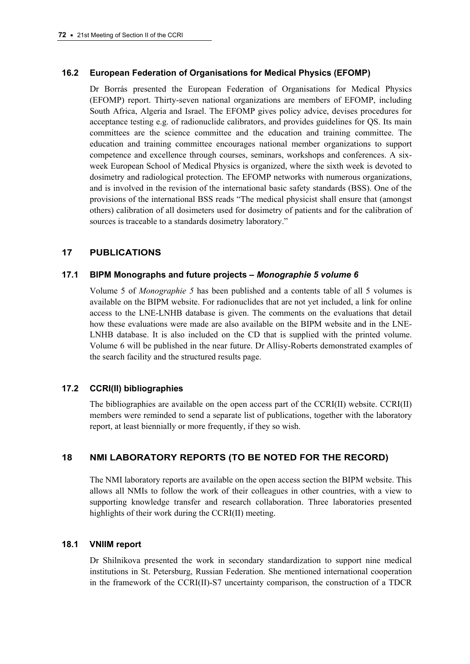# **16.2 European Federation of Organisations for Medical Physics (EFOMP)**

Dr Borrás presented the European Federation of Organisations for Medical Physics (EFOMP) report. Thirty-seven national organizations are members of EFOMP, including South Africa, Algeria and Israel. The EFOMP gives policy advice, devises procedures for acceptance testing e.g. of radionuclide calibrators, and provides guidelines for QS. Its main committees are the science committee and the education and training committee. The education and training committee encourages national member organizations to support competence and excellence through courses, seminars, workshops and conferences. A sixweek European School of Medical Physics is organized, where the sixth week is devoted to dosimetry and radiological protection. The EFOMP networks with numerous organizations, and is involved in the revision of the international basic safety standards (BSS). One of the provisions of the international BSS reads "The medical physicist shall ensure that (amongst others) calibration of all dosimeters used for dosimetry of patients and for the calibration of sources is traceable to a standards dosimetry laboratory."

# **17 PUBLICATIONS**

## **17.1 BIPM Monographs and future projects –** *Monographie 5 volume 6*

Volume 5 of *Monographie 5* has been published and a contents table of all 5 volumes is available on the BIPM website. For radionuclides that are not yet included, a link for online access to the LNE-LNHB database is given. The comments on the evaluations that detail how these evaluations were made are also available on the BIPM website and in the LNE-LNHB database. It is also included on the CD that is supplied with the printed volume. Volume 6 will be published in the near future. Dr Allisy-Roberts demonstrated examples of the search facility and the structured results page.

# **17.2 CCRI(II) bibliographies**

The bibliographies are available on the open access part of the CCRI(II) website. CCRI(II) members were reminded to send a separate list of publications, together with the laboratory report, at least biennially or more frequently, if they so wish.

# **18 NMI LABORATORY REPORTS (TO BE NOTED FOR THE RECORD)**

The NMI laboratory reports are available on the open access section the BIPM website. This allows all NMIs to follow the work of their colleagues in other countries, with a view to supporting knowledge transfer and research collaboration. Three laboratories presented highlights of their work during the CCRI(II) meeting.

## **18.1 VNIIM report**

Dr Shilnikova presented the work in secondary standardization to support nine medical institutions in St. Petersburg, Russian Federation. She mentioned international cooperation in the framework of the CCRI(II)-S7 uncertainty comparison, the construction of a TDCR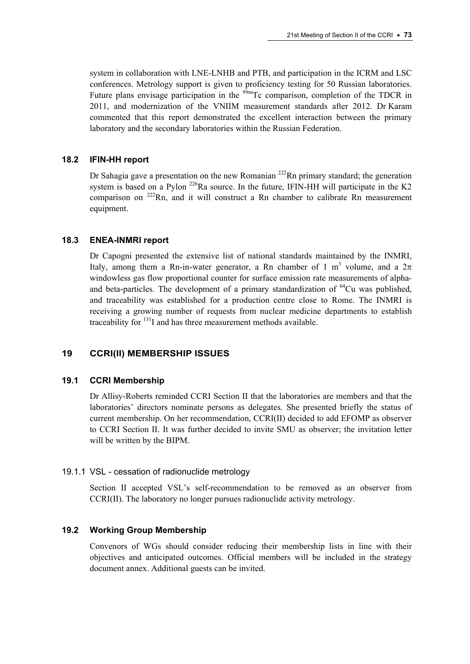system in collaboration with LNE-LNHB and PTB, and participation in the ICRM and LSC conferences. Metrology support is given to proficiency testing for 50 Russian laboratories. Future plans envisage participation in the  $99m$ Tc comparison, completion of the TDCR in 2011, and modernization of the VNIIM measurement standards after 2012. Dr Karam commented that this report demonstrated the excellent interaction between the primary laboratory and the secondary laboratories within the Russian Federation.

### **18.2 IFIN-HH report**

Dr Sahagia gave a presentation on the new Romanian  $^{222}$ Rn primary standard; the generation system is based on a Pylon  $^{226}$ Ra source. In the future, IFIN-HH will participate in the K2 comparison on 222Rn, and it will construct a Rn chamber to calibrate Rn measurement equipment.

# **18.3 ENEA-INMRI report**

Dr Capogni presented the extensive list of national standards maintained by the INMRI, Italy, among them a Rn-in-water generator, a Rn chamber of 1 m<sup>3</sup> volume, and a  $2\pi$ windowless gas flow proportional counter for surface emission rate measurements of alphaand beta-particles. The development of a primary standardization of  $^{64}$ Cu was published, and traceability was established for a production centre close to Rome. The INMRI is receiving a growing number of requests from nuclear medicine departments to establish traceability for  $131$  and has three measurement methods available.

# **19 CCRI(II) MEMBERSHIP ISSUES**

### **19.1 CCRI Membership**

Dr Allisy-Roberts reminded CCRI Section II that the laboratories are members and that the laboratories' directors nominate persons as delegates. She presented briefly the status of current membership. On her recommendation, CCRI(II) decided to add EFOMP as observer to CCRI Section II. It was further decided to invite SMU as observer; the invitation letter will be written by the BIPM.

### 19.1.1 VSL - cessation of radionuclide metrology

Section II accepted VSL's self-recommendation to be removed as an observer from CCRI(II). The laboratory no longer pursues radionuclide activity metrology.

# **19.2 Working Group Membership**

Convenors of WGs should consider reducing their membership lists in line with their objectives and anticipated outcomes. Official members will be included in the strategy document annex. Additional guests can be invited.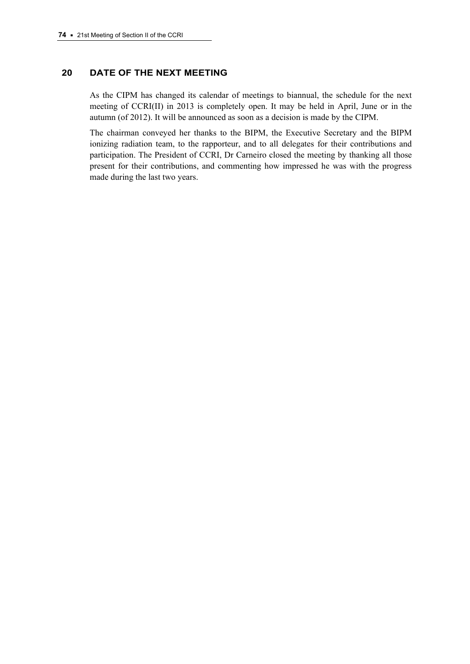# **20 DATE OF THE NEXT MEETING**

As the CIPM has changed its calendar of meetings to biannual, the schedule for the next meeting of CCRI(II) in 2013 is completely open. It may be held in April, June or in the autumn (of 2012). It will be announced as soon as a decision is made by the CIPM.

The chairman conveyed her thanks to the BIPM, the Executive Secretary and the BIPM ionizing radiation team, to the rapporteur, and to all delegates for their contributions and participation. The President of CCRI, Dr Carneiro closed the meeting by thanking all those present for their contributions, and commenting how impressed he was with the progress made during the last two years.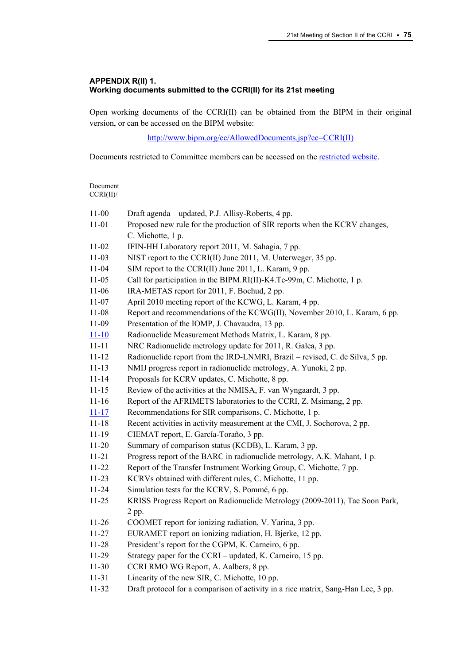### **APPENDIX R(II) 1. Working documents submitted to the CCRI(II) for its 21st meeting**

Open working documents of the CCRI(II) can be obtained from the BIPM in their original version, or can be accessed on the BIPM website:

[http://www.bipm.org/cc/AllowedDocuments.jsp?cc=CCRI\(II\)](http://www.bipm.org/cc/AllowedDocuments.jsp?cc=CCRI(II))

Documents restricted to Committee members can be accessed on the [restricted website](http://www.bipm.org/cc/CCRI(II)/Restricted/WorkingDocuments.jsp).

Document CCRI(II)/ 11-00 Draft agenda – updated, P.J. Allisy-Roberts, 4 pp. 11-01 Proposed new rule for the production of SIR reports when the KCRV changes, C. Michotte, 1 p. 11-02 IFIN-HH Laboratory report 2011, M. Sahagia, 7 pp. 11-03 NIST report to the CCRI(II) June 2011, M. Unterweger, 35 pp. 11-04 SIM report to the CCRI(II) June 2011, L. Karam, 9 pp. 11-05 Call for participation in the BIPM.RI(II)-K4.Tc-99m, C. Michotte, 1 p. 11-06 IRA-METAS report for 2011, F. Bochud, 2 pp. 11-07 April 2010 meeting report of the KCWG, L. Karam, 4 pp. 11-08 Report and recommendations of the KCWG(II), November 2010, L. Karam, 6 pp. 11-09 Presentation of the IOMP, J. Chavaudra, 13 pp. [11-10](http://www.bipm.org/cc/CCRI(II)/Restricted/21/CCRI(II)-11-10.pdf) Radionuclide Measurement Methods Matrix, L. Karam, 8 pp. 11-11 NRC Radionuclide metrology update for 2011, R. Galea, 3 pp. 11-12 Radionuclide report from the IRD-LNMRI, Brazil – revised, C. de Silva, 5 pp. 11-13 NMIJ progress report in radionuclide metrology, A. Yunoki, 2 pp. 11-14 Proposals for KCRV updates, C. Michotte, 8 pp. 11-15 Review of the activities at the NMISA, F. van Wyngaardt, 3 pp. 11-16 Report of the AFRIMETS laboratories to the CCRI, Z. Msimang, 2 pp. [11-17](http://www.bipm.org/cc/CCRI(II)/Restricted/21/CCRI(II)-11-17.pdf) Recommendations for SIR comparisons, C. Michotte, 1 p. 11-18 Recent activities in activity measurement at the CMI, J. Sochorova, 2 pp. 11-19 CIEMAT report, E. García-Toraño, 3 pp. 11-20 Summary of comparison status (KCDB), L. Karam, 3 pp. 11-21 Progress report of the BARC in radionuclide metrology, A.K. Mahant, 1 p. 11-22 Report of the Transfer Instrument Working Group, C. Michotte, 7 pp. 11-23 KCRVs obtained with different rules, C. Michotte, 11 pp. 11-24 Simulation tests for the KCRV, S. Pommé, 6 pp. 11-25 KRISS Progress Report on Radionuclide Metrology (2009-2011), Tae Soon Park, 2 pp. 11-26 COOMET report for ionizing radiation, V. Yarina, 3 pp. 11-27 EURAMET report on ionizing radiation, H. Bjerke, 12 pp. 11-28 President's report for the CGPM, K. Carneiro, 6 pp. 11-29 Strategy paper for the CCRI – updated, K. Carneiro, 15 pp. 11-30 CCRI RMO WG Report, A. Aalbers, 8 pp. 11-31 Linearity of the new SIR, C. Michotte, 10 pp. 11-32 Draft protocol for a comparison of activity in a rice matrix, Sang-Han Lee, 3 pp.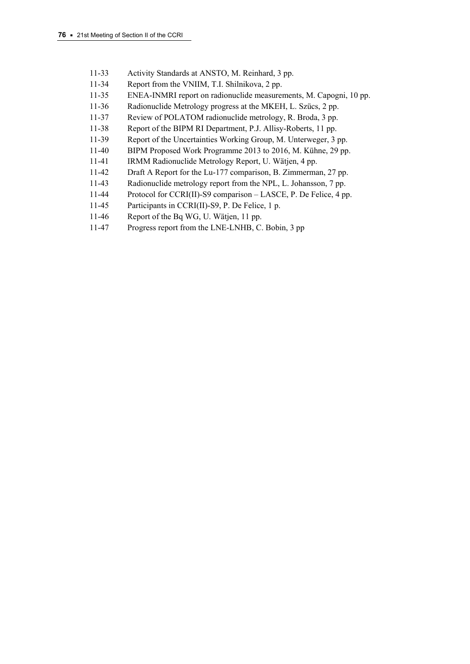- 11-33 Activity Standards at ANSTO, M. Reinhard, 3 pp.
- 11-34 Report from the VNIIM, T.I. Shilnikova, 2 pp.
- 11-35 ENEA-INMRI report on radionuclide measurements, M. Capogni, 10 pp.
- 11-36 Radionuclide Metrology progress at the MKEH, L. Szücs, 2 pp.
- 11-37 Review of POLATOM radionuclide metrology, R. Broda, 3 pp.
- 11-38 Report of the BIPM RI Department, P.J. Allisy-Roberts, 11 pp.
- 11-39 Report of the Uncertainties Working Group, M. Unterweger, 3 pp.
- 11-40 BIPM Proposed Work Programme 2013 to 2016, M. Kühne, 29 pp.
- 11-41 IRMM Radionuclide Metrology Report, U. Wätjen, 4 pp.
- 11-42 Draft A Report for the Lu-177 comparison, B. Zimmerman, 27 pp.
- 11-43 Radionuclide metrology report from the NPL, L. Johansson, 7 pp.
- 11-44 Protocol for CCRI(II)-S9 comparison LASCE, P. De Felice, 4 pp.
- 11-45 Participants in CCRI(II)-S9, P. De Felice, 1 p.
- 11-46 Report of the Bq WG, U. Wätjen, 11 pp.
- 11-47 Progress report from the LNE-LNHB, C. Bobin, 3 pp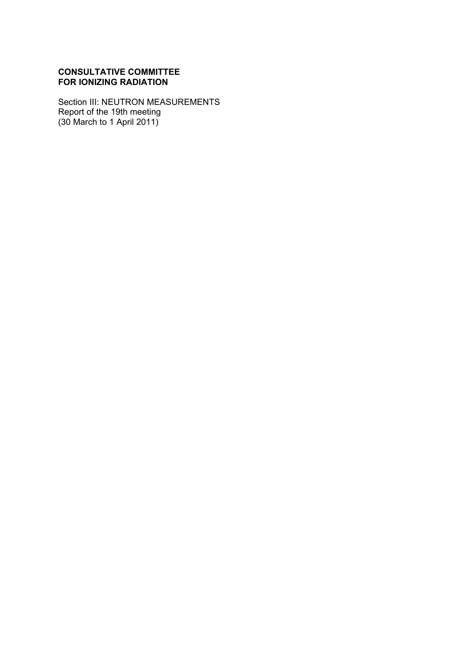# **CONSULTATIVE COMMITTEE FOR IONIZING RADIATION**

Section III: NEUTRON MEASUREMENTS Report of the 19th meeting (30 March to 1 April 2011)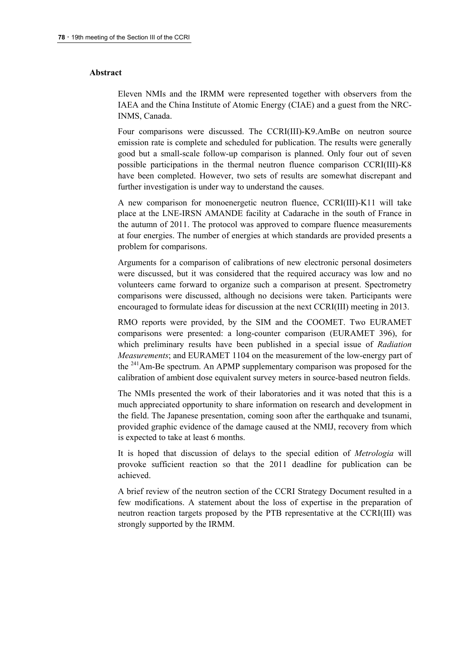#### **Abstract**

Eleven NMIs and the IRMM were represented together with observers from the IAEA and the China Institute of Atomic Energy (CIAE) and a guest from the NRC-INMS, Canada.

Four comparisons were discussed. The CCRI(III)-K9.AmBe on neutron source emission rate is complete and scheduled for publication. The results were generally good but a small-scale follow-up comparison is planned. Only four out of seven possible participations in the thermal neutron fluence comparison CCRI(III)-K8 have been completed. However, two sets of results are somewhat discrepant and further investigation is under way to understand the causes.

A new comparison for monoenergetic neutron fluence, CCRI(III)-K11 will take place at the LNE-IRSN AMANDE facility at Cadarache in the south of France in the autumn of 2011. The protocol was approved to compare fluence measurements at four energies. The number of energies at which standards are provided presents a problem for comparisons.

Arguments for a comparison of calibrations of new electronic personal dosimeters were discussed, but it was considered that the required accuracy was low and no volunteers came forward to organize such a comparison at present. Spectrometry comparisons were discussed, although no decisions were taken. Participants were encouraged to formulate ideas for discussion at the next CCRI(III) meeting in 2013.

RMO reports were provided, by the SIM and the COOMET. Two EURAMET comparisons were presented: a long-counter comparison (EURAMET 396), for which preliminary results have been published in a special issue of *Radiation Measurements*; and EURAMET 1104 on the measurement of the low-energy part of the <sup>241</sup>Am-Be spectrum. An APMP supplementary comparison was proposed for the calibration of ambient dose equivalent survey meters in source-based neutron fields.

The NMIs presented the work of their laboratories and it was noted that this is a much appreciated opportunity to share information on research and development in the field. The Japanese presentation, coming soon after the earthquake and tsunami, provided graphic evidence of the damage caused at the NMIJ, recovery from which is expected to take at least 6 months.

It is hoped that discussion of delays to the special edition of *Metrologia* will provoke sufficient reaction so that the 2011 deadline for publication can be achieved.

A brief review of the neutron section of the CCRI Strategy Document resulted in a few modifications. A statement about the loss of expertise in the preparation of neutron reaction targets proposed by the PTB representative at the CCRI(III) was strongly supported by the IRMM.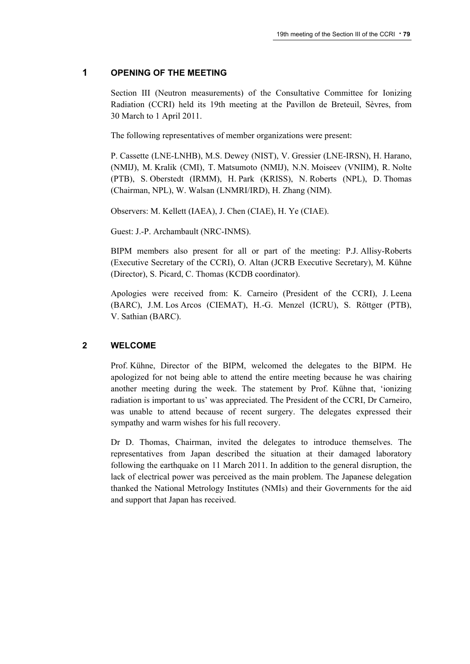### **1 OPENING OF THE MEETING**

Section III (Neutron measurements) of the Consultative Committee for Ionizing Radiation (CCRI) held its 19th meeting at the Pavillon de Breteuil, Sèvres, from 30 March to 1 April 2011.

The following representatives of member organizations were present:

P. Cassette (LNE-LNHB), M.S. Dewey (NIST), V. Gressier (LNE-IRSN), H. Harano, (NMIJ), M. Kralik (CMI), T. Matsumoto (NMIJ), N.N. Moiseev (VNIIM), R. Nolte (PTB), S. Oberstedt (IRMM), H. Park (KRISS), N. Roberts (NPL), D. Thomas (Chairman, NPL), W. Walsan (LNMRI/IRD), H. Zhang (NIM).

Observers: M. Kellett (IAEA), J. Chen (CIAE), H. Ye (CIAE).

Guest: J.-P. Archambault (NRC-INMS).

BIPM members also present for all or part of the meeting: P.J. Allisy-Roberts (Executive Secretary of the CCRI), O. Altan (JCRB Executive Secretary), M. Kühne (Director), S. Picard, C. Thomas (KCDB coordinator).

Apologies were received from: K. Carneiro (President of the CCRI), J. Leena (BARC), J.M. Los Arcos (CIEMAT), H.-G. Menzel (ICRU), S. Röttger (PTB), V. Sathian (BARC).

### **2 WELCOME**

Prof. Kühne, Director of the BIPM, welcomed the delegates to the BIPM. He apologized for not being able to attend the entire meeting because he was chairing another meeting during the week. The statement by Prof. Kühne that, 'ionizing radiation is important to us' was appreciated. The President of the CCRI, Dr Carneiro, was unable to attend because of recent surgery. The delegates expressed their sympathy and warm wishes for his full recovery.

Dr D. Thomas, Chairman, invited the delegates to introduce themselves. The representatives from Japan described the situation at their damaged laboratory following the earthquake on 11 March 2011. In addition to the general disruption, the lack of electrical power was perceived as the main problem. The Japanese delegation thanked the National Metrology Institutes (NMIs) and their Governments for the aid and support that Japan has received.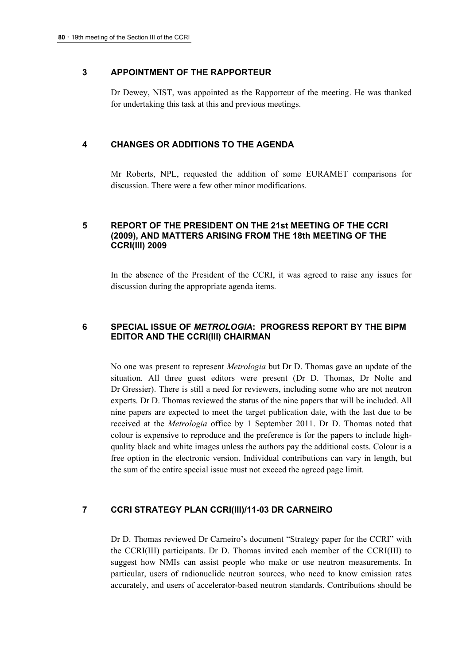### **3 APPOINTMENT OF THE RAPPORTEUR**

Dr Dewey, NIST, was appointed as the Rapporteur of the meeting. He was thanked for undertaking this task at this and previous meetings.

### **4 CHANGES OR ADDITIONS TO THE AGENDA**

Mr Roberts, NPL, requested the addition of some EURAMET comparisons for discussion. There were a few other minor modifications.

# **5 REPORT OF THE PRESIDENT ON THE 21st MEETING OF THE CCRI (2009), AND MATTERS ARISING FROM THE 18th MEETING OF THE CCRI(III) 2009**

In the absence of the President of the CCRI, it was agreed to raise any issues for discussion during the appropriate agenda items.

### **6 SPECIAL ISSUE OF** *METROLOGIA***: PROGRESS REPORT BY THE BIPM EDITOR AND THE CCRI(III) CHAIRMAN**

No one was present to represent *Metrologia* but Dr D. Thomas gave an update of the situation. All three guest editors were present (Dr D. Thomas, Dr Nolte and Dr Gressier). There is still a need for reviewers, including some who are not neutron experts. Dr D. Thomas reviewed the status of the nine papers that will be included. All nine papers are expected to meet the target publication date, with the last due to be received at the *Metrologia* office by 1 September 2011. Dr D. Thomas noted that colour is expensive to reproduce and the preference is for the papers to include highquality black and white images unless the authors pay the additional costs. Colour is a free option in the electronic version. Individual contributions can vary in length, but the sum of the entire special issue must not exceed the agreed page limit.

### **7 CCRI STRATEGY PLAN CCRI(III)/11-03 DR CARNEIRO**

Dr D. Thomas reviewed Dr Carneiro's document "Strategy paper for the CCRI" with the CCRI(III) participants. Dr D. Thomas invited each member of the CCRI(III) to suggest how NMIs can assist people who make or use neutron measurements. In particular, users of radionuclide neutron sources, who need to know emission rates accurately, and users of accelerator-based neutron standards. Contributions should be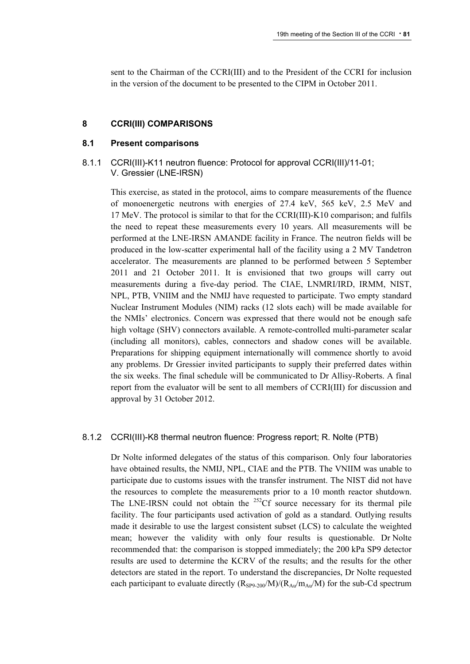sent to the Chairman of the CCRI(III) and to the President of the CCRI for inclusion in the version of the document to be presented to the CIPM in October 2011.

#### **8 CCRI(III) COMPARISONS**

#### **8.1 Present comparisons**

### 8.1.1 CCRI(III)-K11 neutron fluence: Protocol for approval CCRI(III)/11-01; V. Gressier (LNE-IRSN)

This exercise, as stated in the protocol, aims to compare measurements of the fluence of monoenergetic neutrons with energies of 27.4 keV, 565 keV, 2.5 MeV and 17 MeV. The protocol is similar to that for the CCRI(III)-K10 comparison; and fulfils the need to repeat these measurements every 10 years. All measurements will be performed at the LNE-IRSN AMANDE facility in France. The neutron fields will be produced in the low-scatter experimental hall of the facility using a 2 MV Tandetron accelerator. The measurements are planned to be performed between 5 September 2011 and 21 October 2011. It is envisioned that two groups will carry out measurements during a five-day period. The CIAE, LNMRI/IRD, IRMM, NIST, NPL, PTB, VNIIM and the NMIJ have requested to participate. Two empty standard Nuclear Instrument Modules (NIM) racks (12 slots each) will be made available for the NMIs' electronics. Concern was expressed that there would not be enough safe high voltage (SHV) connectors available. A remote-controlled multi-parameter scalar (including all monitors), cables, connectors and shadow cones will be available. Preparations for shipping equipment internationally will commence shortly to avoid any problems. Dr Gressier invited participants to supply their preferred dates within the six weeks. The final schedule will be communicated to Dr Allisy-Roberts. A final report from the evaluator will be sent to all members of CCRI(III) for discussion and approval by 31 October 2012.

### 8.1.2 CCRI(III)-K8 thermal neutron fluence: Progress report; R. Nolte (PTB)

Dr Nolte informed delegates of the status of this comparison. Only four laboratories have obtained results, the NMIJ, NPL, CIAE and the PTB. The VNIIM was unable to participate due to customs issues with the transfer instrument. The NIST did not have the resources to complete the measurements prior to a 10 month reactor shutdown. The LNE-IRSN could not obtain the  $^{252}$ Cf source necessary for its thermal pile facility. The four participants used activation of gold as a standard. Outlying results made it desirable to use the largest consistent subset (LCS) to calculate the weighted mean; however the validity with only four results is questionable. Dr Nolte recommended that: the comparison is stopped immediately; the 200 kPa SP9 detector results are used to determine the KCRV of the results; and the results for the other detectors are stated in the report. To understand the discrepancies, Dr Nolte requested each participant to evaluate directly  $(R_{SP9-200}/M)/(R_{Au}/m_{Au}/M)$  for the sub-Cd spectrum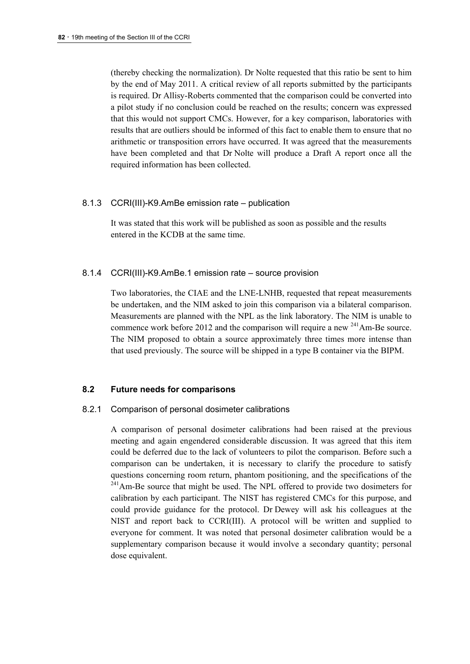(thereby checking the normalization). Dr Nolte requested that this ratio be sent to him by the end of May 2011. A critical review of all reports submitted by the participants is required. Dr Allisy-Roberts commented that the comparison could be converted into a pilot study if no conclusion could be reached on the results; concern was expressed that this would not support CMCs. However, for a key comparison, laboratories with results that are outliers should be informed of this fact to enable them to ensure that no arithmetic or transposition errors have occurred. It was agreed that the measurements have been completed and that Dr Nolte will produce a Draft A report once all the required information has been collected.

### 8.1.3 CCRI(III)-K9.AmBe emission rate – publication

It was stated that this work will be published as soon as possible and the results entered in the KCDB at the same time.

### 8.1.4 CCRI(III)-K9.AmBe.1 emission rate – source provision

Two laboratories, the CIAE and the LNE-LNHB, requested that repeat measurements be undertaken, and the NIM asked to join this comparison via a bilateral comparison. Measurements are planned with the NPL as the link laboratory. The NIM is unable to commence work before 2012 and the comparison will require a new  $^{241}$ Am-Be source. The NIM proposed to obtain a source approximately three times more intense than that used previously. The source will be shipped in a type B container via the BIPM.

### **8.2 Future needs for comparisons**

### 8.2.1 Comparison of personal dosimeter calibrations

A comparison of personal dosimeter calibrations had been raised at the previous meeting and again engendered considerable discussion. It was agreed that this item could be deferred due to the lack of volunteers to pilot the comparison. Before such a comparison can be undertaken, it is necessary to clarify the procedure to satisfy questions concerning room return, phantom positioning, and the specifications of the <sup>241</sup>Am-Be source that might be used. The NPL offered to provide two dosimeters for calibration by each participant. The NIST has registered CMCs for this purpose, and could provide guidance for the protocol. Dr Dewey will ask his colleagues at the NIST and report back to CCRI(III). A protocol will be written and supplied to everyone for comment. It was noted that personal dosimeter calibration would be a supplementary comparison because it would involve a secondary quantity; personal dose equivalent.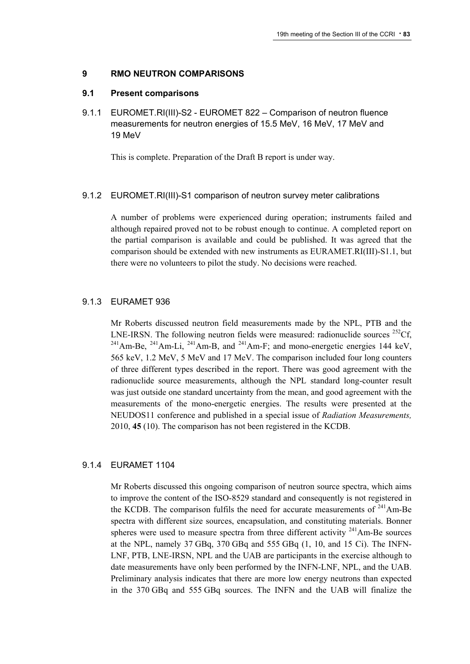### **9 RMO NEUTRON COMPARISONS**

#### **9.1 Present comparisons**

9.1.1 EUROMET.RI(III)-S2 - EUROMET 822 – Comparison of neutron fluence measurements for neutron energies of 15.5 MeV, 16 MeV, 17 MeV and 19 MeV

This is complete. Preparation of the Draft B report is under way.

#### 9.1.2 EUROMET.RI(III)-S1 comparison of neutron survey meter calibrations

A number of problems were experienced during operation; instruments failed and although repaired proved not to be robust enough to continue. A completed report on the partial comparison is available and could be published. It was agreed that the comparison should be extended with new instruments as EURAMET.RI(III)-S1.1, but there were no volunteers to pilot the study. No decisions were reached.

#### 9.1.3 EURAMET 936

Mr Roberts discussed neutron field measurements made by the NPL, PTB and the LNE-IRSN. The following neutron fields were measured: radionuclide sources  ${}^{252}Cf$ ,  $^{241}$ Am-Be,  $^{241}$ Am-Li,  $^{241}$ Am-B, and  $^{241}$ Am-F; and mono-energetic energies 144 keV, 565 keV, 1.2 MeV, 5 MeV and 17 MeV. The comparison included four long counters of three different types described in the report. There was good agreement with the radionuclide source measurements, although the NPL standard long-counter result was just outside one standard uncertainty from the mean, and good agreement with the measurements of the mono-energetic energies. The results were presented at the NEUDOS11 conference and published in a special issue of *Radiation Measurements,* 2010, **45** (10). The comparison has not been registered in the KCDB.

#### 9.1.4 EURAMET 1104

Mr Roberts discussed this ongoing comparison of neutron source spectra, which aims to improve the content of the ISO-8529 standard and consequently is not registered in the KCDB. The comparison fulfils the need for accurate measurements of  $^{241}$ Am-Be spectra with different size sources, encapsulation, and constituting materials. Bonner spheres were used to measure spectra from three different activity  $241$ Am-Be sources at the NPL, namely 37 GBq, 370 GBq and 555 GBq (1, 10, and 15 Ci). The INFN-LNF, PTB, LNE-IRSN, NPL and the UAB are participants in the exercise although to date measurements have only been performed by the INFN-LNF, NPL, and the UAB. Preliminary analysis indicates that there are more low energy neutrons than expected in the 370 GBq and 555 GBq sources. The INFN and the UAB will finalize the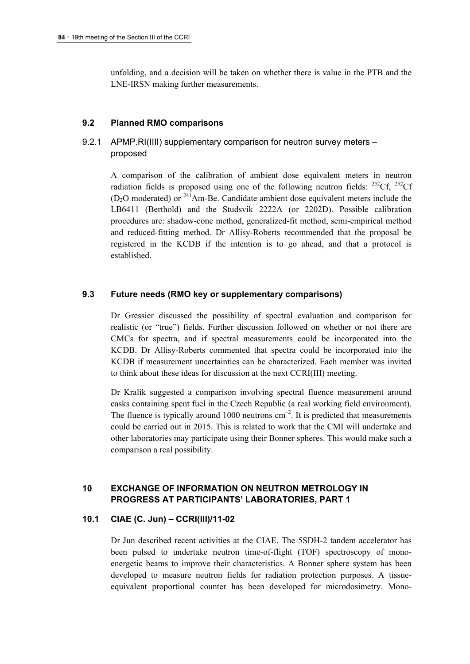unfolding, and a decision will be taken on whether there is value in the PTB and the LNE-IRSN making further measurements.

#### **9.2 Planned RMO comparisons**

# 9.2.1 APMP.RI(IIII) supplementary comparison for neutron survey meters – proposed

A comparison of the calibration of ambient dose equivalent meters in neutron radiation fields is proposed using one of the following neutron fields:  $^{252}$ Cf,  $^{252}$ Cf  $(D<sub>2</sub>O$  moderated) or <sup>241</sup>Am-Be. Candidate ambient dose equivalent meters include the LB6411 (Berthold) and the Studsvik 2222A (or 2202D). Possible calibration procedures are: shadow-cone method, generalized-fit method, semi-empirical method and reduced-fitting method. Dr Allisy-Roberts recommended that the proposal be registered in the KCDB if the intention is to go ahead, and that a protocol is established.

#### **9.3 Future needs (RMO key or supplementary comparisons)**

Dr Gressier discussed the possibility of spectral evaluation and comparison for realistic (or "true") fields. Further discussion followed on whether or not there are CMCs for spectra, and if spectral measurements could be incorporated into the KCDB. Dr Allisy-Roberts commented that spectra could be incorporated into the KCDB if measurement uncertainties can be characterized. Each member was invited to think about these ideas for discussion at the next CCRI(III) meeting.

Dr Kralik suggested a comparison involving spectral fluence measurement around casks containing spent fuel in the Czech Republic (a real working field environment). The fluence is typically around 1000 neutrons  $cm^{-2}$ . It is predicted that measurements could be carried out in 2015. This is related to work that the CMI will undertake and other laboratories may participate using their Bonner spheres. This would make such a comparison a real possibility.

# **10 EXCHANGE OF INFORMATION ON NEUTRON METROLOGY IN PROGRESS AT PARTICIPANTS' LABORATORIES, PART 1**

# **10.1 CIAE (C. Jun) – CCRI(III)/11-02**

Dr Jun described recent activities at the CIAE. The 5SDH-2 tandem accelerator has been pulsed to undertake neutron time-of-flight (TOF) spectroscopy of monoenergetic beams to improve their characteristics. A Bonner sphere system has been developed to measure neutron fields for radiation protection purposes. A tissueequivalent proportional counter has been developed for microdosimetry. Mono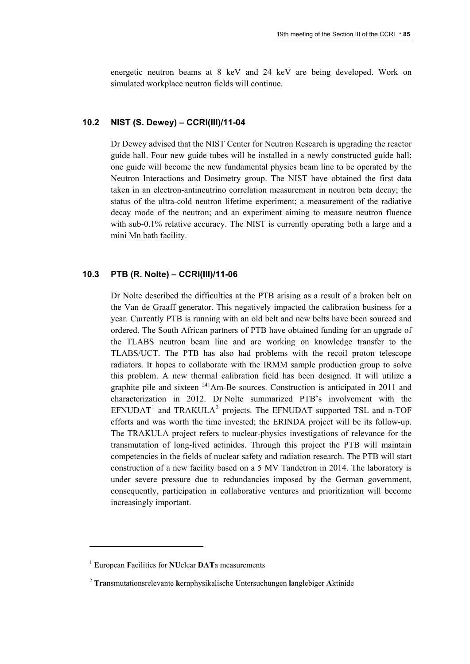energetic neutron beams at 8 keV and 24 keV are being developed. Work on simulated workplace neutron fields will continue.

### **10.2 NIST (S. Dewey) – CCRI(III)/11-04**

Dr Dewey advised that the NIST Center for Neutron Research is upgrading the reactor guide hall. Four new guide tubes will be installed in a newly constructed guide hall; one guide will become the new fundamental physics beam line to be operated by the Neutron Interactions and Dosimetry group. The NIST have obtained the first data taken in an electron-antineutrino correlation measurement in neutron beta decay; the status of the ultra-cold neutron lifetime experiment; a measurement of the radiative decay mode of the neutron; and an experiment aiming to measure neutron fluence with sub-0.1% relative accuracy. The NIST is currently operating both a large and a mini Mn bath facility.

### **10.3 PTB (R. Nolte) – CCRI(III)/11-06**

Dr Nolte described the difficulties at the PTB arising as a result of a broken belt on the Van de Graaff generator. This negatively impacted the calibration business for a year. Currently PTB is running with an old belt and new belts have been sourced and ordered. The South African partners of PTB have obtained funding for an upgrade of the TLABS neutron beam line and are working on knowledge transfer to the TLABS/UCT. The PTB has also had problems with the recoil proton telescope radiators. It hopes to collaborate with the IRMM sample production group to solve this problem. A new thermal calibration field has been designed. It will utilize a graphite pile and sixteen  $241$ Am-Be sources. Construction is anticipated in 2011 and characterization in 2012. Dr Nolte summarized PTB's involvement with the EFNUDAT<sup>[1](#page-84-0)</sup> and TRAKULA<sup>[2](#page-84-1)</sup> projects. The EFNUDAT supported TSL and n-TOF efforts and was worth the time invested; the ERINDA project will be its follow-up. The TRAKULA project refers to nuclear-physics investigations of relevance for the transmutation of long-lived actinides. Through this project the PTB will maintain competencies in the fields of nuclear safety and radiation research. The PTB will start construction of a new facility based on a 5 MV Tandetron in 2014. The laboratory is under severe pressure due to redundancies imposed by the German government, consequently, participation in collaborative ventures and prioritization will become increasingly important.

<span id="page-84-0"></span><sup>1</sup> **E**uropean **F**acilities for **NU**clear **DAT**a measurements

<span id="page-84-1"></span><sup>2</sup> **Tra**nsmutationsrelevante **k**ernphysikalische **U**ntersuchungen **l**anglebiger **A**ktinide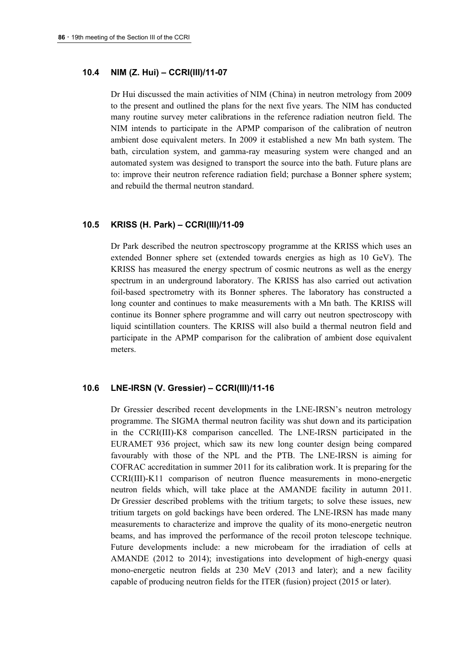### **10.4 NIM (Z. Hui) – CCRI(III)/11-07**

Dr Hui discussed the main activities of NIM (China) in neutron metrology from 2009 to the present and outlined the plans for the next five years. The NIM has conducted many routine survey meter calibrations in the reference radiation neutron field. The NIM intends to participate in the APMP comparison of the calibration of neutron ambient dose equivalent meters. In 2009 it established a new Mn bath system. The bath, circulation system, and gamma-ray measuring system were changed and an automated system was designed to transport the source into the bath. Future plans are to: improve their neutron reference radiation field; purchase a Bonner sphere system; and rebuild the thermal neutron standard.

#### **10.5 KRISS (H. Park) – CCRI(III)/11-09**

Dr Park described the neutron spectroscopy programme at the KRISS which uses an extended Bonner sphere set (extended towards energies as high as 10 GeV). The KRISS has measured the energy spectrum of cosmic neutrons as well as the energy spectrum in an underground laboratory. The KRISS has also carried out activation foil-based spectrometry with its Bonner spheres. The laboratory has constructed a long counter and continues to make measurements with a Mn bath. The KRISS will continue its Bonner sphere programme and will carry out neutron spectroscopy with liquid scintillation counters. The KRISS will also build a thermal neutron field and participate in the APMP comparison for the calibration of ambient dose equivalent meters.

#### **10.6 LNE-IRSN (V. Gressier) – CCRI(III)/11-16**

Dr Gressier described recent developments in the LNE-IRSN's neutron metrology programme. The SIGMA thermal neutron facility was shut down and its participation in the CCRI(III)-K8 comparison cancelled. The LNE-IRSN participated in the EURAMET 936 project, which saw its new long counter design being compared favourably with those of the NPL and the PTB. The LNE-IRSN is aiming for COFRAC accreditation in summer 2011 for its calibration work. It is preparing for the CCRI(III)-K11 comparison of neutron fluence measurements in mono-energetic neutron fields which, will take place at the AMANDE facility in autumn 2011. Dr Gressier described problems with the tritium targets; to solve these issues, new tritium targets on gold backings have been ordered. The LNE-IRSN has made many measurements to characterize and improve the quality of its mono-energetic neutron beams, and has improved the performance of the recoil proton telescope technique. Future developments include: a new microbeam for the irradiation of cells at AMANDE (2012 to 2014); investigations into development of high-energy quasi mono-energetic neutron fields at 230 MeV (2013 and later); and a new facility capable of producing neutron fields for the ITER (fusion) project (2015 or later).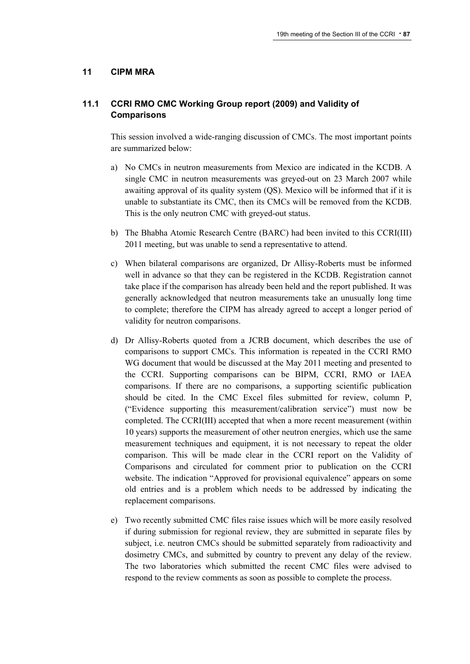### **11 CIPM MRA**

# **11.1 CCRI RMO CMC Working Group report (2009) and Validity of Comparisons**

This session involved a wide-ranging discussion of CMCs. The most important points are summarized below:

- a) No CMCs in neutron measurements from Mexico are indicated in the KCDB. A single CMC in neutron measurements was greyed-out on 23 March 2007 while awaiting approval of its quality system (QS). Mexico will be informed that if it is unable to substantiate its CMC, then its CMCs will be removed from the KCDB. This is the only neutron CMC with greyed-out status.
- b) The Bhabha Atomic Research Centre (BARC) had been invited to this CCRI(III) 2011 meeting, but was unable to send a representative to attend.
- c) When bilateral comparisons are organized, Dr Allisy-Roberts must be informed well in advance so that they can be registered in the KCDB. Registration cannot take place if the comparison has already been held and the report published. It was generally acknowledged that neutron measurements take an unusually long time to complete; therefore the CIPM has already agreed to accept a longer period of validity for neutron comparisons.
- d) Dr Allisy-Roberts quoted from a JCRB document, which describes the use of comparisons to support CMCs. This information is repeated in the CCRI RMO WG document that would be discussed at the May 2011 meeting and presented to the CCRI. Supporting comparisons can be BIPM, CCRI, RMO or IAEA comparisons. If there are no comparisons, a supporting scientific publication should be cited. In the CMC Excel files submitted for review, column P, ("Evidence supporting this measurement/calibration service") must now be completed. The CCRI(III) accepted that when a more recent measurement (within 10 years) supports the measurement of other neutron energies, which use the same measurement techniques and equipment, it is not necessary to repeat the older comparison. This will be made clear in the CCRI report on the Validity of Comparisons and circulated for comment prior to publication on the CCRI website. The indication "Approved for provisional equivalence" appears on some old entries and is a problem which needs to be addressed by indicating the replacement comparisons.
- e) Two recently submitted CMC files raise issues which will be more easily resolved if during submission for regional review, they are submitted in separate files by subject, i.e. neutron CMCs should be submitted separately from radioactivity and dosimetry CMCs, and submitted by country to prevent any delay of the review. The two laboratories which submitted the recent CMC files were advised to respond to the review comments as soon as possible to complete the process.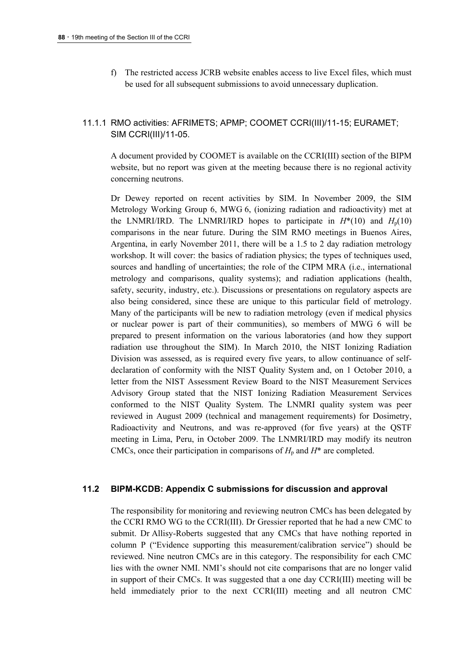f) The restricted access JCRB website enables access to live Excel files, which must be used for all subsequent submissions to avoid unnecessary duplication.

# 11.1.1 RMO activities: AFRIMETS; APMP; COOMET CCRI(III)/11-15; EURAMET; SIM CCRI(III)/11-05.

A document provided by COOMET is available on the CCRI(III) section of the BIPM website, but no report was given at the meeting because there is no regional activity concerning neutrons.

Dr Dewey reported on recent activities by SIM. In November 2009, the SIM Metrology Working Group 6, MWG 6, (ionizing radiation and radioactivity) met at the LNMRI/IRD. The LNMRI/IRD hopes to participate in  $H^*(10)$  and  $H_n(10)$ comparisons in the near future. During the SIM RMO meetings in Buenos Aires, Argentina, in early November 2011, there will be a 1.5 to 2 day radiation metrology workshop. It will cover: the basics of radiation physics; the types of techniques used, sources and handling of uncertainties; the role of the CIPM MRA (i.e., international metrology and comparisons, quality systems); and radiation applications (health, safety, security, industry, etc.). Discussions or presentations on regulatory aspects are also being considered, since these are unique to this particular field of metrology. Many of the participants will be new to radiation metrology (even if medical physics or nuclear power is part of their communities), so members of MWG 6 will be prepared to present information on the various laboratories (and how they support radiation use throughout the SIM). In March 2010, the NIST Ionizing Radiation Division was assessed, as is required every five years, to allow continuance of selfdeclaration of conformity with the NIST Quality System and, on 1 October 2010, a letter from the NIST Assessment Review Board to the NIST Measurement Services Advisory Group stated that the NIST Ionizing Radiation Measurement Services conformed to the NIST Quality System. The LNMRI quality system was peer reviewed in August 2009 (technical and management requirements) for Dosimetry, Radioactivity and Neutrons, and was re-approved (for five years) at the QSTF meeting in Lima, Peru, in October 2009. The LNMRI/IRD may modify its neutron CMCs, once their participation in comparisons of  $H_p$  and  $H^*$  are completed.

### **11.2 BIPM-KCDB: Appendix C submissions for discussion and approval**

The responsibility for monitoring and reviewing neutron CMCs has been delegated by the CCRI RMO WG to the CCRI(III). Dr Gressier reported that he had a new CMC to submit. Dr Allisy-Roberts suggested that any CMCs that have nothing reported in column P ("Evidence supporting this measurement/calibration service") should be reviewed. Nine neutron CMCs are in this category. The responsibility for each CMC lies with the owner NMI. NMI's should not cite comparisons that are no longer valid in support of their CMCs. It was suggested that a one day CCRI(III) meeting will be held immediately prior to the next CCRI(III) meeting and all neutron CMC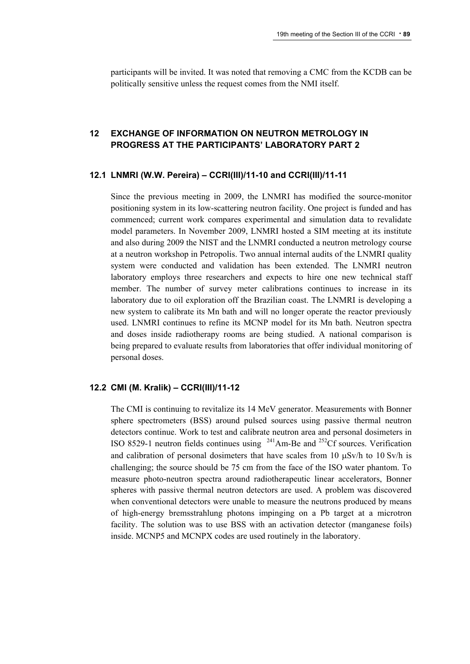participants will be invited. It was noted that removing a CMC from the KCDB can be politically sensitive unless the request comes from the NMI itself.

# **12 EXCHANGE OF INFORMATION ON NEUTRON METROLOGY IN PROGRESS AT THE PARTICIPANTS' LABORATORY PART 2**

#### **12.1 LNMRI (W.W. Pereira) – CCRI(III)/11-10 and CCRI(III)/11-11**

Since the previous meeting in 2009, the LNMRI has modified the source-monitor positioning system in its low-scattering neutron facility. One project is funded and has commenced; current work compares experimental and simulation data to revalidate model parameters. In November 2009, LNMRI hosted a SIM meeting at its institute and also during 2009 the NIST and the LNMRI conducted a neutron metrology course at a neutron workshop in Petropolis. Two annual internal audits of the LNMRI quality system were conducted and validation has been extended. The LNMRI neutron laboratory employs three researchers and expects to hire one new technical staff member. The number of survey meter calibrations continues to increase in its laboratory due to oil exploration off the Brazilian coast. The LNMRI is developing a new system to calibrate its Mn bath and will no longer operate the reactor previously used. LNMRI continues to refine its MCNP model for its Mn bath. Neutron spectra and doses inside radiotherapy rooms are being studied. A national comparison is being prepared to evaluate results from laboratories that offer individual monitoring of personal doses.

### **12.2 CMI (M. Kralik) – CCRI(III)/11-12**

The CMI is continuing to revitalize its 14 MeV generator. Measurements with Bonner sphere spectrometers (BSS) around pulsed sources using passive thermal neutron detectors continue. Work to test and calibrate neutron area and personal dosimeters in ISO 8529-1 neutron fields continues using  $241$ Am-Be and  $252$ Cf sources. Verification and calibration of personal dosimeters that have scales from 10  $\mu$ Sv/h to 10 Sv/h is challenging; the source should be 75 cm from the face of the ISO water phantom. To measure photo-neutron spectra around radiotherapeutic linear accelerators, Bonner spheres with passive thermal neutron detectors are used. A problem was discovered when conventional detectors were unable to measure the neutrons produced by means of high-energy bremsstrahlung photons impinging on a Pb target at a microtron facility. The solution was to use BSS with an activation detector (manganese foils) inside. MCNP5 and MCNPX codes are used routinely in the laboratory.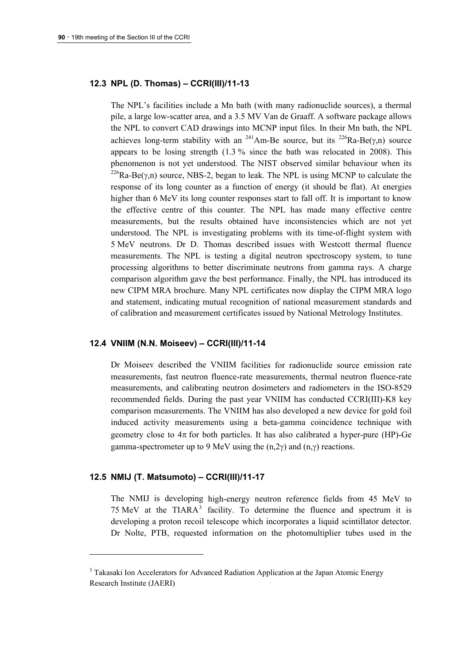### **12.3 NPL (D. Thomas) – CCRI(III)/11-13**

The NPL's facilities include a Mn bath (with many radionuclide sources), a thermal pile, a large low-scatter area, and a 3.5 MV Van de Graaff. A software package allows the NPL to convert CAD drawings into MCNP input files. In their Mn bath, the NPL achieves long-term stability with an <sup>241</sup>Am-Be source, but its <sup>226</sup>Ra-Be( $\gamma$ ,n) source appears to be losing strength (1.3 % since the bath was relocated in 2008). This phenomenon is not yet understood. The NIST observed similar behaviour when its <sup>226</sup>Ra-Be( $\gamma$ ,n) source, NBS-2, began to leak. The NPL is using MCNP to calculate the response of its long counter as a function of energy (it should be flat). At energies higher than 6 MeV its long counter responses start to fall off. It is important to know the effective centre of this counter. The NPL has made many effective centre measurements, but the results obtained have inconsistencies which are not yet understood. The NPL is investigating problems with its time-of-flight system with 5 MeV neutrons. Dr D. Thomas described issues with Westcott thermal fluence measurements. The NPL is testing a digital neutron spectroscopy system, to tune processing algorithms to better discriminate neutrons from gamma rays. A charge comparison algorithm gave the best performance. Finally, the NPL has introduced its new CIPM MRA brochure. Many NPL certificates now display the CIPM MRA logo and statement, indicating mutual recognition of national measurement standards and of calibration and measurement certificates issued by National Metrology Institutes.

### **12.4 VNIIM (N.N. Moiseev) – CCRI(III)/11-14**

Dr Moiseev described the VNIIM facilities for radionuclide source emission rate measurements, fast neutron fluence-rate measurements, thermal neutron fluence-rate measurements, and calibrating neutron dosimeters and radiometers in the ISO-8529 recommended fields. During the past year VNIIM has conducted CCRI(III)-K8 key comparison measurements. The VNIIM has also developed a new device for gold foil induced activity measurements using a beta-gamma coincidence technique with geometry close to  $4\pi$  for both particles. It has also calibrated a hyper-pure (HP)-Ge gamma-spectrometer up to 9 MeV using the  $(n,2\nu)$  and  $(n,\nu)$  reactions.

#### **12.5 NMIJ (T. Matsumoto) – CCRI(III)/11-17**

The NMIJ is developing high-energy neutron reference fields from 45 MeV to 75 MeV at the TIARA<sup>[3](#page-89-0)</sup> facility. To determine the fluence and spectrum it is developing a proton recoil telescope which incorporates a liquid scintillator detector. Dr Nolte, PTB, requested information on the photomultiplier tubes used in the

<span id="page-89-0"></span><sup>&</sup>lt;sup>3</sup> Takasaki Ion Accelerators for Advanced Radiation Application at the Japan Atomic Energy Research Institute (JAERI)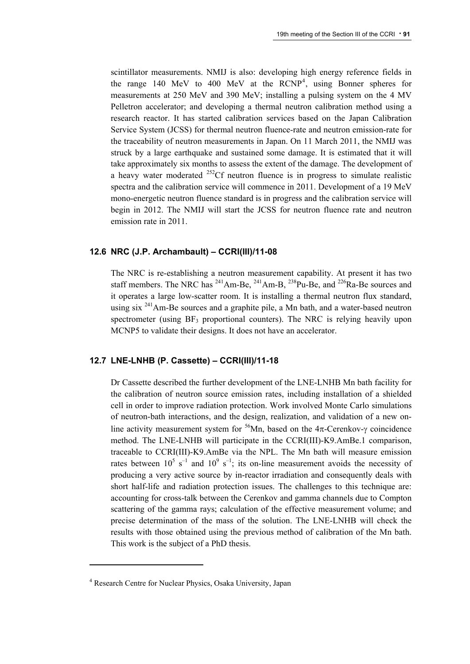scintillator measurements. NMIJ is also: developing high energy reference fields in the range 1[4](#page-90-0)0 MeV to 400 MeV at the  $RCNP<sup>4</sup>$ , using Bonner spheres for measurements at 250 MeV and 390 MeV; installing a pulsing system on the 4 MV Pelletron accelerator; and developing a thermal neutron calibration method using a research reactor. It has started calibration services based on the Japan Calibration Service System (JCSS) for thermal neutron fluence-rate and neutron emission-rate for the traceability of neutron measurements in Japan. On 11 March 2011, the NMIJ was struck by a large earthquake and sustained some damage. It is estimated that it will take approximately six months to assess the extent of the damage. The development of a heavy water moderated  $^{252}$ Cf neutron fluence is in progress to simulate realistic spectra and the calibration service will commence in 2011. Development of a 19 MeV mono-energetic neutron fluence standard is in progress and the calibration service will begin in 2012. The NMIJ will start the JCSS for neutron fluence rate and neutron emission rate in 2011.

#### **12.6 NRC (J.P. Archambault) – CCRI(III)/11-08**

The NRC is re-establishing a neutron measurement capability. At present it has two staff members. The NRC has  $^{241}$ Am-Be,  $^{241}$ Am-B,  $^{238}$ Pu-Be, and  $^{226}$ Ra-Be sources and it operates a large low-scatter room. It is installing a thermal neutron flux standard, using six 241Am-Be sources and a graphite pile, a Mn bath, and a water-based neutron spectrometer (using  $BF_3$  proportional counters). The NRC is relying heavily upon MCNP5 to validate their designs. It does not have an accelerator.

### **12.7 LNE-LNHB (P. Cassette) – CCRI(III)/11-18**

Dr Cassette described the further development of the LNE-LNHB Mn bath facility for the calibration of neutron source emission rates, including installation of a shielded cell in order to improve radiation protection. Work involved Monte Carlo simulations of neutron-bath interactions, and the design, realization, and validation of a new online activity measurement system for <sup>56</sup>Mn, based on the  $4\pi$ -Cerenkov- $\gamma$  coincidence method. The LNE-LNHB will participate in the CCRI(III)-K9.AmBe.1 comparison, traceable to CCRI(III)-K9.AmBe via the NPL. The Mn bath will measure emission rates between  $10^5$  s<sup>-1</sup> and  $10^9$  s<sup>-1</sup>; its on-line measurement avoids the necessity of producing a very active source by in-reactor irradiation and consequently deals with short half-life and radiation protection issues. The challenges to this technique are: accounting for cross-talk between the Cerenkov and gamma channels due to Compton scattering of the gamma rays; calculation of the effective measurement volume; and precise determination of the mass of the solution. The LNE-LNHB will check the results with those obtained using the previous method of calibration of the Mn bath. This work is the subject of a PhD thesis.

<span id="page-90-0"></span><sup>&</sup>lt;sup>4</sup> Research Centre for Nuclear Physics, Osaka University, Japan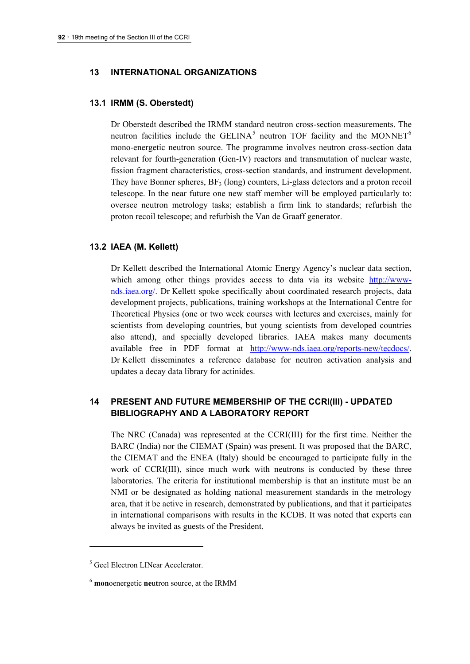### **13 INTERNATIONAL ORGANIZATIONS**

#### **13.1 IRMM (S. Oberstedt)**

Dr Oberstedt described the IRMM standard neutron cross-section measurements. The neutron facilities include the GELINA<sup>[5](#page-91-0)</sup> neutron TOF facility and the MONNET<sup>[6](#page-91-1)</sup> mono-energetic neutron source. The programme involves neutron cross-section data relevant for fourth-generation (Gen-IV) reactors and transmutation of nuclear waste, fission fragment characteristics, cross-section standards, and instrument development. They have Bonner spheres, BF<sub>3</sub> (long) counters, Li-glass detectors and a proton recoil telescope. In the near future one new staff member will be employed particularly to: oversee neutron metrology tasks; establish a firm link to standards; refurbish the proton recoil telescope; and refurbish the Van de Graaff generator.

#### **13.2 IAEA (M. Kellett)**

Dr Kellett described the International Atomic Energy Agency's nuclear data section, which among other things provides access to data via its website [http://www](http://www-nds.iaea.org/)[nds.iaea.org/.](http://www-nds.iaea.org/) Dr Kellett spoke specifically about coordinated research projects, data development projects, publications, training workshops at the International Centre for Theoretical Physics (one or two week courses with lectures and exercises, mainly for scientists from developing countries, but young scientists from developed countries also attend), and specially developed libraries. IAEA makes many documents available free in PDF format at [http://www-nds.iaea.org/reports-new/tecdocs/.](http://www-nds.iaea.org/reports-new/tecdocs/) Dr Kellett disseminates a reference database for neutron activation analysis and updates a decay data library for actinides.

# **14 PRESENT AND FUTURE MEMBERSHIP OF THE CCRI(III) - UPDATED BIBLIOGRAPHY AND A LABORATORY REPORT**

The NRC (Canada) was represented at the CCRI(III) for the first time. Neither the BARC (India) nor the CIEMAT (Spain) was present. It was proposed that the BARC, the CIEMAT and the ENEA (Italy) should be encouraged to participate fully in the work of CCRI(III), since much work with neutrons is conducted by these three laboratories. The criteria for institutional membership is that an institute must be an NMI or be designated as holding national measurement standards in the metrology area, that it be active in research, demonstrated by publications, and that it participates in international comparisons with results in the KCDB. It was noted that experts can always be invited as guests of the President.

<span id="page-91-0"></span><sup>5</sup> Geel Electron LINear Accelerator.

<span id="page-91-1"></span><sup>6</sup> **mon**oenergetic **ne**u**t**ron source, at the IRMM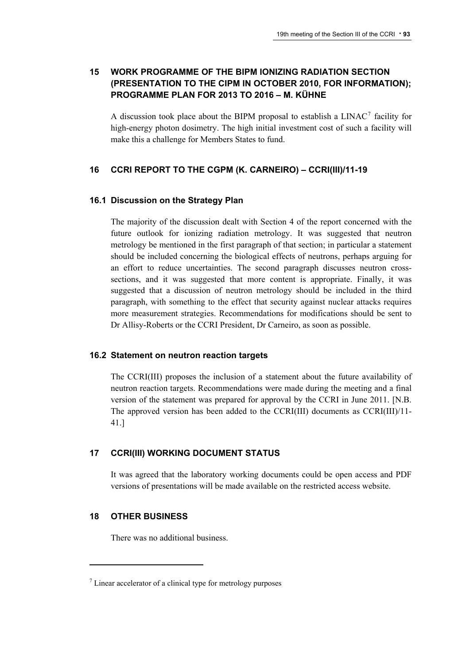# **15 WORK PROGRAMME OF THE BIPM IONIZING RADIATION SECTION (PRESENTATION TO THE CIPM IN OCTOBER 2010, FOR INFORMATION); PROGRAMME PLAN FOR 2013 TO 2016 – M. KÜHNE**

A discussion took place about the BIPM proposal to establish a  $LINAC<sup>7</sup>$  $LINAC<sup>7</sup>$  $LINAC<sup>7</sup>$  facility for high-energy photon dosimetry. The high initial investment cost of such a facility will make this a challenge for Members States to fund.

# **16 CCRI REPORT TO THE CGPM (K. CARNEIRO) – CCRI(III)/11-19**

### **16.1 Discussion on the Strategy Plan**

The majority of the discussion dealt with Section 4 of the report concerned with the future outlook for ionizing radiation metrology. It was suggested that neutron metrology be mentioned in the first paragraph of that section; in particular a statement should be included concerning the biological effects of neutrons, perhaps arguing for an effort to reduce uncertainties. The second paragraph discusses neutron crosssections, and it was suggested that more content is appropriate. Finally, it was suggested that a discussion of neutron metrology should be included in the third paragraph, with something to the effect that security against nuclear attacks requires more measurement strategies. Recommendations for modifications should be sent to Dr Allisy-Roberts or the CCRI President, Dr Carneiro, as soon as possible.

### **16.2 Statement on neutron reaction targets**

The CCRI(III) proposes the inclusion of a statement about the future availability of neutron reaction targets. Recommendations were made during the meeting and a final version of the statement was prepared for approval by the CCRI in June 2011. [N.B. The approved version has been added to the CCRI(III) documents as CCRI(III)/11- 41.]

# **17 CCRI(III) WORKING DOCUMENT STATUS**

It was agreed that the laboratory working documents could be open access and PDF versions of presentations will be made available on the restricted access website.

### **18 OTHER BUSINESS**

There was no additional business.

<span id="page-92-0"></span> $\frac{7}{1}$  Linear accelerator of a clinical type for metrology purposes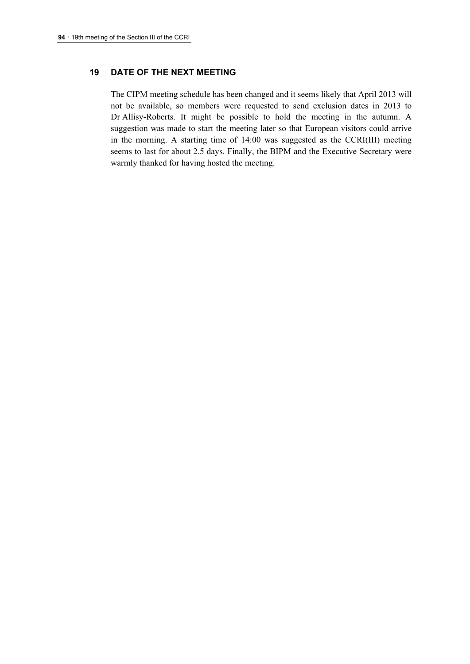# **19 DATE OF THE NEXT MEETING**

The CIPM meeting schedule has been changed and it seems likely that April 2013 will not be available, so members were requested to send exclusion dates in 2013 to Dr Allisy-Roberts. It might be possible to hold the meeting in the autumn. A suggestion was made to start the meeting later so that European visitors could arrive in the morning. A starting time of 14:00 was suggested as the CCRI(III) meeting seems to last for about 2.5 days. Finally, the BIPM and the Executive Secretary were warmly thanked for having hosted the meeting.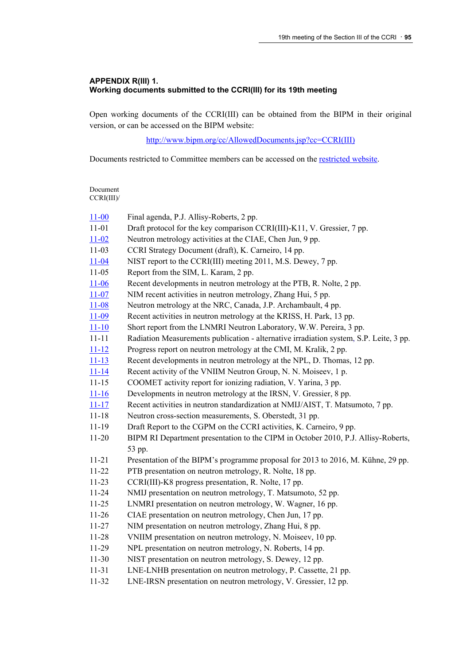#### **APPENDIX R(III) 1. Working documents submitted to the CCRI(III) for its 19th meeting**

Open working documents of the CCRI(III) can be obtained from the BIPM in their original version, or can be accessed on the BIPM website:

[http://www.bipm.org/cc/AllowedDocuments.jsp?cc=CCRI\(III\)](http://www.bipm.org/cc/AllowedDocuments.jsp?cc=CCRI(III))

Documents restricted to Committee members can be accessed on the [restricted website](http://www.bipm.org/cc/CCRI(III)/Restricted/WorkingDocuments.jsp).

Document CCRI(III)/

| $11 - 00$ | Final agenda, P.J. Allisy-Roberts, 2 pp.                                               |
|-----------|----------------------------------------------------------------------------------------|
| $11 - 01$ | Draft protocol for the key comparison CCRI(III)-K11, V. Gressier, 7 pp.                |
| $11 - 02$ | Neutron metrology activities at the CIAE, Chen Jun, 9 pp.                              |
| $11-03$   | CCRI Strategy Document (draft), K. Carneiro, 14 pp.                                    |
| $11 - 04$ | NIST report to the CCRI(III) meeting 2011, M.S. Dewey, 7 pp.                           |
| $11-05$   | Report from the SIM, L. Karam, 2 pp.                                                   |
| $11 - 06$ | Recent developments in neutron metrology at the PTB, R. Nolte, 2 pp.                   |
| $11 - 07$ | NIM recent activities in neutron metrology, Zhang Hui, 5 pp.                           |
| $11 - 08$ | Neutron metrology at the NRC, Canada, J.P. Archambault, 4 pp.                          |
| $11 - 09$ | Recent activities in neutron metrology at the KRISS, H. Park, 13 pp.                   |
| $11 - 10$ | Short report from the LNMRI Neutron Laboratory, W.W. Pereira, 3 pp.                    |
| $11 - 11$ | Radiation Measurements publication - alternative irradiation system, S.P. Leite, 3 pp. |
| $11 - 12$ | Progress report on neutron metrology at the CMI, M. Kralik, 2 pp.                      |
| $11 - 13$ | Recent developments in neutron metrology at the NPL, D. Thomas, 12 pp.                 |
| $11 - 14$ | Recent activity of the VNIIM Neutron Group, N. N. Moiseev, 1 p.                        |
| $11 - 15$ | COOMET activity report for ionizing radiation, V. Yarina, 3 pp.                        |
| $11 - 16$ | Developments in neutron metrology at the IRSN, V. Gressier, 8 pp.                      |
| $11 - 17$ | Recent activities in neutron standardization at NMIJ/AIST, T. Matsumoto, 7 pp.         |
| $11 - 18$ | Neutron cross-section measurements, S. Oberstedt, 31 pp.                               |
| $11 - 19$ | Draft Report to the CGPM on the CCRI activities, K. Carneiro, 9 pp.                    |
| $11 - 20$ | BIPM RI Department presentation to the CIPM in October 2010, P.J. Allisy-Roberts,      |
|           | 53 pp.                                                                                 |
| $11 - 21$ | Presentation of the BIPM's programme proposal for 2013 to 2016, M. Kühne, 29 pp.       |
| $11 - 22$ | PTB presentation on neutron metrology, R. Nolte, 18 pp.                                |
| $11-23$   | CCRI(III)-K8 progress presentation, R. Nolte, 17 pp.                                   |
| $11 - 24$ | NMIJ presentation on neutron metrology, T. Matsumoto, 52 pp.                           |
| $11 - 25$ | LNMRI presentation on neutron metrology, W. Wagner, 16 pp.                             |
| $11-26$   | CIAE presentation on neutron metrology, Chen Jun, 17 pp.                               |
| $11 - 27$ | NIM presentation on neutron metrology, Zhang Hui, 8 pp.                                |
| 11-28     | VNIIM presentation on neutron metrology, N. Moiseev, 10 pp.                            |
| 11-29     | NPL presentation on neutron metrology, N. Roberts, 14 pp.                              |
| $11-30$   | NIST presentation on neutron metrology, S. Dewey, 12 pp.                               |
| $11 - 31$ | LNE-LNHB presentation on neutron metrology, P. Cassette, 21 pp.                        |
| 11-32     | LNE-IRSN presentation on neutron metrology, V. Gressier, 12 pp.                        |